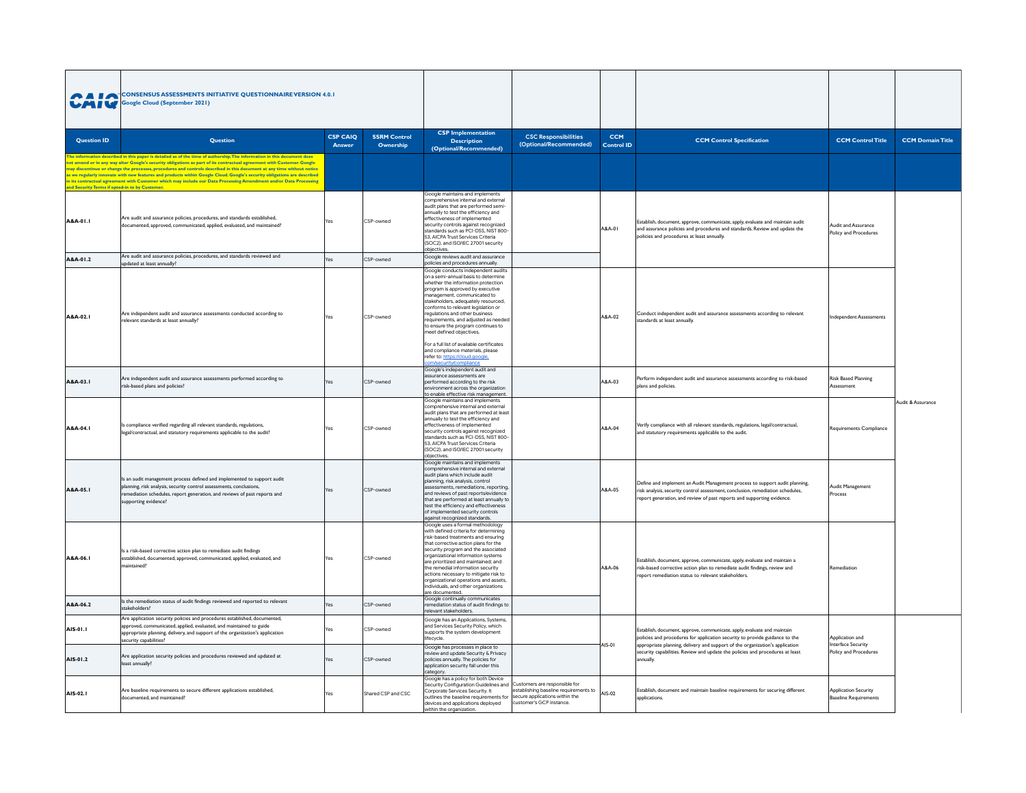|                                               | <b>CAI CONSENSUS ASSESSMENTS INITIATIVE QUESTIONNAIRE VERSION 4.0.1</b><br><b>CAI LO</b> Google Cloud (September 2021)<br><b>CSP CAIQ</b><br><b>SSRM Control</b>                                                                                                                                                                                                                                                                                                                                                                                                                                                             |        |                    |                                                                                                                                                                                                                                                                                                                                                                                                                                                                                                                                 |                                                                   |                                 |                                                                                                                                                                                                                                         |                                                             |                         |
|-----------------------------------------------|------------------------------------------------------------------------------------------------------------------------------------------------------------------------------------------------------------------------------------------------------------------------------------------------------------------------------------------------------------------------------------------------------------------------------------------------------------------------------------------------------------------------------------------------------------------------------------------------------------------------------|--------|--------------------|---------------------------------------------------------------------------------------------------------------------------------------------------------------------------------------------------------------------------------------------------------------------------------------------------------------------------------------------------------------------------------------------------------------------------------------------------------------------------------------------------------------------------------|-------------------------------------------------------------------|---------------------------------|-----------------------------------------------------------------------------------------------------------------------------------------------------------------------------------------------------------------------------------------|-------------------------------------------------------------|-------------------------|
| <b>Question ID</b>                            | Question                                                                                                                                                                                                                                                                                                                                                                                                                                                                                                                                                                                                                     | Answer | Ownership          | <b>CSP</b> Implementation<br><b>Description</b><br>(Optional/Recommended)                                                                                                                                                                                                                                                                                                                                                                                                                                                       | <b>CSC Responsibilities</b><br>(Optional/Recommended)             | <b>CCM</b><br><b>Control ID</b> | <b>CCM Control Specification</b>                                                                                                                                                                                                        | <b>CCM Control Title</b>                                    | <b>CCM Domain Title</b> |
| and Security Terms if opted-in to by Customer | The information described in this paper is detailed as of the time of authorship. The information in this document does<br>not amend or in any way alter Google's security obligations as part of its contractual agreement with Customer. Google<br>may discontinue or change the processes, procedures and controls described in this document at any time without notice<br>as we regularly innovate with new features and products within Google Cloud. Google's security obligations are described<br>in its contractual agreement with Customer which may include our Data Processing Amendment and/or Data Processing |        |                    |                                                                                                                                                                                                                                                                                                                                                                                                                                                                                                                                 |                                                                   |                                 |                                                                                                                                                                                                                                         |                                                             |                         |
| A&A-01.1                                      | Are audit and assurance policies, procedures, and standards established,<br>documented, approved, communicated, applied, evaluated, and maintained?                                                                                                                                                                                                                                                                                                                                                                                                                                                                          | Yes    | CSP-owned          | Google maintains and implements<br>comprehensive internal and external<br>audit plans that are performed semi-<br>annually to test the efficiency and<br>effectiveness of implemented<br>security controls against recognized<br>standards such as PCI-DSS, NIST 800-<br>53. AICPA Trust Services Criteria<br>(SOC2), and ISO/IEC 27001 security<br>objectives.                                                                                                                                                                 |                                                                   | A&A-01                          | Establish, document, approve, communicate, apply, evaluate and maintain audit<br>and assurance policies and procedures and standards. Review and update the<br>policies and procedures at least annually.                               | Audit and Assurance<br>Policy and Procedures                |                         |
| A&A-01.2                                      | Are audit and assurance policies, procedures, and standards reviewed and<br>updated at least annually?                                                                                                                                                                                                                                                                                                                                                                                                                                                                                                                       | Yes    | CSP-owned          | Google reviews audit and assurance<br>policies and procedures annually.                                                                                                                                                                                                                                                                                                                                                                                                                                                         |                                                                   |                                 |                                                                                                                                                                                                                                         |                                                             |                         |
| A&A-02.1                                      | Are independent audit and assurance assessments conducted according to<br>relevant standards at least annually?                                                                                                                                                                                                                                                                                                                                                                                                                                                                                                              |        | CSP-owned          | Google conducts independent audits<br>on a semi-annual basis to determine<br>whether the information protection<br>program is approved by executive<br>management, communicated to<br>stakeholders, adequately resourced,<br>conforms to relevant legislation or<br>regulations and other business<br>requirements, and adjusted as needed<br>to ensure the program continues to<br>meet defined objectives.<br>For a full list of available certificates<br>and compliance materials, please<br>refer to: https://cloud.google |                                                                   | A&A-02                          | Conduct independent audit and assurance assessments according to relevant<br>standards at least annually                                                                                                                                | dependent Assessments                                       |                         |
| A&A-03.1                                      | Are independent audit and assurance assessments performed according to<br>risk-based plans and policies?                                                                                                                                                                                                                                                                                                                                                                                                                                                                                                                     | Yes    | CSP-owned          | Google's independent audit and<br>assurance assessments are<br>performed according to the risk<br>environment across the organization<br>to enable effective risk management.                                                                                                                                                                                                                                                                                                                                                   |                                                                   | E0-A&A                          | Perform independent audit and assurance assessments according to risk-based<br>plans and policies.                                                                                                                                      | <b>Risk Based Planning</b><br>Assessmen                     |                         |
| A&A-04.1                                      | Is compliance verified regarding all relevant standards, regulations,<br>legal/contractual, and statutory requirements applicable to the audit?                                                                                                                                                                                                                                                                                                                                                                                                                                                                              |        | CSP-owned          | Google maintains and implements<br>comprehensive internal and external<br>audit plans that are performed at least<br>annually to test the efficiency and<br>effectiveness of implemented<br>security controls against recognized<br>standards such as PCI-DSS, NIST 800-<br>53. AICPA Trust Services Criteria<br>(SOC2), and ISO/IEC 27001 security<br>objectives.                                                                                                                                                              |                                                                   | A&A-04                          | Verify compliance with all relevant standards, regulations, legal/contractual,<br>and statutory requirements applicable to the audit.                                                                                                   | Requirements Compliance                                     | Audit & Assurance       |
| A&A-05.1                                      | Is an audit management process defined and implemented to support audit<br>planning, risk analysis, security control assessments, conclusions,<br>emediation schedules, report generation, and reviews of past reports and<br>supporting evidence?                                                                                                                                                                                                                                                                                                                                                                           | Yes    | CSP-owned          | Google maintains and implements<br>comprehensive internal and external<br>audit plans which include audit<br>planning, risk analysis, control<br>assessments, remediations, reporting,<br>and reviews of past reports/evidence<br>that are performed at least annually to<br>test the efficiency and effectiveness<br>of implemented security controls<br>against recognized standards.                                                                                                                                         |                                                                   | A&A-05                          | Define and implement an Audit Management process to support audit planning,<br>risk analysis, security control assessment, conclusion, remediation schedules,<br>report generation, and review of past reports and supporting evidence. | Audit Management<br>Process                                 |                         |
| A&A-06.I                                      | Is a risk-based corrective action plan to remediate audit findings<br>established, documented, approved, communicated, applied, evaluated, and<br>maintained?                                                                                                                                                                                                                                                                                                                                                                                                                                                                | Yes    | CSP-owned          | Google uses a formal methodology<br>with defined criteria for determining<br>risk-based treatments and ensuring<br>that corrective action plans for the<br>security program and the associated<br>organizational information systems<br>are prioritized and maintained; and<br>the remedial information security<br>actions necessary to mitigate risk to<br>organizational operations and assets,<br>ndividuals, and other organizations<br>are documented.                                                                    |                                                                   | A&A-06                          | Establish, document, approve, communicate, apply, evaluate and maintain a<br>risk-based corrective action plan to remediate audit findings, review and<br>report remediation status to relevant stakeholders.                           | Remediation                                                 |                         |
| A&A-06.2                                      | Is the remediation status of audit findings reviewed and reported to relevant<br>stakeholders?                                                                                                                                                                                                                                                                                                                                                                                                                                                                                                                               | Yes    | CSP-owned          | Google continually communicates<br>remediation status of audit findings to<br>relevant stakeholders.                                                                                                                                                                                                                                                                                                                                                                                                                            |                                                                   |                                 |                                                                                                                                                                                                                                         |                                                             |                         |
| AIS-01.1                                      | Are application security policies and procedures established, documented,<br>approved, communicated, applied, evaluated, and maintained to guide<br>appropriate planning, delivery, and support of the organization's application<br>security capabilities?                                                                                                                                                                                                                                                                                                                                                                  | Yes    | CSP-owned          | Google has an Applications, Systems,<br>and Services Security Policy, which<br>supports the system development<br>lifecycle.                                                                                                                                                                                                                                                                                                                                                                                                    |                                                                   | <b>AIS-01</b>                   | Establish, document, approve, communicate, apply, evaluate and maintain<br>policies and procedures for application security to provide guidance to the<br>appropriate planning, delivery and support of the organization's application  | Application and<br>Interface Security                       |                         |
| AIS-01.2                                      | Are application security policies and procedures reviewed and updated at<br>least annually?                                                                                                                                                                                                                                                                                                                                                                                                                                                                                                                                  | Yes    | CSP-owned          | Google has processes in place to<br>review and update Security & Privacy<br>policies annually. The policies for<br>application security fall under this<br>category.                                                                                                                                                                                                                                                                                                                                                            |                                                                   |                                 | security capabilities. Review and update the policies and procedures at least<br>annually.                                                                                                                                              | Policy and Procedures                                       |                         |
| AIS-02.1                                      | Are baseline requirements to secure different applications established,<br>documented, and maintained?                                                                                                                                                                                                                                                                                                                                                                                                                                                                                                                       | Yes    | Shared CSP and CSC | Google has a policy for both Device<br>Security Configuration Guidelines and Customers are responsible for<br>Corporate Services Security. It<br>outlines the baseline requirements for Isecure applications within the<br>devices and applications deployed<br>within the organization.                                                                                                                                                                                                                                        | establishing baseline requirements to<br>customer's GCP instance. | AIS-02                          | Establish, document and maintain baseline requirements for securing different<br>applications                                                                                                                                           | <b>Application Security</b><br><b>Baseline Requirements</b> |                         |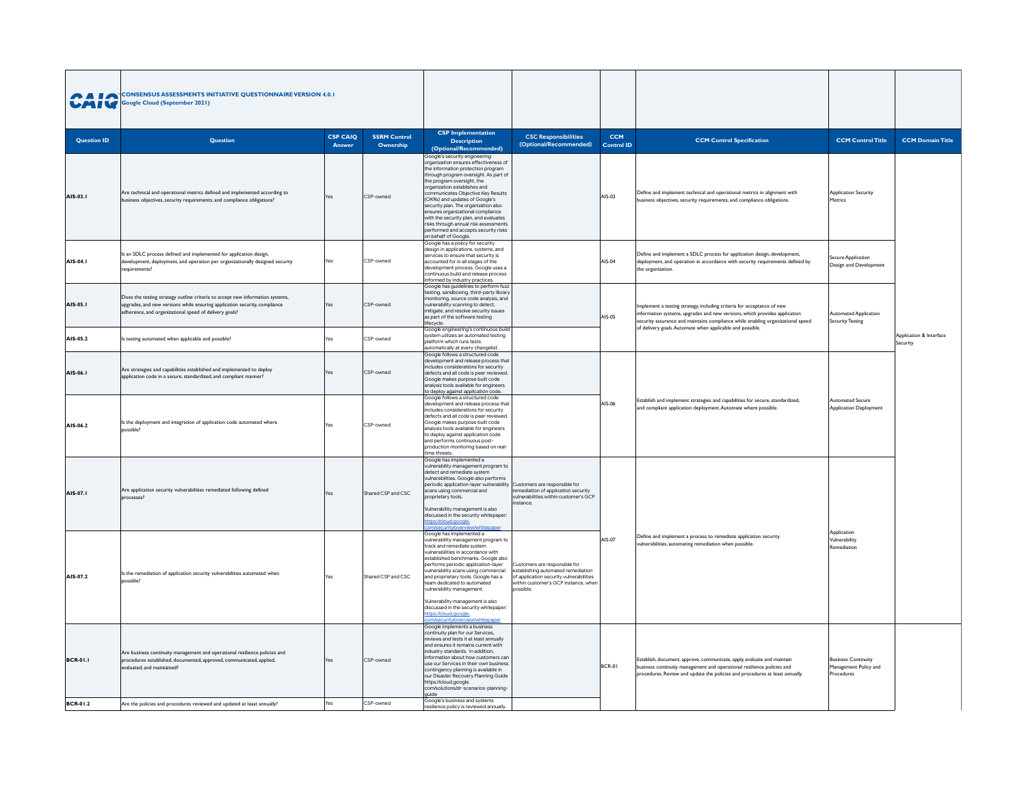|                    | <b>A I A</b> CONSENSUS ASSESSMENTS INITIATIVE QUESTIONNAIRE VERSION 4.0.1<br>Google Cloud (September 2021)<br><b>CSP CAIQ</b><br><b>SSRM Control</b>                                                                  |        |                    |                                                                                                                                                                                                                                                                                                                                                                                                                                                                                                                            |                                                                                                                                                                    |                                 |                                                                                                                                                                                                                                                                                                      |                                                                   |                                    |
|--------------------|-----------------------------------------------------------------------------------------------------------------------------------------------------------------------------------------------------------------------|--------|--------------------|----------------------------------------------------------------------------------------------------------------------------------------------------------------------------------------------------------------------------------------------------------------------------------------------------------------------------------------------------------------------------------------------------------------------------------------------------------------------------------------------------------------------------|--------------------------------------------------------------------------------------------------------------------------------------------------------------------|---------------------------------|------------------------------------------------------------------------------------------------------------------------------------------------------------------------------------------------------------------------------------------------------------------------------------------------------|-------------------------------------------------------------------|------------------------------------|
| <b>Question ID</b> | Question                                                                                                                                                                                                              | Answer | Ownership          | <b>CSP</b> Implementation<br><b>Description</b><br>(Optional/Recommended)                                                                                                                                                                                                                                                                                                                                                                                                                                                  | <b>CSC Responsibilities</b><br>(Optional/Recommended)                                                                                                              | <b>CCM</b><br><b>Control ID</b> | <b>CCM Control Specification</b>                                                                                                                                                                                                                                                                     | <b>CCM Control Title</b>                                          | <b>CCM Domain Title</b>            |
| AIS-03.1           | Are technical and operational metrics defined and implemented according to<br>business objectives, security requirements, and compliance obligations?                                                                 | Yes    | CSP-owned          | Google's security engineering<br>organization ensures effectiveness of<br>the information protection program<br>through program oversight. As part of<br>the program oversight, the<br>organization establishes and<br>communicates Obiective Key Results<br>(OKRs) and updates of Google's<br>security plan. The organization also<br>ensures organizational compliance<br>with the security plan, and evaluates<br>risks through annual risk assessments<br>performed and accepts security risks<br>on behalf of Google. |                                                                                                                                                                    | AIS-03                          | Define and implement technical and operational metrics in alignment with<br>business objectives, security requirements, and compliance obligations.                                                                                                                                                  | <b>Application Security</b><br>Metrics                            |                                    |
| AIS-04.1           | Is an SDLC process defined and implemented for application design,<br>development, deployment, and operation per organizationally designed security<br>requirements <sup>?</sup>                                      | Yes    | CSP-owned          | Google has a policy for security<br>design in applications, systems, and<br>services to ensure that security is<br>accounted for in all stages of the<br>development process. Google uses a<br>continuous build and release process<br>informed by industry practices.                                                                                                                                                                                                                                                     |                                                                                                                                                                    | AIS-04                          | Define and implement a SDLC process for application design, development,<br>deployment, and operation in accordance with security requirements defined by<br>the organization.                                                                                                                       | Secure Application<br>Design and Development                      |                                    |
| AIS-05.1           | Does the testing strategy outline criteria to accept new information systems,<br>upgrades, and new versions while ensuring application security, compliance<br>adherence, and organizational speed of delivery goals? | Yes    | CSP-owned          | Google has quidelines to perform fuzz<br>testing, sandboxing, third-party library<br>monitoring, source code analysis, and<br>vulnerability scanning to detect.<br>mitigate, and resolve security issues<br>as part of the software testing<br>lifecycle.                                                                                                                                                                                                                                                                  |                                                                                                                                                                    | AIS-05                          | Implement a testing strategy, including criteria for acceptance of new<br>information systems, upgrades and new versions, which provides application<br>security assurance and maintains compliance while enabling organizational speed<br>of delivery goals. Automate when applicable and possible. | Automated Application<br><b>Security Testing</b>                  |                                    |
| AIS-05.2           | Is testing automated when applicable and possible?                                                                                                                                                                    | Yes    | CSP-owned          | Google engineering's continuous build<br>system utilizes an automated testing<br>platform which runs tests<br>automatically at every changelist                                                                                                                                                                                                                                                                                                                                                                            |                                                                                                                                                                    |                                 |                                                                                                                                                                                                                                                                                                      |                                                                   | Application & Interface<br>ecurity |
| AIS-06.1           | Are strategies and capabilities established and implemented to deploy<br>application code in a secure, standardized, and compliant manner                                                                             | Yes    | CSP-owned          | Google follows a structured code<br>development and release process that<br>includes considerations for security<br>defects and all code is peer reviewed<br>Google makes purpose built code<br>analysis tools available for engineers<br>to deploy against application code.                                                                                                                                                                                                                                              |                                                                                                                                                                    |                                 |                                                                                                                                                                                                                                                                                                      |                                                                   |                                    |
| AIS-06.2           | Is the deployment and integration of application code automated where<br>possible?                                                                                                                                    | Yes    | CSP-owned          | Google follows a structured code<br>development and release process that<br>includes considerations for security<br>defects and all code is peer reviewed<br>Google makes purpose built code<br>analysis tools available for engineers<br>to deploy against application code<br>and performs continuous post-<br>production monitoring based on real-<br>time threats.                                                                                                                                                     |                                                                                                                                                                    | AIS-06                          | Establish and implement strategies and capabilities for secure, standardized,<br>and compliant application deployment. Automate where possible.                                                                                                                                                      | Automated Secure<br><b>Application Deployment</b>                 |                                    |
| <b>AIS-07.1</b>    | Are application security vulnerabilities remediated following defined<br>rocesses?                                                                                                                                    | Yes    | Shared CSP and CSC | Google has implemented a<br>vulnerability management program to<br>detect and remediate system<br>vulnerabilities. Google also performs<br>periodic application-layer vulnerability Customers are responsible for<br>scans using commercial and<br>proprietary tools.<br>Vulnerability management is also<br>discussed in the security whitepaper<br>ttps://cloud.google.                                                                                                                                                  | remediation of application security<br>vulnerabilities within customer's GCP<br>nstance.                                                                           |                                 |                                                                                                                                                                                                                                                                                                      |                                                                   |                                    |
| AIS-07.2           | Is the remediation of application security vulnerabilities automated when<br>possible:                                                                                                                                | Yes    | Shared CSP and CSC | Google has implemented a<br>vulnerability management program to<br>track and remediate system<br>vulnerabilities in accordance with<br>established benchmarks. Google also<br>performs periodic application-layer<br>vulnerability scans using commercial<br>and proprietary tools. Google has a<br>team dedicated to automated<br>vulnerability management.<br>Vulnerability management is also<br>discussed in the security whitepaper<br>ttps://cloud.google.<br>n <i>i</i> security <i>i</i> overvi                    | Customers are responsible for<br>establishing automated remediation<br>of application security vulnerabilities<br>within customer's GCP instance, when<br>ossible. | AIS-07                          | Define and implement a process to remediate application security<br>vulnerabilities, automating remediation when possible                                                                                                                                                                            | Application<br>Vulnerability<br>Remediation                       |                                    |
| <b>BCR-01.1</b>    | Are business continuity management and operational resilience policies and<br>procedures established, documented, approved, communicated, applied,<br>evaluated, and maintained?                                      | Yes    | CSP-owned          | Google implements a business<br>continuity plan for our Services.<br>reviews and tests it at least annually<br>and ensures it remains current with<br>industry standards. In addition,<br>information about how customers can<br>use our Services in their own business<br>contingency planning is available in<br>our Disaster Recovery Planning Guide<br>https://cloud.google.<br>com/solutions/dr-scenarios-planning-<br>quide                                                                                          |                                                                                                                                                                    | BCR-01                          | Establish, document, approve, communicate, apply, evaluate and maintain<br>business continuity management and operational resilience policies and<br>procedures. Review and update the policies and procedures at least annually.                                                                    | <b>Business Continuity</b><br>Management Policy and<br>Procedures |                                    |
| <b>BCR-01.2</b>    | Are the policies and procedures reviewed and updated at least annually?                                                                                                                                               | Yes    | CSP-owned          | Google's business and systems<br>resilience policy is reviewed annually.                                                                                                                                                                                                                                                                                                                                                                                                                                                   |                                                                                                                                                                    |                                 |                                                                                                                                                                                                                                                                                                      |                                                                   |                                    |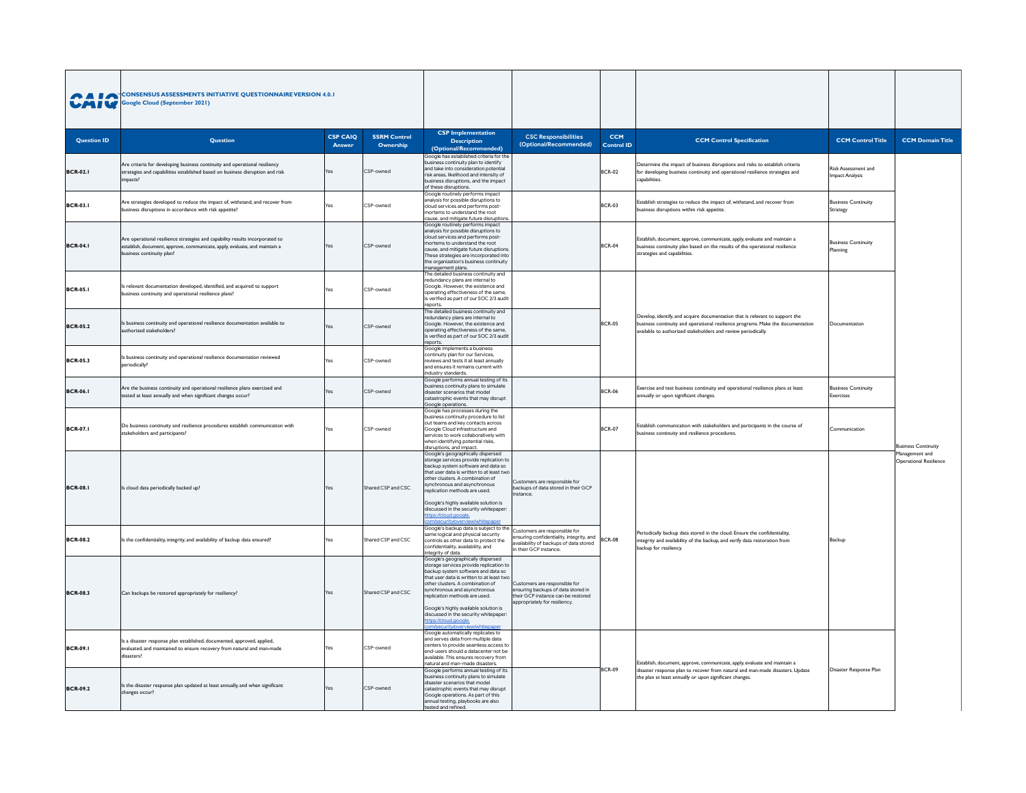| <b>PAIA</b><br>UAIV | <b>CONSENSUS ASSESSMENTS INITIATIVE QUESTIONNAIRE VERSION 4.0.1</b><br><b>Google Cloud (September 2021)</b><br><b>CSP CAIQ</b><br><b>SSRM Control</b>                                   |            |                    |                                                                                                                                                                                                                                                                                                                                                                                                     |                                                                                                                                            |                                 |                                                                                                                                                                                                                                  |                                                |                                                 |
|---------------------|-----------------------------------------------------------------------------------------------------------------------------------------------------------------------------------------|------------|--------------------|-----------------------------------------------------------------------------------------------------------------------------------------------------------------------------------------------------------------------------------------------------------------------------------------------------------------------------------------------------------------------------------------------------|--------------------------------------------------------------------------------------------------------------------------------------------|---------------------------------|----------------------------------------------------------------------------------------------------------------------------------------------------------------------------------------------------------------------------------|------------------------------------------------|-------------------------------------------------|
| <b>Question ID</b>  | Question                                                                                                                                                                                | Answer     | Ownership          | <b>CSP</b> Implementation<br><b>Description</b><br>(Optional/Recommended)                                                                                                                                                                                                                                                                                                                           | <b>CSC Responsibilities</b><br>(Optional/Recommended)                                                                                      | <b>CCM</b><br><b>Control ID</b> | <b>CCM Control Specification</b>                                                                                                                                                                                                 | <b>CCM Control Title</b>                       | <b>CCM Domain Title</b>                         |
| <b>BCR-02.1</b>     | Are criteria for developing business continuity and operational resiliency<br>strategies and capabilities established based on business disruption and risk<br>mpacts?                  |            | CSP-owned          | Google has established criteria for the<br>business continuity plan to identify<br>and take into consideration potential<br>risk areas. likelihood and intensity of<br>business disruptions, and the impact<br>of these disruptions.                                                                                                                                                                |                                                                                                                                            | <b>BCR-02</b>                   | Determine the impact of business disruptions and risks to establish criteria<br>for developing business continuity and operational resilience strategies and<br>capabilities.                                                    | Risk Assessment and<br><b>Impact Analysis</b>  |                                                 |
| <b>BCR-03.1</b>     | Are strategies developed to reduce the impact of, withstand, and recover from<br>usiness disruptions in accordance with risk appetite?                                                  | Yes        | CSP-owned          | Google routinely performs impact<br>analysis for possible disruptions to<br>cloud services and performs post-<br>mortems to understand the root<br>cause, and mitigate future disruption                                                                                                                                                                                                            |                                                                                                                                            | <b>BCR-03</b>                   | Establish strategies to reduce the impact of, withstand, and recover from<br>usiness disruptions within risk appetite.                                                                                                           | <b>Business Continuity</b><br>Strategy         |                                                 |
| <b>BCR-04.1</b>     | Are operational resilience strategies and capability results incorporated to<br>establish, document, approve, communicate, apply, evaluate, and maintain a<br>business continuity plan? | Yes        | CSP-owned          | Google routinely performs impact<br>analysis for possible disruptions to<br>cloud services and performs post-<br>mortems to understand the root<br>cause, and mitigate future disruptions<br>These strategies are incorporated into<br>the organization's business continuity<br>management plans.                                                                                                  |                                                                                                                                            | <b>BCR-04</b>                   | Establish, document, approve, communicate, apply, evaluate and maintain a<br>business continuity plan based on the results of the operational resilience<br>strategies and capabilities.                                         | <b>Business Continuity</b><br>Planning         |                                                 |
| <b>BCR-05.1</b>     | Is relevant documentation developed, identified, and acquired to support<br>business continuity and operational resilience plans?                                                       | Yes        | CSP-owned          | The detailed business continuity and<br>edundancy plans are internal to<br>Google. However, the existence and<br>operating effectiveness of the same,<br>is verified as part of our SOC 2/3 audit<br>reports.                                                                                                                                                                                       |                                                                                                                                            |                                 |                                                                                                                                                                                                                                  |                                                |                                                 |
| <b>BCR-05.2</b>     | s business continuity and operational resilience documentation available to<br>authorized stakeholders?                                                                                 | <b>Yes</b> | CSP-owned          | The detailed business continuity and<br>redundancy plans are internal to<br>Google. However, the existence and<br>operating effectiveness of the same,<br>is verified as part of our SOC 2/3 audit<br>reports.                                                                                                                                                                                      |                                                                                                                                            | <b>BCR-05</b>                   | Develop, identify, and acquire documentation that is relevant to support the<br>business continuity and operational resilience programs. Make the documentation<br>available to authorized stakeholders and review periodically. | Documentation                                  |                                                 |
| <b>BCR-05.3</b>     | s business continuity and operational resilience documentation reviewed<br>periodically!                                                                                                | Yes        | CSP-owned          | Google implements a business<br>continuity plan for our Services,<br>reviews and tests it at least annually<br>and ensures it remains current with<br>industry standards.                                                                                                                                                                                                                           |                                                                                                                                            |                                 |                                                                                                                                                                                                                                  |                                                |                                                 |
| <b>BCR-06.1</b>     | Are the business continuity and operational resilience plans exercised and<br>tested at least annually and when significant changes occur?                                              | Yes        | CSP-owned          | Google performs annual testing of its<br>business continuity plans to simulate<br>disaster scenarios that model<br>catastrophic events that may disrupt<br>Google operations.                                                                                                                                                                                                                       |                                                                                                                                            | <b>BCR-06</b>                   | Exercise and test business continuity and operational resilience plans at least<br>annually or upon significant changes.                                                                                                         | <b>Business Continuity</b><br><b>Exercises</b> |                                                 |
| <b>BCR-07.1</b>     | Do business continuity and resilience procedures establish communication with<br>takeholders and participants?                                                                          | fes        | CSP-owned          | Google has processes during the<br>business continuity procedure to list<br>out teams and key contacts across<br>Google Cloud infrastructure and<br>services to work collaboratively with<br>when identifying potential risks,<br>disruptions, and impact.                                                                                                                                          |                                                                                                                                            | <b>BCR-07</b>                   | Establish communication with stakeholders and participants in the course of<br>business continuity and resilience procedures.                                                                                                    | Communication                                  | <b>Business Continuity</b>                      |
| <b>BCR-08.1</b>     | s cloud data periodically backed up?                                                                                                                                                    | Yes        | Shared CSP and CSC | Google's geographically dispersed<br>storage services provide replication to<br>backup system software and data so<br>that user data is written to at least two<br>other clusters. A combination of<br>synchronous and asynchronous<br>eplication methods are used.<br>Google's highly available solution is<br>discussed in the security whitepaper<br>ttns://cloud.google.<br>n/securitv/overview | Customers are responsible for<br>backups of data stored in their GCP<br>nstance.                                                           |                                 |                                                                                                                                                                                                                                  |                                                | Management and<br><b>Operational Resilience</b> |
| <b>BCR-08.2</b>     | Is the confidentiality, integrity, and availability of backup data ensured?                                                                                                             | Yes        | Shared CSP and CSC | Google's backup data is subject to the<br>same logical and physical security<br>controls as other data to protect the<br>confidentiality, availability, and<br>ntegrity of data.                                                                                                                                                                                                                    | Customers are responsible for<br>ensuring confidentiality, integrity, and<br>availability of backups of data stored<br>their GCP instance. | <b>BCR-08</b>                   | Periodically backup data stored in the cloud. Ensure the confidentiality,<br>integrity and availability of the backup, and verify data restoration from<br>backup for resiliency.                                                | Backup                                         |                                                 |
| <b>BCR-08.3</b>     | Can backups be restored appropriately for resiliency?                                                                                                                                   | Yes        | Shared CSP and CSC | Google's geographically dispersed<br>storage services provide replication to<br>backup system software and data so<br>that user data is written to at least twi<br>other clusters. A combination of<br>synchronous and asynchronous<br>.<br>eplication methods are used.<br>Google's highly available solution is<br>discussed in the security whitepaper<br>ttns://cloud.google                    | Customers are responsible for<br>ensuring backups of data stored in<br>their GCP instance can be restored<br>appropriately for resiliency. |                                 |                                                                                                                                                                                                                                  |                                                |                                                 |
| <b>BCR-09.1</b>     | Is a disaster response plan established, documented, approved, applied,<br>evaluated, and maintained to ensure recovery from natural and man-made<br>lisasters?                         | Yes        | CSP-owned          | Google automatically replicates to<br>and serves data from multiple data<br>centers to provide seamless access to<br>end-users should a datacenter not be<br>available. This ensures recovery from<br>natural and man-made disasters.                                                                                                                                                               |                                                                                                                                            |                                 | Establish, document, approve, communicate, apply, evaluate and maintain a                                                                                                                                                        |                                                |                                                 |
| <b>BCR-09.2</b>     | Is the disaster response plan updated at least annually, and when significant<br>changes occur?                                                                                         | Yes        | CSP-owned          | Google performs annual testing of its<br>business continuity plans to simulate<br>disaster scenarios that model<br>catastrophic events that may disrupt<br>Google operations. As part of this<br>annual testing, playbooks are also<br>tested and refined.                                                                                                                                          |                                                                                                                                            | <b>BCR-09</b>                   | disaster response plan to recover from natural and man-made disasters. Update<br>the plan at least annually or upon significant changes.                                                                                         | Disaster Response Plan                         |                                                 |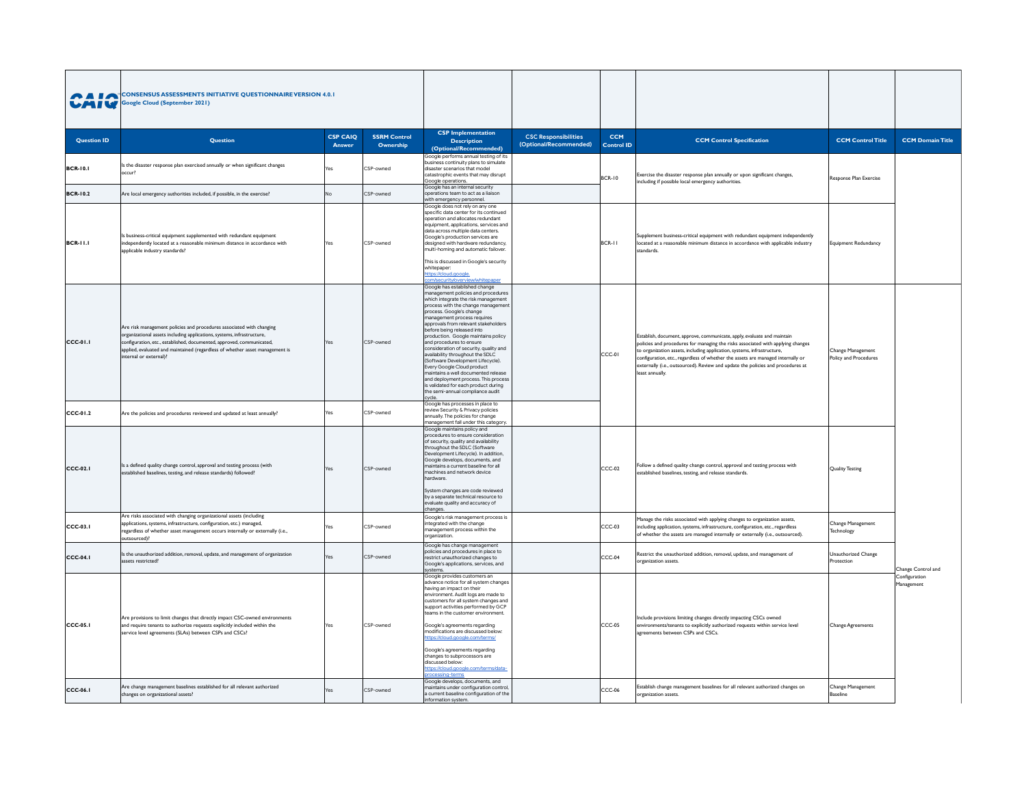|                    | <b>A LO CONSENSUS ASSESSMENTS INITIATIVE QUESTIONNAIRE VERSION 4.0.1</b><br>Google Cloud (September 2021)<br><b>CSP CAIQ</b><br><b>SSRM Control</b><br><b>Ouestion</b>                                                                                                                                                           |        |           |                                                                                                                                                                                                                                                                                                                                                                                                                                                                                                                                                                                                                                          |                                                       |                          |                                                                                                                                                                                                                                                                                                                                                                                                                                |                                            |                                    |
|--------------------|----------------------------------------------------------------------------------------------------------------------------------------------------------------------------------------------------------------------------------------------------------------------------------------------------------------------------------|--------|-----------|------------------------------------------------------------------------------------------------------------------------------------------------------------------------------------------------------------------------------------------------------------------------------------------------------------------------------------------------------------------------------------------------------------------------------------------------------------------------------------------------------------------------------------------------------------------------------------------------------------------------------------------|-------------------------------------------------------|--------------------------|--------------------------------------------------------------------------------------------------------------------------------------------------------------------------------------------------------------------------------------------------------------------------------------------------------------------------------------------------------------------------------------------------------------------------------|--------------------------------------------|------------------------------------|
| <b>Question ID</b> |                                                                                                                                                                                                                                                                                                                                  | Answer | Ownership | <b>CSP</b> Implementation<br><b>Description</b><br>(Optional/Recommended)                                                                                                                                                                                                                                                                                                                                                                                                                                                                                                                                                                | <b>CSC Responsibilities</b><br>(Optional/Recommended) | <b>CCM</b><br>Control ID | <b>CCM Control Specification</b>                                                                                                                                                                                                                                                                                                                                                                                               | <b>CCM Control Title</b>                   | <b>CCM Domain Title</b>            |
| <b>BCR-10.1</b>    | s the disaster response plan exercised annually or when significant changes<br>nccur?                                                                                                                                                                                                                                            | Yes    | CSP-owned | Google performs annual testing of its<br>business continuity plans to simulate<br>disaster scenarios that model<br>catastrophic events that may disrupt<br>Google operations.                                                                                                                                                                                                                                                                                                                                                                                                                                                            |                                                       | <b>BCR-10</b>            | Exercise the disaster response plan annually or upon significant changes,<br>ncluding if possible local emergency authorities.                                                                                                                                                                                                                                                                                                 | Response Plan Exercise                     |                                    |
| <b>BCR-10.2</b>    | Are local emergency authorities included, if possible, in the exercise?                                                                                                                                                                                                                                                          | No     | CSP-owned | Google has an internal security<br>operations team to act as a liaison<br>vith emergency personnel.                                                                                                                                                                                                                                                                                                                                                                                                                                                                                                                                      |                                                       |                          |                                                                                                                                                                                                                                                                                                                                                                                                                                |                                            |                                    |
| <b>BCR-11.1</b>    | s business-critical equipment supplemented with redundant equipment<br>independently located at a reasonable minimum distance in accordance with<br>applicable industry standards?                                                                                                                                               | Yes    | CSP-owned | Google does not rely on any one<br>specific data center for its continued<br>operation and allocates redundant<br>equipment, applications, services and<br>data across multiple data centers.<br>Google's production services are<br>designed with hardware redundancy,<br>multi-homing and automatic failover.<br>This is discussed in Google's security<br>whitepaper:<br>https://cloud.google.<br>com/security/overview/whitepaper<br>Google has established change                                                                                                                                                                   |                                                       | BCR-11                   | Supplement business-critical equipment with redundant equipment independently<br>located at a reasonable minimum distance in accordance with applicable industry<br>standards.                                                                                                                                                                                                                                                 | Equipment Redundancy                       |                                    |
| <b>CCC-01.1</b>    | Are risk management policies and procedures associated with changing<br>organizational assets including applications, systems, infrastructure,<br>onfiguration, etc., established, documented, approved, communicated,<br>applied, evaluated and maintained (regardless of whether asset management is<br>internal or external)? | Yes    | CSP-owned | management policies and procedures<br>which integrate the risk management<br>process with the change managemen<br>process. Google's change<br>management process requires<br>approvals from relevant stakeholders<br>before being released into<br>production. Google maintains policy<br>and procedures to ensure<br>consideration of security, quality and<br>availability throughout the SDLC<br>(Software Development Lifecycle).<br>Every Google Cloud product<br>maintains a well documented release<br>and deployment process. This process<br>is validated for each product during<br>the semi-annual compliance audit<br>cycle. |                                                       | CCC-01                   | Establish, document, approve, communicate, apply, evaluate and maintain<br>policies and procedures for managing the risks associated with applying changes<br>to organization assets, including application, systems, infrastructure,<br>configuration, etc., regardless of whether the assets are managed internally or<br>externally (i.e., outsourced). Review and update the policies and procedures at<br>least annually. | Change Management<br>Policy and Procedures |                                    |
| CCC-01.2           | Are the policies and procedures reviewed and updated at least annually?                                                                                                                                                                                                                                                          | Yes    | CSP-owned | Google has processes in place to<br>review Security & Privacy policies<br>annually. The policies for change<br>management fall under this category                                                                                                                                                                                                                                                                                                                                                                                                                                                                                       |                                                       |                          |                                                                                                                                                                                                                                                                                                                                                                                                                                |                                            |                                    |
| $CCC-02.1$         | s a defined quality change control, approval and testing process (with<br>established baselines, testing, and release standards) followed?                                                                                                                                                                                       | Yes    | CSP-owned | Google maintains policy and<br>procedures to ensure consideration<br>of security, quality and availability<br>throughout the SDLC (Software<br>Development Lifecycle), In addition.<br>Google develops, documents, and<br>maintains a current baseline for all<br>machines and network device<br>hardware<br>System changes are code reviewed<br>by a separate technical resource to<br>evaluate quality and accuracy of<br>changes.                                                                                                                                                                                                     |                                                       | $CCC-02$                 | Follow a defined quality change control, approval and testing process with<br>established baselines, testing, and release standards.                                                                                                                                                                                                                                                                                           | <b>Quality Testing</b>                     |                                    |
| $ ccc-03.1$        | Are risks associated with changing organizational assets (including<br>applications, systems, infrastructure, configuration, etc.) managed,<br>regardless of whether asset management occurs internally or externally (i.e.,<br>outsourced)?                                                                                     | Yes    | CSP-owned | Google's risk management process is<br>integrated with the change<br>management process within the<br>organization.                                                                                                                                                                                                                                                                                                                                                                                                                                                                                                                      |                                                       | $CCC-03$                 | Manage the risks associated with applying changes to organization assets,<br>including application, systems, infrastructure, configuration, etc., regardless<br>of whether the assets are managed internally or externally (i.e., outsourced).                                                                                                                                                                                 | Change Management<br>Technology            |                                    |
| CCC-04.1           | s the unauthorized addition, removal, update, and management of organization<br>assets restricted?                                                                                                                                                                                                                               | Yoc    | CSP-owned | Google has change management<br>policies and procedures in place to<br>restrict unauthorized changes to<br>Google's applications, services, and<br>systems.                                                                                                                                                                                                                                                                                                                                                                                                                                                                              |                                                       | CCC-04                   | Restrict the unauthorized addition, removal, update, and management of<br>organization assets.                                                                                                                                                                                                                                                                                                                                 | Unauthorized Change<br>Protection          | Change Control and                 |
| CCC-05.1           | Are provisions to limit changes that directly impact CSC-owned environments<br>and require tenants to authorize requests explicitly included within the<br>service level agreements (SLAs) between CSPs and CSCs?                                                                                                                | Yes    | CSP-owned | Google provides customers an<br>advance notice for all system changes<br>having an impact on their<br>environment. Audit logs are made to<br>customers for all system changes and<br>support activities performed by GCP<br>teams in the customer environment.<br>Google's agreements regarding<br>modifications are discussed below:<br>ttps://cloud.google.com/terms/<br>Google's agreements regarding<br>changes to subprocessors are<br>discussed below:<br>ttps://cloud.google.com/ter<br>ocessing-term<br>Google develops, documents, and                                                                                          |                                                       | $CCC-05$                 | Include provisions limiting changes directly impacting CSCs owned<br>environments/tenants to explicitly authorized requests within service level<br>agreements between CSPs and CSCs.                                                                                                                                                                                                                                          | <b>Change Agreements</b>                   | Configuration<br><b>lanagement</b> |
| CCC-06.1           | Are change management baselines established for all relevant authorized<br>changes on organizational assets?                                                                                                                                                                                                                     | Yes    | CSP-owned | maintains under configuration control,<br>a current baseline configuration of the<br>information system                                                                                                                                                                                                                                                                                                                                                                                                                                                                                                                                  |                                                       | $CCC-06$                 | Establish change management baselines for all relevant authorized changes on<br>organization assets.                                                                                                                                                                                                                                                                                                                           | Change Management<br><b>Baseline</b>       |                                    |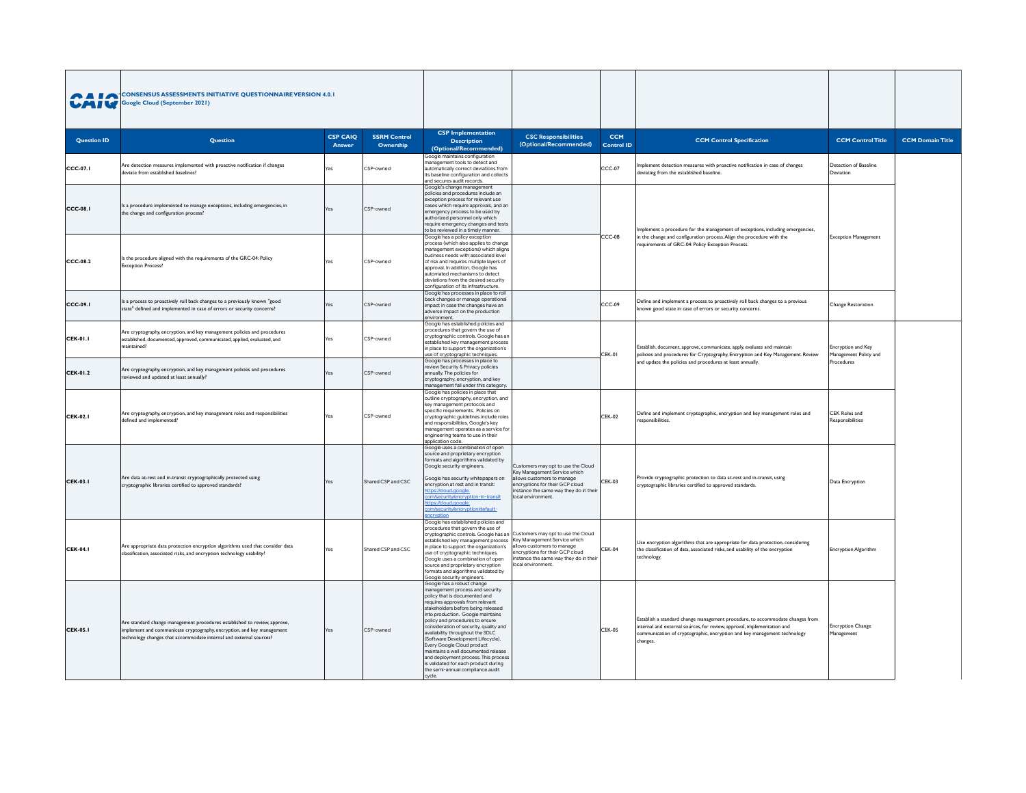|                    | <b>A LA CONSENSUS ASSESSMENTS INITIATIVE QUESTIONNAIRE VERSION 4.0.1</b><br>Google Cloud (September 2021)                                                                                                                 |                           |                                  |                                                                                                                                                                                                                                                                                                                                                                                                                                                                                                                                                                        |                                                                                                                                                                                                   |                                 |                                                                                                                                                                                                                                                  |                                             |                         |
|--------------------|---------------------------------------------------------------------------------------------------------------------------------------------------------------------------------------------------------------------------|---------------------------|----------------------------------|------------------------------------------------------------------------------------------------------------------------------------------------------------------------------------------------------------------------------------------------------------------------------------------------------------------------------------------------------------------------------------------------------------------------------------------------------------------------------------------------------------------------------------------------------------------------|---------------------------------------------------------------------------------------------------------------------------------------------------------------------------------------------------|---------------------------------|--------------------------------------------------------------------------------------------------------------------------------------------------------------------------------------------------------------------------------------------------|---------------------------------------------|-------------------------|
| <b>Question ID</b> | <b>Ouestion</b>                                                                                                                                                                                                           | <b>CSP CAIQ</b><br>Answer | <b>SSRM Control</b><br>Ownership | <b>CSP</b> Implementation<br><b>Description</b><br>(Optional/Recommended)                                                                                                                                                                                                                                                                                                                                                                                                                                                                                              | <b>CSC Responsibilities</b><br>(Optional/Recommended)                                                                                                                                             | <b>CCM</b><br><b>Control ID</b> | <b>CCM Control Specification</b>                                                                                                                                                                                                                 | <b>CCM Control Title</b>                    | <b>CCM Domain Title</b> |
| CCC-07.1           | Are detection measures implemented with proactive notification if changes<br>deviate from established baselines?                                                                                                          | Yes                       | CSP-owned                        | Google maintains configuration<br>management tools to detect and<br>automatically correct deviations from<br>its baseline configuration and collects<br>and secures audit records.                                                                                                                                                                                                                                                                                                                                                                                     |                                                                                                                                                                                                   | CCC-07                          | mplement detection measures with proactive notification in case of changes<br>viating from the established baseline.                                                                                                                             | Detection of Baseline<br>Deviation          |                         |
| CCC-08.1           | Is a procedure implemented to manage exceptions, including emergencies, in<br>the change and configuration process?                                                                                                       | Yes                       | CSP-owned                        | Google's change management<br>policies and procedures include an<br>exception process for relevant use<br>cases which require approvals, and an<br>emergency process to be used by<br>authorized personnel only which<br>require emergency changes and tests<br>to be reviewed in a timely manner.                                                                                                                                                                                                                                                                     |                                                                                                                                                                                                   |                                 | mplement a procedure for the management of exceptions, including emergencies,                                                                                                                                                                    |                                             |                         |
| $CCC-08.2$         | Is the procedure aligned with the requirements of the GRC-04: Policy<br><b>Exception Process?</b>                                                                                                                         | Yes                       | CSP-owned                        | Google has a policy exception<br>process (which also applies to change<br>management exceptions) which aligns<br>business needs with associated level<br>of risk and requires multiple layers of<br>approval. In addition, Google has<br>automated mechanisms to detect<br>deviations from the desired security<br>configuration of its infrastructure.                                                                                                                                                                                                                |                                                                                                                                                                                                   | $CCC-08$                        | in the change and configuration process. Align the procedure with the<br>requirements of GRC-04: Policy Exception Process.                                                                                                                       | <b>Exception Management</b>                 |                         |
| CCC-09.1           | Is a process to proactively roll back changes to a previously known "good<br>state" defined and implemented in case of errors or security concerns?                                                                       | Yes                       | CSP-owned                        | Google has processes in place to roll<br>back changes or manage operational<br>impact in case the changes have an<br>adverse impact on the production<br>environment.                                                                                                                                                                                                                                                                                                                                                                                                  |                                                                                                                                                                                                   | CCC-09                          | Define and implement a process to proactively roll back changes to a previous<br>nown good state in case of errors or security concerns.                                                                                                         | Change Restoration                          |                         |
| <b>CEK-01.1</b>    | Are cryptography, encryption, and key management policies and procedures<br>established, documented, approved, communicated, applied, evaluated, and<br>maintained?                                                       | Yes                       | CSP-owned                        | Google has established policies and<br>procedures that govern the use of<br>cryptographic controls. Google has an<br>established key management process<br>in place to support the organization's<br>use of cryptographic techniques.                                                                                                                                                                                                                                                                                                                                  |                                                                                                                                                                                                   | CEK-01                          | Establish, document, approve, communicate, apply, evaluate and maintain<br>policies and procedures for Cryptography, Encryption and Key Management. Review                                                                                       | Encryption and Key<br>Management Policy and |                         |
| <b>CEK-01.2</b>    | Are cryptography, encryption, and key management policies and procedures<br>eviewed and updated at least annually?                                                                                                        | Yes                       | CSP-owned                        | Google has processes in place to<br>review Security & Privacy policies<br>annually. The policies for<br>cryptography, encryption, and key<br>management fall under this category.                                                                                                                                                                                                                                                                                                                                                                                      |                                                                                                                                                                                                   |                                 | and update the policies and procedures at least annually.                                                                                                                                                                                        | Procedures                                  |                         |
| CEK-02.1           | Are cryptography, encryption, and key management roles and responsibilities<br>defined and implemented?                                                                                                                   | Yes                       | CSP-owned                        | Google has policies in place that<br>outline cryptography, encryption, and<br>key management protocols and<br>specific requirements. Policies on<br>cryptographic guidelines include roles<br>and responsibilities. Google's key<br>management operates as a service for<br>engineering teams to use in their<br>application code.                                                                                                                                                                                                                                     |                                                                                                                                                                                                   | <b>CEK-02</b>                   | Define and implement cryptographic, encryption and key management roles and<br>responsibilities.                                                                                                                                                 | CEK Roles and<br>Responsibilities           |                         |
| CEK-03.1           | Are data at-rest and in-transit cryptographically protected using<br>cryptographic libraries certified to approved standards?                                                                                             | Yes                       | Shared CSP and CSC               | Google uses a combination of open<br>source and proprietary encryption<br>formats and algorithms validated by<br>Google security engineers.<br>Google has security whitepapers on<br>encryption at rest and in transit:<br>https://cloud.google.<br>com/security/encryption-in-transit<br>https://cloud.google.<br>om/security/encryption/default-<br>cryption                                                                                                                                                                                                         | Customers may opt to use the Cloud<br>Key Management Service which<br>allows customers to manage<br>encryptions for their GCP cloud<br>nstance the same way they do in their<br>local environment | CEK-03                          | Provide cryptographic protection to data at-rest and in-transit, using<br>cryptographic libraries certified to approved standards.                                                                                                               | Data Encryption                             |                         |
| CEK-04.1           | Are appropriate data protection encryption algorithms used that consider data<br>classification, associated risks, and encryption technology usability?                                                                   | Yes                       | Shared CSP and CSC               | Google has established policies and<br>procedures that govern the use of<br>cryptographic controls. Google has an Customers may opt to use the Cloud<br>established key management process   Key Management Service which<br>in place to support the organization's allows customers to manage<br>use of cryptographic techniques.<br>Google uses a combination of open<br>source and proprietary encryption<br>formats and algorithms validated by<br>Google security engineers.                                                                                      | encryptions for their GCP cloud<br>instance the same way they do in their<br>local environment.                                                                                                   | <b>CEK-04</b>                   | Use encryption algorithms that are appropriate for data protection, considering<br>the classification of data, associated risks, and usability of the encryption<br>echnology.                                                                   | Encryption Algorithm                        |                         |
| CEK-05.1           | Are standard change management procedures established to review, approve,<br>implement and communicate cryptography, encryption, and key management<br>technology changes that accommodate internal and external sources? | Yes                       | CSP-owned                        | Google has a robust change<br>management process and security<br>policy that is documented and<br>requires approvals from relevant<br>stakeholders before being released<br>into production. Google maintains<br>policy and procedures to ensure<br>consideration of security, quality and<br>availability throughout the SDLC<br>(Software Development Lifecycle).<br>Every Google Cloud product<br>maintains a well documented release<br>and deployment process. This process<br>is validated for each product during<br>the semi-annual compliance audit<br>cycle. |                                                                                                                                                                                                   | <b>CEK-05</b>                   | Establish a standard change management procedure, to accommodate changes from<br>internal and external sources, for review, approval, implementation and<br>communication of cryptographic, encryption and key management technology<br>changes. | <b>Encryption Change</b><br>Management      |                         |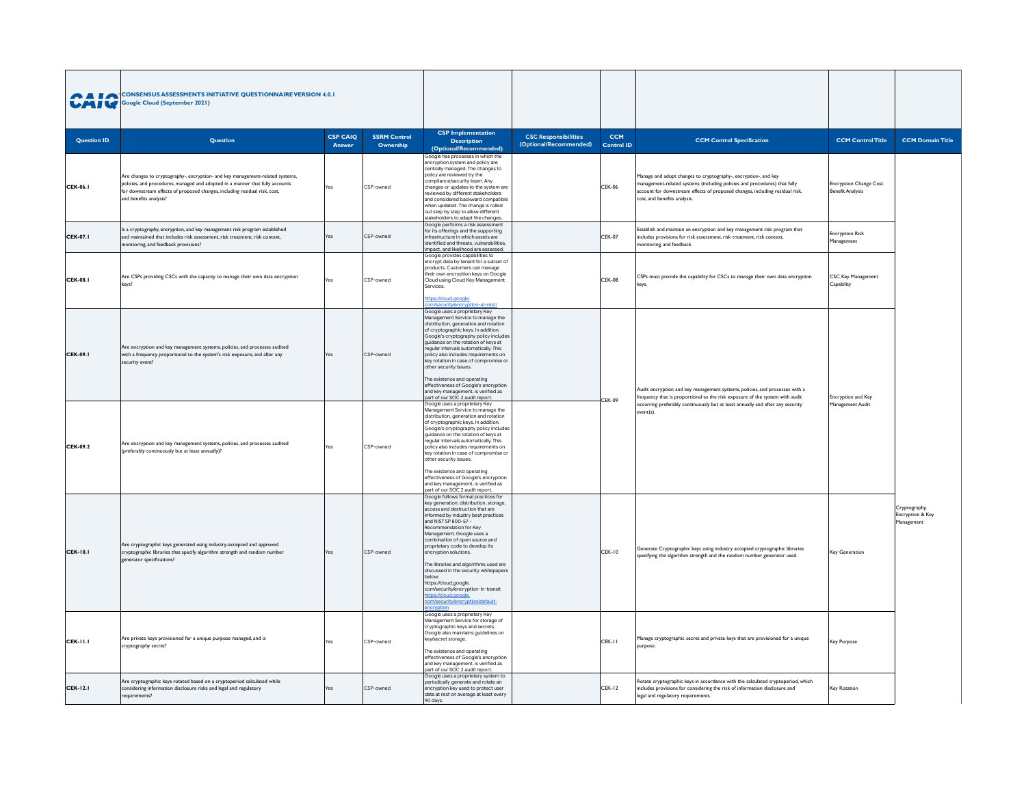| WAIW               | <b>A I A</b> CONSENSUS ASSESSMENTS INITIATIVE QUESTIONNAIRE VERSION 4.0.1<br><b>Google Cloud (September 2021)</b><br><b>CSP CAIQ</b><br><b>SSRM Control</b><br>Question                                                                                                |        |           |                                                                                                                                                                                                                                                                                                                                                                                                                                                                                                                                                                                                              |                                                       |                                 |                                                                                                                                                                                                                                                              |                                                          |                                                        |
|--------------------|------------------------------------------------------------------------------------------------------------------------------------------------------------------------------------------------------------------------------------------------------------------------|--------|-----------|--------------------------------------------------------------------------------------------------------------------------------------------------------------------------------------------------------------------------------------------------------------------------------------------------------------------------------------------------------------------------------------------------------------------------------------------------------------------------------------------------------------------------------------------------------------------------------------------------------------|-------------------------------------------------------|---------------------------------|--------------------------------------------------------------------------------------------------------------------------------------------------------------------------------------------------------------------------------------------------------------|----------------------------------------------------------|--------------------------------------------------------|
| <b>Question ID</b> |                                                                                                                                                                                                                                                                        | Answer | Ownership | <b>CSP</b> Implementation<br><b>Description</b><br>(Optional/Recommended)                                                                                                                                                                                                                                                                                                                                                                                                                                                                                                                                    | <b>CSC Responsibilities</b><br>(Optional/Recommended) | <b>CCM</b><br><b>Control ID</b> | <b>CCM Control Specification</b>                                                                                                                                                                                                                             | <b>CCM Control Title</b>                                 | <b>CCM Domain Title</b>                                |
| CEK-06.1           | Are changes to cryptography-, encryption- and key management-related systems,<br>policies, and procedures, managed and adopted in a manner that fully accounts<br>for downstream effects of proposed changes, including residual risk, cost,<br>and benefits analysis? | Yes    | CSP-owned | Google has processes in which the<br>encryption system and policy are<br>centrally managed. The changes to<br>policy are reviewed by the<br>compliance/security team. Any<br>changes or updates to the system are<br>reviewed by different stakeholders<br>and considered backward compatible<br>when updated. The change is rolled<br>out step by step to allow different<br>stakeholders to adapt the changes.                                                                                                                                                                                             |                                                       | <b>CEK-06</b>                   | Manage and adopt changes to cryptography-, encryption-, and key<br>management-related systems (including policies and procedures) that fully<br>account for downstream effects of proposed changes, including residual risk,<br>cost, and benefits analysis. | <b>Encryption Change Cost</b><br><b>Benefit Analysis</b> |                                                        |
| CEK-07.1           | s a cryptography, encryption, and key management risk program established<br>and maintained that includes risk assessment, risk treatment, risk context,<br>nonitoring, and feedback provisions?                                                                       | Yes    | CSP-owned | Google performs a risk assessment<br>for its offerings and the supporting<br>infrastructure in which assets are<br>identified and threats, vulnerabilities.<br>impact, and likelihood are assessed.                                                                                                                                                                                                                                                                                                                                                                                                          |                                                       | <b>CEK-07</b>                   | stablish and maintain an encryption and key management risk program that<br>includes provisions for risk assessment, risk treatment, risk context.<br>monitoring, and feedback.                                                                              | <b>Encryption Risk</b><br>Management                     |                                                        |
| CEK-08.1           | Are CSPs providing CSCs with the capacity to manage their own data encryption<br>keys?                                                                                                                                                                                 | Yes    | CSP-owned | Google provides capabilities to<br>encrypt data by tenant for a subset of<br>products. Customers can manage<br>their own encryption keys on Google<br>Cloud using Cloud Key Management<br>Services.<br>https://cloud.google.<br>m/security/encryption-at-rest                                                                                                                                                                                                                                                                                                                                                |                                                       | <b>CEK-08</b>                   | CSPs must provide the capability for CSCs to manage their own data encryption                                                                                                                                                                                | CSC Key Management<br>Capability                         |                                                        |
| CEK-09.1           | Are encryption and key management systems, policies, and processes audited<br>with a frequency proportional to the system's risk exposure, and after any<br>security event                                                                                             | Yes    | CSP-owned | Google uses a proprietary Key<br>Management Service to manage the<br>distribution, generation and rotation<br>of cryptographic keys. In addition,<br>Google's cryptography policy includes<br>guidance on the rotation of keys at<br>regular intervals automatically. This<br>policy also includes requirements on<br>key rotation in case of compromise o<br>other security issues.<br>The existence and operating<br>effectiveness of Google's encryption<br>and key management, is verified as<br>part of our SOC 2 audit report.                                                                         |                                                       | CEK-09                          | Audit encryption and key management systems, policies, and processes with a<br>frequency that is proportional to the risk exposure of the system with audit                                                                                                  | Encryption and Key                                       |                                                        |
| CEK-09.2           | Are encryption and key management systems, policies, and processes audited<br>(preferably continuously but at least annually)?                                                                                                                                         | Yes    | CSP-owned | Google uses a proprietary Key<br>Management Service to manage the<br>distribution, generation and rotation<br>of cryptographic keys. In addition,<br>Google's cryptography policy includes<br>guidance on the rotation of keys at<br>regular intervals automatically. This<br>policy also includes requirements on<br>key rotation in case of compromise of<br>other security issues.<br>The existence and operating<br>effectiveness of Google's encryption<br>and key management, is verified as                                                                                                           |                                                       |                                 | occurring preferably continuously but at least annually and after any security<br>$event(s)$ .                                                                                                                                                               | Management Audit                                         |                                                        |
| CEK-10.1           | Are cryptographic keys generated using industry-accepted and approved<br>cryptographic libraries that specify algorithm strength and random number<br>enerator specifications?                                                                                         | Yes    | CSP-owned | part of our SOC 2 audit report.<br>Google follows formal practices for<br>key generation, distribution, storage,<br>access and destruction that are<br>informed by industry best practices<br>and NIST SP 800-57 -<br>Recommendation for Key<br>Management. Google uses a<br>combination of open source and<br>proprietary code to develop its<br>encryption solutions.<br>The libraries and algorithms used are<br>discussed in the security whitepapers<br>below:<br>https://cloud.google.<br>com/security/encryption-in-transit<br>https://cloud.google.<br>com/security/encryption/default-<br>ncrvotion |                                                       | <b>CEK-10</b>                   | Generate Cryptographic keys using industry accepted cryptographic libraries<br>specifying the algorithm strength and the random number generator used.                                                                                                       | Key Generation                                           | Cryptography,<br>Encryption & Key<br><b>Management</b> |
| <b>CEK-11.1</b>    | Are private keys provisioned for a unique purpose managed, and is<br>cryptography secret?                                                                                                                                                                              | Yes    | CSP-owned | Google uses a proprietary Key<br>Management Service for storage of<br>cryptographic keys and secrets.<br>Google also maintains guidelines on<br>key/secret storage.<br>The existence and operating<br>effectiveness of Google's encryption<br>and key management, is verified as<br>part of our SOC 2 audit report.                                                                                                                                                                                                                                                                                          |                                                       | CEK-II                          | Manage cryptographic secret and private keys that are provisioned for a unique<br>purpose.                                                                                                                                                                   | Key Purpose                                              |                                                        |
| CEK-12.1           | Are cryptographic keys rotated based on a cryptoperiod calculated while<br>considering information disclosure risks and legal and regulatory<br>equirements?                                                                                                           | Yes    | CSP-owned | Google uses a proprietary system to<br>periodically generate and rotate an<br>encryption key used to protect user<br>data at rest on average at least every<br>90 days.                                                                                                                                                                                                                                                                                                                                                                                                                                      |                                                       | <b>CEK-12</b>                   | Rotate cryptographic keys in accordance with the calculated cryptoperiod, which<br>includes provisions for considering the risk of information disclosure and<br>legal and regulatory requirements.                                                          | <b>Key Rotation</b>                                      |                                                        |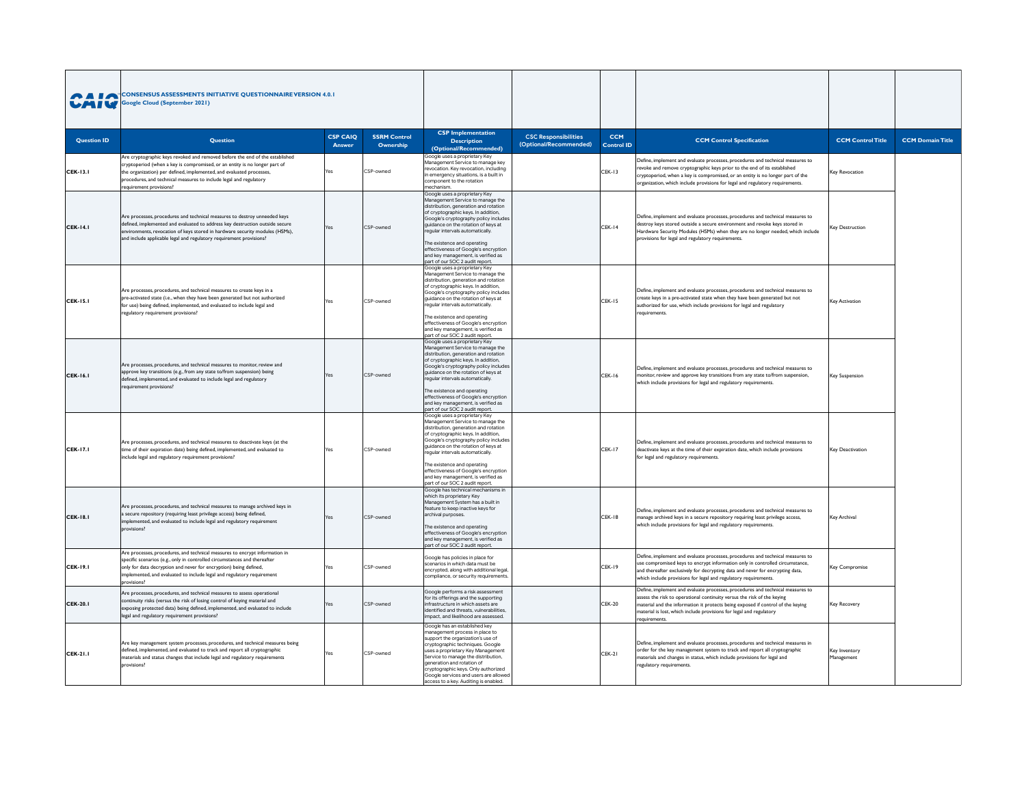| UAIV               | <b>CONSENSUS ASSESSMENTS INITIATIVE QUESTIONNAIRE VERSION 4.0.1</b><br><b>Google Cloud (September 2021)</b><br><b>CSP CAIO</b><br><b>SSRM Control</b>                                                                                                                                                                             |               |           |                                                                                                                                                                                                                                                                                                                                                                                                                       |                                                       |                                 |                                                                                                                                                                                                                                                                                                                                      |                             |                         |
|--------------------|-----------------------------------------------------------------------------------------------------------------------------------------------------------------------------------------------------------------------------------------------------------------------------------------------------------------------------------|---------------|-----------|-----------------------------------------------------------------------------------------------------------------------------------------------------------------------------------------------------------------------------------------------------------------------------------------------------------------------------------------------------------------------------------------------------------------------|-------------------------------------------------------|---------------------------------|--------------------------------------------------------------------------------------------------------------------------------------------------------------------------------------------------------------------------------------------------------------------------------------------------------------------------------------|-----------------------------|-------------------------|
| <b>Question ID</b> | Question                                                                                                                                                                                                                                                                                                                          | <b>Answer</b> | Ownership | <b>CSP</b> Implementation<br><b>Description</b><br>(Optional/Recommended)                                                                                                                                                                                                                                                                                                                                             | <b>CSC Responsibilities</b><br>(Optional/Recommended) | <b>CCM</b><br><b>Control ID</b> | <b>CCM Control Specification</b>                                                                                                                                                                                                                                                                                                     | <b>CCM Control Title</b>    | <b>CCM Domain Title</b> |
| CEK-13.1           | Are cryptographic keys revoked and removed before the end of the established<br>cryptoperiod (when a key is compromised, or an entity is no longer part of<br>the organization) per defined, implemented, and evaluated processes,<br>rocedures, and technical measures to include legal and regulatory<br>equirement provisions? | Yes           | CSP-owned | Google uses a proprietary Key<br>Management Service to manage key<br>revocation. Key revocation, including<br>in emergency situations, is a built in<br>component to the rotation<br>mechanism.                                                                                                                                                                                                                       |                                                       | <b>CEK-13</b>                   | Define, implement and evaluate processes, procedures and technical measures to<br>revoke and remove cryptographic keys prior to the end of its established<br>cryptoperiod, when a key is compromised, or an entity is no longer part of the<br>organization, which include provisions for legal and regulatory requirements.        | Key Revocation              |                         |
| CEK-14.1           | Are processes, procedures and technical measures to destroy unneeded keys<br>defined, implemented and evaluated to address key destruction outside secure<br>environments, revocation of keys stored in hardware security modules (HSMs),<br>and include applicable legal and regulatory requirement provisions?                  | Yes           | CSP-owned | Google uses a proprietary Key<br>Management Service to manage the<br>distribution, generation and rotation<br>of cryptographic keys. In addition,<br>Google's cryptography policy includes<br>quidance on the rotation of keys at<br>regular intervals automatically.<br>The existence and operating<br>effectiveness of Google's encryption<br>and key management, is verified as<br>part of our SOC 2 audit report. |                                                       | CEK-14                          | Define, implement and evaluate processes, procedures and technical measures to<br>destroy keys stored outside a secure environment and revoke keys stored in<br>Hardware Security Modules (HSMs) when they are no longer needed, which include<br>provisions for legal and regulatory requirements.                                  | <b>Key Destruction</b>      |                         |
| CEK-15.1           | Are processes, procedures, and technical measures to create keys in a<br>ore-activated state (i.e., when they have been generated but not authorized<br>for use) being defined, implemented, and evaluated to include legal and<br>regulatory requirement provisions?                                                             | Yes           | CSP-owned | Google uses a proprietary Key<br>Management Service to manage the<br>distribution, generation and rotation<br>of cryptographic keys. In addition,<br>Google's cryptography policy includes<br>guidance on the rotation of keys at<br>regular intervals automatically.<br>The existence and operating<br>effectiveness of Google's encryption<br>and key management, is verified as<br>part of our SOC 2 audit report. |                                                       | <b>CEK-15</b>                   | Define, implement and evaluate processes, procedures and technical measures to<br>create keys in a pre-activated state when they have been generated but not<br>authorized for use, which include provisions for legal and regulatory<br>requirements.                                                                               | Key Activation              |                         |
| CEK-16.1           | Are processes, procedures, and technical measures to monitor, review and<br>approve key transitions (e.g., from any state to/from suspension) being<br>defined, implemented, and evaluated to include legal and regulatory<br>equirement provisions?                                                                              | Yes           | CSP-owned | Google uses a proprietary Key<br>Management Service to manage the<br>distribution, generation and rotation<br>of cryptographic keys. In addition,<br>Google's cryptography policy includes<br>guidance on the rotation of keys at<br>regular intervals automatically.<br>The existence and operating<br>effectiveness of Google's encryption<br>and key management, is verified as<br>part of our SOC 2 audit report. |                                                       | <b>CEK-16</b>                   | Define, implement and evaluate processes, procedures and technical measures to<br>monitor, review and approve key transitions from any state to/from suspension.<br>which include provisions for legal and regulatory requirements.                                                                                                  | <b>Key Suspension</b>       |                         |
| <b>CEK-17.1</b>    | Are processes, procedures, and technical measures to deactivate keys (at the<br>time of their expiration date) being defined, implemented, and evaluated to<br>include legal and regulatory requirement provisions?                                                                                                               | Yes           | CSP-owned | Google uses a proprietary Key<br>Management Service to manage the<br>distribution, generation and rotation<br>of cryptographic keys. In addition,<br>Google's cryptography policy includes<br>quidance on the rotation of keys at<br>regular intervals automatically.<br>The existence and operating<br>effectiveness of Google's encryption<br>and key management, is verified as<br>part of our SOC 2 audit report. |                                                       | $CFK-17$                        | Define, implement and evaluate processes, procedures and technical measures to<br>deactivate keys at the time of their expiration date, which include provisions<br>for legal and regulatory requirements.                                                                                                                           | Key Deactivation            |                         |
| <b>CEK-18.1</b>    | Are processes, procedures, and technical measures to manage archived keys in<br>a secure repository (requiring least privilege access) being defined,<br>implemented, and evaluated to include legal and regulatory requirement<br>provisions?                                                                                    | Yes           | CSP-owned | Google has technical mechanisms in<br>which its proprietary Key<br>Management System has a built in<br>feature to keep inactive keys for<br>archival purposes.<br>The existence and operating<br>effectiveness of Google's encryption<br>and key management, is verified as<br>part of our SOC 2 audit report.                                                                                                        |                                                       | <b>CEK-18</b>                   | Define, implement and evaluate processes, procedures and technical measures to<br>manage archived keys in a secure repository requiring least privilege access,<br>which include provisions for legal and regulatory requirements.                                                                                                   | Key Archival                |                         |
| CEK-19.1           | Are processes, procedures, and technical measures to encrypt information in<br>specific scenarios (e.g., only in controlled circumstances and thereafter<br>only for data decryption and never for encryption) being defined,<br>implemented, and evaluated to include legal and regulatory requirement<br>rovisions?             | Yes           | CSP-owned | Google has policies in place for<br>scenarios in which data must be<br>encrypted, along with additional legal<br>compliance, or security requirements                                                                                                                                                                                                                                                                 |                                                       | <b>CEK-19</b>                   | Define, implement and evaluate processes, procedures and technical measures to<br>use compromised keys to encrypt information only in controlled circumstance,<br>and thereafter exclusively for decrypting data and never for encrypting data,<br>which include provisions for legal and regulatory requirements.                   | Key Compromise              |                         |
| CEK-20.1           | Are processes, procedures, and technical measures to assess operational<br>ontinuity risks (versus the risk of losing control of keying material and<br>exposing protected data) being defined, implemented, and evaluated to include<br>legal and regulatory requirement provisions?                                             | Yes           | CSP-owned | Google performs a risk assessment<br>for its offerings and the supporting<br>infrastructure in which assets are<br>identified and threats, vulnerabilities,<br>impact, and likelihood are assessed.                                                                                                                                                                                                                   |                                                       | <b>CEK-20</b>                   | Define, implement and evaluate processes, procedures and technical measures to<br>assess the risk to operational continuity versus the risk of the keying<br>material and the information it protects being exposed if control of the keying<br>material is lost, which include provisions for legal and regulatory<br>requirements. | Key Recovery                |                         |
| CEK-21.1           | Are key management system processes, procedures, and technical measures being<br>defined, implemented, and evaluated to track and report all cryptographic<br>materials and status changes that include legal and regulatory requirements<br>provisions?                                                                          | Yes           | CSP-owned | Google has an established key<br>management process in place to<br>support the organization's use of<br>crvptographic techniques, Google<br>uses a proprietary Key Management<br>Service to manage the distribution.<br>generation and rotation of<br>cryptographic keys. Only authorized<br>Google services and users are allowed<br>access to a key. Auditing is enabled.                                           |                                                       | $CFK-21$                        | Define, implement and evaluate processes, procedures and technical measures in<br>order for the key management system to track and report all cryptographic<br>materials and changes in status, which include provisions for legal and<br>regulatory requirements.                                                                   | Key Inventory<br>Management |                         |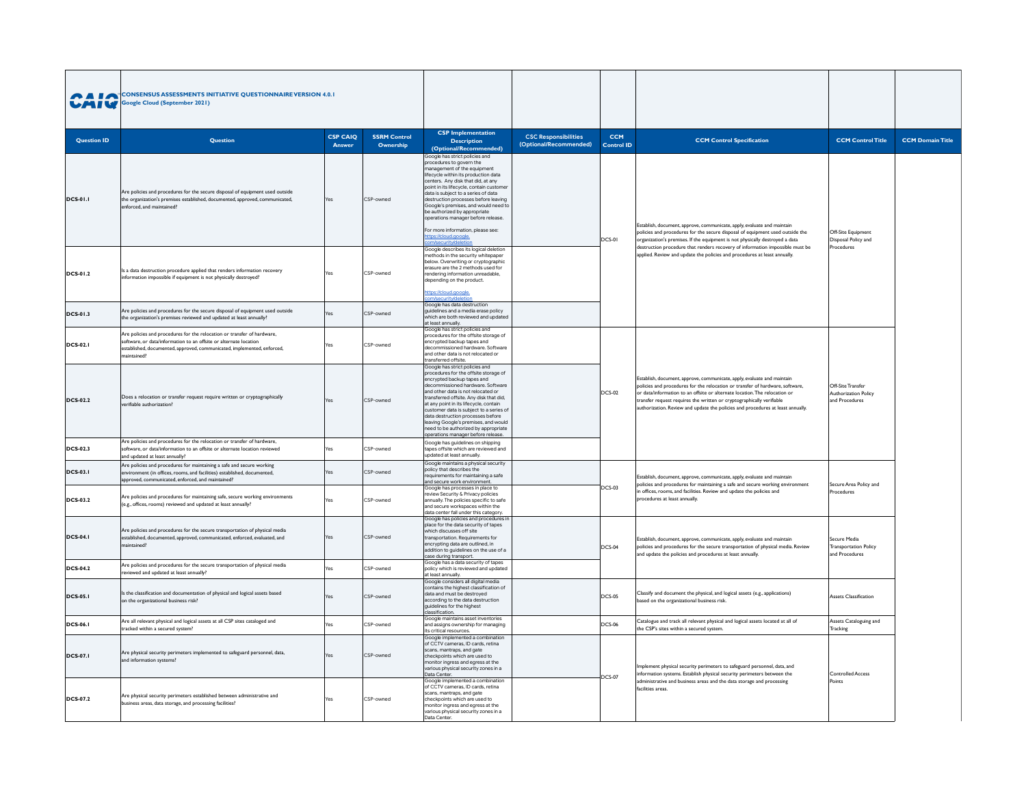| UAIV               | <b>CONSENSUS ASSESSMENTS INITIATIVE QUESTIONNAIRE VERSION 4.0.1</b><br>Google Cloud (September 2021)<br><b>CSP CAIO</b><br><b>SSRM Control</b><br><b>Ouestion</b>                                                                     |        |           |                                                                                                                                                                                                                                                                                                                                                                                                                                                                             |                                                       |                                 |                                                                                                                                                                                                                                                                                                                                                                                                    |                                                                |                         |
|--------------------|---------------------------------------------------------------------------------------------------------------------------------------------------------------------------------------------------------------------------------------|--------|-----------|-----------------------------------------------------------------------------------------------------------------------------------------------------------------------------------------------------------------------------------------------------------------------------------------------------------------------------------------------------------------------------------------------------------------------------------------------------------------------------|-------------------------------------------------------|---------------------------------|----------------------------------------------------------------------------------------------------------------------------------------------------------------------------------------------------------------------------------------------------------------------------------------------------------------------------------------------------------------------------------------------------|----------------------------------------------------------------|-------------------------|
| <b>Question ID</b> |                                                                                                                                                                                                                                       | Answer | Ownership | <b>CSP</b> Implementation<br><b>Description</b><br>(Optional/Recommended)                                                                                                                                                                                                                                                                                                                                                                                                   | <b>CSC Responsibilities</b><br>(Optional/Recommended) | <b>CCM</b><br><b>Control ID</b> | <b>CCM Control Specification</b>                                                                                                                                                                                                                                                                                                                                                                   | <b>CCM Control Title</b>                                       | <b>CCM Domain Title</b> |
| <b>DCS-01.1</b>    | Are policies and procedures for the secure disposal of equipment used outside<br>the organization's premises established, documented, approved, communicated,<br>enforced, and maintained?                                            | Yes    | CSP-owned | Google has strict policies and<br>procedures to govern the<br>nanagement of the equipment<br>lifecycle within its production data<br>centers. Any disk that did, at any<br>point in its lifecycle, contain custome<br>data is subject to a series of data<br>destruction processes before leaving<br>Google's premises, and would need to<br>e authorized by appropriate<br>operations manager before release.<br>For more information, please see:<br>ttps://cloud.google  |                                                       | <b>DCS-01</b>                   | Establish, document, approve, communicate, apply, evaluate and maintain<br>policies and procedures for the secure disposal of equipment used outside the<br>organization's premises. If the equipment is not physically destroyed a data<br>destruction procedure that renders recovery of information impossible must be                                                                          | Off-Site Equipment<br>Disposal Policy and<br>Procedures        |                         |
| <b>DCS-01.2</b>    | Is a data destruction procedure applied that renders information recovery<br>nformation impossible if equipment is not physically destroyed?                                                                                          | Yes    | CSP-owned | Google describes its logical deletion<br>nethods in the security whitepaper<br>below. Overwriting or cryptographic<br>erasure are the 2 methods used for<br>rendering information unreadable.<br>depending on the product.<br>ttps://cloud.google.<br>m/security/deletio                                                                                                                                                                                                    |                                                       |                                 | applied. Review and update the policies and procedures at least annually.                                                                                                                                                                                                                                                                                                                          |                                                                |                         |
| <b>DCS-01.3</b>    | Are policies and procedures for the secure disposal of equipment used outside<br>the organization's premises reviewed and updated at least annually?                                                                                  | Yes    | CSP-owned | Google has data destruction<br>quidelines and a media erase policy<br>which are both reviewed and updated<br>at least annually.                                                                                                                                                                                                                                                                                                                                             |                                                       |                                 |                                                                                                                                                                                                                                                                                                                                                                                                    |                                                                |                         |
| <b>DCS-02.1</b>    | Are policies and procedures for the relocation or transfer of hardware,<br>software, or data/information to an offsite or alternate location<br>established, documented, approved, communicated, implemented, enforced,<br>aintained? | Yes    | CSP-owned | Google has strict policies and<br>procedures for the offsite storage of<br>ncrypted backup tapes and<br>decommissioned hardware. Software<br>and other data is not relocated or<br>transferred offsite.                                                                                                                                                                                                                                                                     |                                                       |                                 |                                                                                                                                                                                                                                                                                                                                                                                                    |                                                                |                         |
| <b>DCS-02.2</b>    | Does a relocation or transfer request require written or cryptographically<br>verifiable authorization?                                                                                                                               | Yes    | CSP-owned | Google has strict policies and<br>procedures for the offsite storage of<br>encrypted backup tapes and<br>decommissioned hardware. Software<br>and other data is not relocated or<br>transferred offsite. Any disk that did.<br>at any point in its lifecycle, contain<br>customer data is subject to a series of<br>data destruction processes before<br>leaving Google's premises, and would<br>need to be authorized by appropriate<br>operations manager before release. |                                                       | DCS-02                          | Establish, document, approve, communicate, apply, evaluate and maintain<br>policies and procedures for the relocation or transfer of hardware, software,<br>or data/information to an offsite or alternate location. The relocation or<br>transfer request requires the written or cryptographically verifiable<br>authorization. Review and update the policies and procedures at least annually. | Off-Site Transfer<br>Authorization Policy<br>and Procedures    |                         |
| <b>DCS-02.3</b>    | Are policies and procedures for the relocation or transfer of hardware.<br>software, or data/information to an offsite or alternate location reviewed<br>and undated at least annually?                                               | Yes    | CSP-owned | Google has guidelines on shipping<br>tapes offsite which are reviewed and<br>pdated at least annually.                                                                                                                                                                                                                                                                                                                                                                      |                                                       |                                 |                                                                                                                                                                                                                                                                                                                                                                                                    |                                                                |                         |
| <b>DCS-03.1</b>    | Are policies and procedures for maintaining a safe and secure working<br>environment (in offices, rooms, and facilities) established, documented,<br>approved, communicated, enforced, and maintained?                                | Yes    | CSP-owned | Google maintains a physical security<br>policy that describes the<br>requirements for maintaining a safe<br>and secure work environment.                                                                                                                                                                                                                                                                                                                                    |                                                       |                                 | Establish, document, approve, communicate, apply, evaluate and maintain<br>policies and procedures for maintaining a safe and secure working environment                                                                                                                                                                                                                                           | Secure Area Policy and                                         |                         |
| <b>DCS-03.2</b>    | Are policies and procedures for maintaining safe, secure working environments<br>(e.g., offices, rooms) reviewed and updated at least annually?                                                                                       | Yes    | CSP-owned | Google has processes in place to<br>eview Security & Privacy policies<br>annually. The policies specific to safe<br>and secure workspaces within the<br>data center fall under this category.                                                                                                                                                                                                                                                                               |                                                       | DCS-03                          | n offices, rooms, and facilities. Review and update the policies and<br>procedures at least annually.                                                                                                                                                                                                                                                                                              | Procedures                                                     |                         |
| <b>DCS-04.1</b>    | Are policies and procedures for the secure transportation of physical media<br>established, documented, approved, communicated, enforced, evaluated, and<br>naintained?                                                               | Yes    | CSP-owned | Google has policies and procedures in<br>place for the data security of tapes<br>which discusses off site<br>transportation. Requirements for<br>encrypting data are outlined, in<br>addition to quidelines on the use of a<br>case during transport.                                                                                                                                                                                                                       |                                                       | <b>DCS-04</b>                   | Establish, document, approve, communicate, apply, evaluate and maintain<br>policies and procedures for the secure transportation of physical media. Review<br>and update the policies and procedures at least annually                                                                                                                                                                             | Secure Media<br><b>Transportation Policy</b><br>and Procedures |                         |
| <b>DCS-04.2</b>    | Are policies and procedures for the secure transportation of physical media<br>eviewed and updated at least annually?                                                                                                                 |        | CSP-owned | Google has a data security of tapes<br>policy which is reviewed and updated<br>at least annually.                                                                                                                                                                                                                                                                                                                                                                           |                                                       |                                 |                                                                                                                                                                                                                                                                                                                                                                                                    |                                                                |                         |
| <b>DCS-05.1</b>    | Is the classification and documentation of physical and logical assets based<br>on the organizational business risk?                                                                                                                  | Yes    | CSP-owned | Google considers all digital media<br>contains the highest classification of<br>data and must be destroved<br>according to the data destruction<br>guidelines for the highest<br>lassification.                                                                                                                                                                                                                                                                             |                                                       | <b>DCS-05</b>                   | Classify and document the physical, and logical assets (e.g., applications)<br>based on the organizational business risk.                                                                                                                                                                                                                                                                          | Assets Classification                                          |                         |
| <b>DCS-06.1</b>    | Are all relevant physical and logical assets at all CSP sites cataloged and<br>tracked within a secured system                                                                                                                        | Yes    | CSP-owned | Google maintains asset inventories<br>and assigns ownership for managing<br>its critical resources.                                                                                                                                                                                                                                                                                                                                                                         |                                                       | <b>DCS-06</b>                   | Catalogue and track all relevant physical and logical assets located at all of<br>the CSP's sites within a secured system                                                                                                                                                                                                                                                                          | Assets Cataloguing and<br>Tracking                             |                         |
| <b>DCS-07.1</b>    | Are physical security perimeters implemented to safeguard personnel, data,<br>and information systems?                                                                                                                                | Yes    | CSP-owned | Google implemented a combination<br>of CCTV cameras. ID cards, retina<br>scans, mantraps, and gate<br>checkpoints which are used to<br>monitor ingress and egress at the<br>various physical security zones in a<br>Data Center.                                                                                                                                                                                                                                            |                                                       | DCS-07                          | Implement physical security perimeters to safeguard personnel, data, and<br>information systems. Establish physical security perimeters between the                                                                                                                                                                                                                                                | <b>Controlled Access</b>                                       |                         |
| <b>DCS-07.2</b>    | Are physical security perimeters established between administrative and<br>siness areas, data storage, and processing facilities?                                                                                                     | Yes    | CSP-owned | Google implemented a combination<br>of CCTV cameras. ID cards, retina<br>scans, mantraps, and gate<br>checkpoints which are used to<br>nonitor ingress and egress at the<br>arious physical security zones in a<br>Data Center                                                                                                                                                                                                                                              |                                                       |                                 | administrative and business areas and the data storage and processing<br>facilities areas.                                                                                                                                                                                                                                                                                                         | Points                                                         |                         |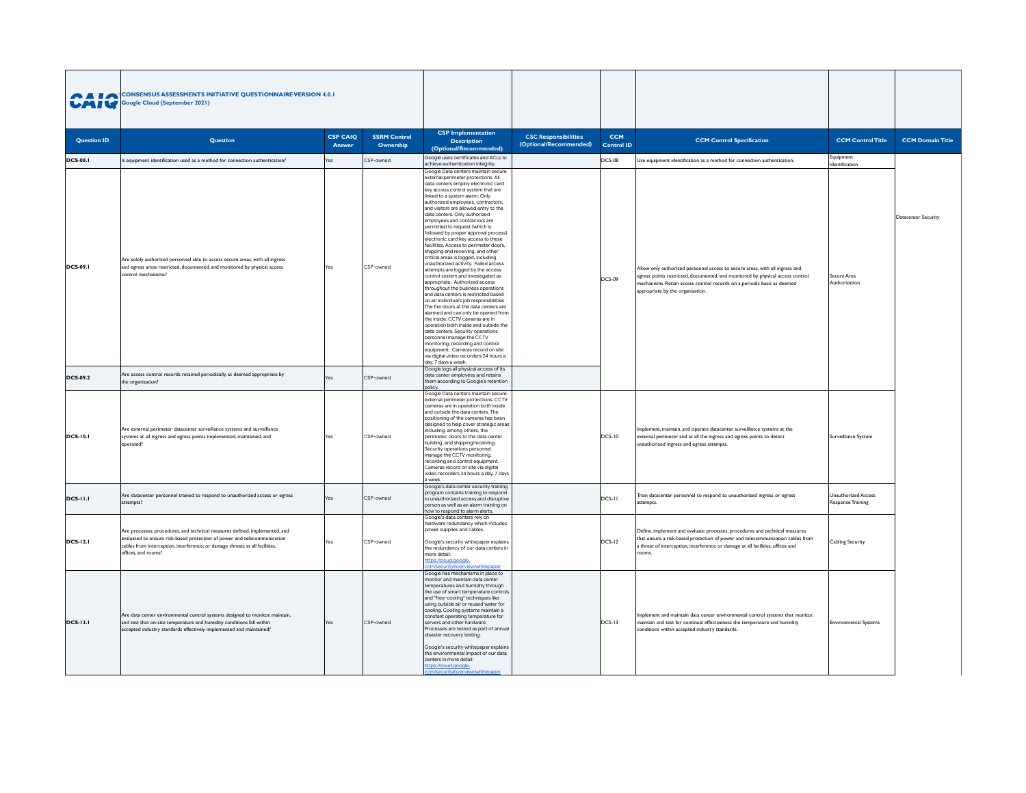| <b>UAIV</b>        | <b>A A</b> CONSENSUS ASSESSMENTS INITIATIVE QUESTIONNAIRE VERSION 4.0.1<br><b>Google Cloud (September 2021)</b><br><b>CSP CAIQ</b><br><b>SSRM Control</b>                                                                                                      |        |           |                                                                                                                                                                                                                                                                                                                                                                                                                                                                                                                                                                                                                                                                                                                                                                                                                                                                                                                                                                                                                                                                                                                                                                                                                                            |                                                       |                                 |                                                                                                                                                                                                                                                                               |                                                 |                         |
|--------------------|----------------------------------------------------------------------------------------------------------------------------------------------------------------------------------------------------------------------------------------------------------------|--------|-----------|--------------------------------------------------------------------------------------------------------------------------------------------------------------------------------------------------------------------------------------------------------------------------------------------------------------------------------------------------------------------------------------------------------------------------------------------------------------------------------------------------------------------------------------------------------------------------------------------------------------------------------------------------------------------------------------------------------------------------------------------------------------------------------------------------------------------------------------------------------------------------------------------------------------------------------------------------------------------------------------------------------------------------------------------------------------------------------------------------------------------------------------------------------------------------------------------------------------------------------------------|-------------------------------------------------------|---------------------------------|-------------------------------------------------------------------------------------------------------------------------------------------------------------------------------------------------------------------------------------------------------------------------------|-------------------------------------------------|-------------------------|
| <b>Question ID</b> | Question                                                                                                                                                                                                                                                       | Answer | Ownership | <b>CSP</b> Implementation<br><b>Description</b><br>(Optional/Recommended)                                                                                                                                                                                                                                                                                                                                                                                                                                                                                                                                                                                                                                                                                                                                                                                                                                                                                                                                                                                                                                                                                                                                                                  | <b>CSC Responsibilities</b><br>(Optional/Recommended) | <b>CCM</b><br><b>Control ID</b> | <b>CCM Control Specification</b>                                                                                                                                                                                                                                              | <b>CCM Control Title</b>                        | <b>CCM Domain Title</b> |
| <b>DCS-08.1</b>    | s equipment identification used as a method for connection authentication?                                                                                                                                                                                     | Yes    | CSP-owned | Google uses certificates and ACLs to<br>achieve authentication integrity.                                                                                                                                                                                                                                                                                                                                                                                                                                                                                                                                                                                                                                                                                                                                                                                                                                                                                                                                                                                                                                                                                                                                                                  |                                                       | DCS-08                          | Use equipment identification as a method for connection authentication.                                                                                                                                                                                                       | Equipment<br>Identification                     |                         |
| <b>DCS-09.1</b>    | Are solely authorized personnel able to access secure areas, with all ingress<br>and egress areas restricted, documented, and monitored by physical access<br>control mechanisms?                                                                              | Yes    | CSP-owned | Google Data centers maintain secure<br>external perimeter protections. All<br>data centers employ electronic card<br>key access control system that are<br>linked to a system alarm. Only<br>authorized employees, contractors,<br>and visitors are allowed entry to the<br>data centers. Only authorized<br>employees and contractors are<br>permitted to request (which is<br>followed by proper approval process)<br>electronic card key access to these<br>facilities. Access to perimeter doors.<br>shipping and receiving, and other<br>critical areas is logged, including<br>unauthorized activity. Failed access<br>attempts are logged by the access<br>control system and investigated as<br>appropriate. Authorized access<br>throughout the business operations<br>and data centers is restricted based<br>on an individual's job responsibilities.<br>The fire doors at the data centers are<br>alarmed and can only be opened from<br>the inside. CCTV cameras are in<br>operation both inside and outside the<br>data centers. Security operations<br>personnel manage the CCTV<br>monitoring, recording and control<br>equipment. Cameras record on site<br>via digital video recorders 24 hours a<br>day, 7 days a week. |                                                       | DCS-09                          | Allow only authorized personnel access to secure areas, with all ingress and<br>egress points restricted, documented, and monitored by physical access control<br>nechanisms. Retain access control records on a periodic basis as deemed<br>appropriate by the organization. | Secure Area<br>Authorization                    | Datacenter Security     |
| <b>DCS-09.2</b>    | Are access control records retained periodically, as deemed appropriate by<br>the organization?                                                                                                                                                                | Yes    | CSP-owned | Google logs all physical access of its<br>data center employees and retains<br>them according to Google's retention<br>policy.                                                                                                                                                                                                                                                                                                                                                                                                                                                                                                                                                                                                                                                                                                                                                                                                                                                                                                                                                                                                                                                                                                             |                                                       |                                 |                                                                                                                                                                                                                                                                               |                                                 |                         |
| <b>DCS-10.1</b>    | Are external perimeter datacenter surveillance systems and surveillance<br>systems at all ingress and egress points implemented, maintained, and<br>operated?                                                                                                  | Yes    | CSP-owned | Google Data centers maintain secure<br>external perimeter protections. CCTV<br>cameras are in operation both inside<br>and outside the data centers. The<br>positioning of the cameras has been<br>designed to help cover strategic areas<br>including, among others, the<br>perimeter, doors to the data center<br>building, and shipping/receiving.<br>Security operations personnel<br>manage the CCTV monitoring,<br>recording and control equipment.<br>Cameras record on site via digital<br>video recorders 24 hours a day, 7 days<br>a week                                                                                                                                                                                                                                                                                                                                                                                                                                                                                                                                                                                                                                                                                        |                                                       | <b>DCS-10</b>                   | Implement, maintain, and operate datacenter surveillance systems at the<br>external perimeter and at all the ingress and egress points to detect<br>unauthorized ingress and egress attempts.                                                                                 | Surveillance System                             |                         |
| <b>DCS-11.1</b>    | Are datacenter personnel trained to respond to unauthorized access or egress<br>attempts?                                                                                                                                                                      | Yes    | CSP-owned | Google's data center security training<br>program contains training to respond<br>to unauthorized access and disruptive<br>person as well as an alarm training on<br>how to respond to alarm alerts.                                                                                                                                                                                                                                                                                                                                                                                                                                                                                                                                                                                                                                                                                                                                                                                                                                                                                                                                                                                                                                       |                                                       | DCS-II                          | Train datacenter personnel to respond to unauthorized ingress or egress<br>attempts.                                                                                                                                                                                          | Unauthorized Access<br><b>Response Training</b> |                         |
| <b>DCS-12.1</b>    | Are processes, procedures, and technical measures defined, implemented, and<br>evaluated to ensure risk-based protection of power and telecommunication<br>cables from interception, interference, or damage threats at all facilities,<br>offices, and rooms? | Yes    | CSP-owned | Google's data centers rely or<br>hardware redundancy which includes<br>oower supplies and cables.<br>Google's security whitepaper explains<br>the redundancy of our data centers in<br>more detail:<br>ttps://cloud.google<br><mark>m/security/overview/whitepape</mark>                                                                                                                                                                                                                                                                                                                                                                                                                                                                                                                                                                                                                                                                                                                                                                                                                                                                                                                                                                   |                                                       | <b>DCS-12</b>                   | Define, implement and evaluate processes, procedures and technical measures<br>that ensure a risk-based protection of power and telecommunication cables from<br>a threat of interception, interference or damage at all facilities, offices and<br>ooms.                     | Cabling Security                                |                         |
| <b>DCS-13.1</b>    | Are data center environmental control systems designed to monitor, maintain,<br>and test that on-site temperature and humidity conditions fall within<br>accepted industry standards effectively implemented and maintained?                                   | Yes    | CSP-owned | Google has mechanisms in place to<br>monitor and maintain data center<br>temperatures and humidity through<br>the use of smart temperature controls<br>and "free-cooling" techniques like<br>using outside air or reused water for<br>cooling. Cooling systems maintain a<br>constant operating temperature for<br>servers and other hardware.<br>Processes are tested as part of annual<br>disaster recovery testing.<br>Google's security whitepaper explains<br>the environmental impact of our data<br>centers in more detail:<br>ttps://cloud.google                                                                                                                                                                                                                                                                                                                                                                                                                                                                                                                                                                                                                                                                                  |                                                       | DCS-13                          | Implement and maintain data center environmental control systems that monitor,<br>maintain and test for continual effectiveness the temperature and humidity<br>conditions within accepted industry standards.                                                                | <b>Environmental Systems</b>                    |                         |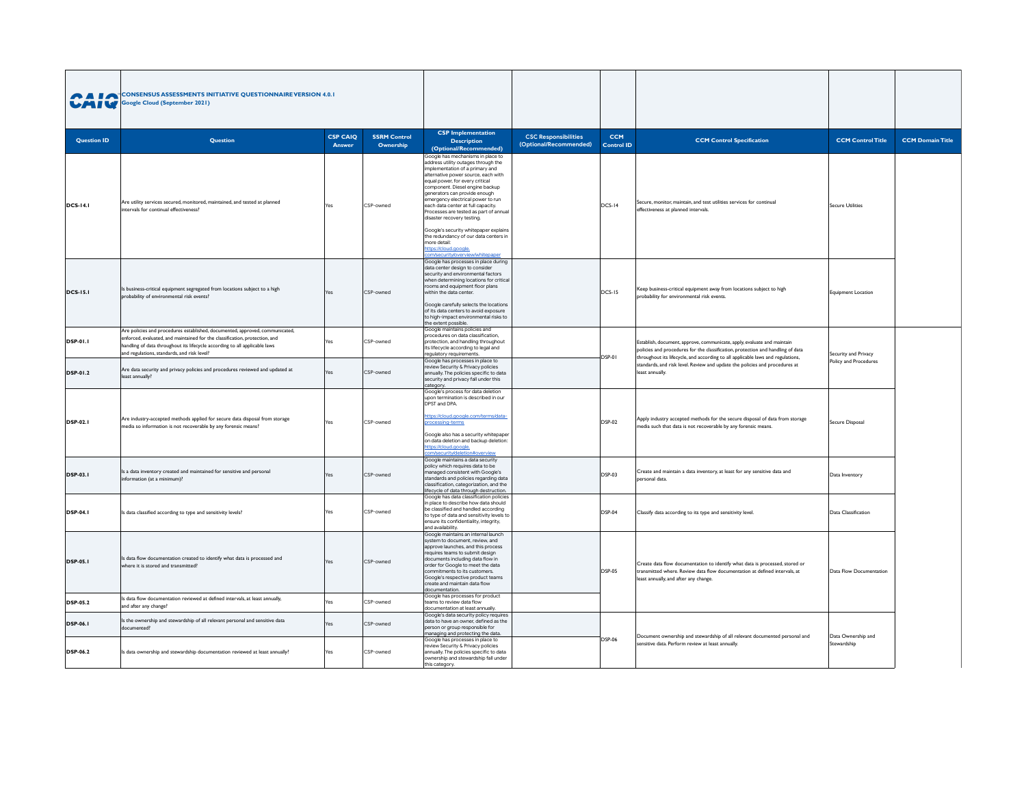| WHIV               | <b>CONSENSUS ASSESSMENTS INITIATIVE QUESTIONNAIRE VERSION 4.0.1</b><br><b>Google Cloud (September 2021)</b><br><b>CSP CAIQ</b><br><b>SSRM Control</b><br>Question                                                                                                                      |        |           |                                                                                                                                                                                                                                                                                                                                                                                                                                                                                                                                                                |                                                       |                                 |                                                                                                                                                                                                                                               |                          |                         |
|--------------------|----------------------------------------------------------------------------------------------------------------------------------------------------------------------------------------------------------------------------------------------------------------------------------------|--------|-----------|----------------------------------------------------------------------------------------------------------------------------------------------------------------------------------------------------------------------------------------------------------------------------------------------------------------------------------------------------------------------------------------------------------------------------------------------------------------------------------------------------------------------------------------------------------------|-------------------------------------------------------|---------------------------------|-----------------------------------------------------------------------------------------------------------------------------------------------------------------------------------------------------------------------------------------------|--------------------------|-------------------------|
| <b>Question ID</b> |                                                                                                                                                                                                                                                                                        | Answer | Ownership | <b>CSP</b> Implementation<br><b>Description</b><br>(Optional/Recommended)                                                                                                                                                                                                                                                                                                                                                                                                                                                                                      | <b>CSC Responsibilities</b><br>(Optional/Recommended) | <b>CCM</b><br><b>Control ID</b> | <b>CCM Control Specification</b>                                                                                                                                                                                                              | <b>CCM Control Title</b> | <b>CCM Domain Title</b> |
| <b>DCS-14.1</b>    | Are utility services secured, monitored, maintained, and tested at planned<br>intervals for continual effectiveness?                                                                                                                                                                   | Yes    | CSP-owned | Google has mechanisms in place to<br>address utility outages through the<br>implementation of a primary and<br>alternative power source, each with<br>equal power, for every critical<br>component. Diesel engine backup<br>generators can provide enough<br>emergency electrical power to run<br>each data center at full canacity.<br>Processes are tested as part of annual<br>disaster recovery testing.<br>Google's security whitepaper explains<br>the redundancy of our data centers in<br>more detail:<br>ttps://cloud.google.<br>om/security/overview |                                                       | DCS-14                          | Secure, monitor, maintain, and test utilities services for continual<br>effectiveness at planned intervals.                                                                                                                                   | <b>Secure Utilities</b>  |                         |
| <b>DCS-15.1</b>    | s business-critical equipment segregated from locations subject to a high<br>probability of environmental risk events?                                                                                                                                                                 | Yes    | CSP-owned | Google has processes in place during<br>data center design to consider<br>security and environmental factors<br>when determining locations for critica<br>rooms and equipment floor plans<br>within the data center<br>Google carefully selects the locations<br>of its data centers to avoid exposure<br>to high-impact environmental risks to<br>the extent possible.                                                                                                                                                                                        |                                                       | DCS-15                          | Keep business-critical equipment away from locations subject to high<br>probability for environmental risk events.                                                                                                                            | Equipment Location       |                         |
| <b>DSP-01.1</b>    | Are policies and procedures established, documented, approved, communicated,<br>enforced, evaluated, and maintained for the classification, protection, and<br>andling of data throughout its lifecycle according to all applicable laws<br>nd regulations, standards, and risk level? | Yes    | CSP-owned | Google maintains policies and<br>procedures on data classification.<br>protection, and handling throughout<br>its lifecycle according to legal and<br>regulatory requirements.                                                                                                                                                                                                                                                                                                                                                                                 |                                                       | DSP-01                          | Establish, document, approve, communicate, apply, evaluate and maintain<br>policies and procedures for the classification, protection and handling of data<br>throughout its lifecycle, and according to all applicable laws and regulations, | Security and Privacy     |                         |
| <b>DSP-01.2</b>    | Are data security and privacy policies and procedures reviewed and updated at<br>east annually?                                                                                                                                                                                        | Yes    | CSP-owned | Google has processes in place to<br>review Security & Privacy policies<br>annually. The policies specific to data<br>security and privacy fall under this<br>category.                                                                                                                                                                                                                                                                                                                                                                                         |                                                       |                                 | standards, and risk level. Review and update the policies and procedures at<br>least annually.                                                                                                                                                | Policy and Procedures    |                         |
| <b>DSP-02.1</b>    | Are industry-accepted methods applied for secure data disposal from storage<br>media so information is not recoverable by any forensic means?                                                                                                                                          | Yes    | CSP-owned | Google's process for data deletion<br>upon termination is described in our<br>DPST and DPA.<br>https://cloud.google.com/terms/data-<br>processing-terms<br>Google also has a security whitepaper<br>on data deletion and backup deletion:<br>https://cloud.google.<br>m/security/deletion#overview                                                                                                                                                                                                                                                             |                                                       | <b>DSP-02</b>                   | Apply industry accepted methods for the secure disposal of data from storage<br>media such that data is not recoverable by any forensic means.                                                                                                | Secure Disposal          |                         |
| <b>DSP-03.1</b>    | Is a data inventory created and maintained for sensitive and personal<br>information (at a minimum)?                                                                                                                                                                                   | Yes    | CSP-owned | Google maintains a data security<br>policy which requires data to be<br>managed consistent with Google's<br>standards and policies regarding data<br>classification, categorization, and the<br>lifecycle of data through destruction.                                                                                                                                                                                                                                                                                                                         |                                                       | <b>DSP-03</b>                   | Create and maintain a data inventory, at least for any sensitive data and<br>personal data.                                                                                                                                                   | Data Inventory           |                         |
| <b>DSP-04.1</b>    | Is data classified according to type and sensitivity levels?                                                                                                                                                                                                                           | Yes    | CSP-owned | Google has data classification policies<br>in place to describe how data should<br>be classified and handled according<br>to type of data and sensitivity levels to<br>ensure its confidentiality, integrity,<br>and availability.                                                                                                                                                                                                                                                                                                                             |                                                       | <b>DSP-04</b>                   | Classify data according to its type and sensitivity level.                                                                                                                                                                                    | Data Classification      |                         |
| <b>DSP-05.1</b>    | Is data flow documentation created to identify what data is processed and<br>where it is stored and transmitted?                                                                                                                                                                       | Yes    | CSP-owned | Google maintains an internal launch<br>system to document, review, and<br>approve launches, and this process<br>requires teams to submit design<br>documents including data flow in<br>order for Google to meet the data<br>commitments to its customers.<br>Google's respective product teams<br>create and maintain data flow<br>documentation.                                                                                                                                                                                                              |                                                       | <b>DSP-05</b>                   | Create data flow documentation to identify what data is processed, stored or<br>transmitted where. Review data flow documentation at defined intervals, at<br>least annually, and after any change.                                           | Data Flow Documentation  |                         |
| <b>DSP-05.2</b>    | s data flow documentation reviewed at defined intervals, at least annually,<br>and after any change?                                                                                                                                                                                   | Yes    | CSP-owned | Google has processes for product<br>teams to review data flow<br>documentation at least annually.                                                                                                                                                                                                                                                                                                                                                                                                                                                              |                                                       |                                 |                                                                                                                                                                                                                                               |                          |                         |
| <b>DSP-06.1</b>    | Is the ownership and stewardship of all relevant personal and sensitive data<br>documented?                                                                                                                                                                                            | Yes    | CSP-owned | Google's data security policy requires<br>data to have an owner, defined as the<br>person or group responsible for<br>managing and protecting the data.                                                                                                                                                                                                                                                                                                                                                                                                        |                                                       |                                 | Document ownership and stewardship of all relevant documented personal and                                                                                                                                                                    | Data Ownership and       |                         |
| <b>DSP-06.2</b>    | Is data ownership and stewardship documentation reviewed at least annually?                                                                                                                                                                                                            | Yes    | CSP-owned | Google has processes in place to<br>review Security & Privacy policies<br>annually. The policies specific to data<br>ownership and stewardship fall under<br>this category.                                                                                                                                                                                                                                                                                                                                                                                    |                                                       | <b>DSP-06</b>                   | sensitive data. Perform review at least annually.                                                                                                                                                                                             | Stewardship              |                         |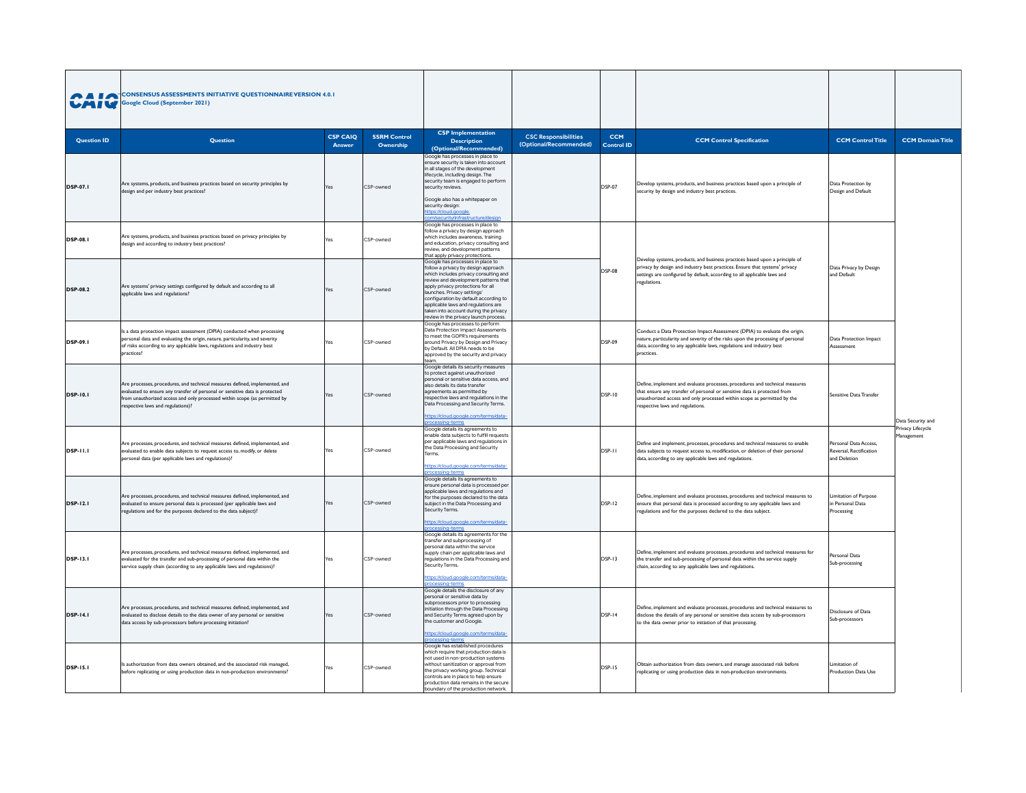|                    | <b>A I A CONSENSUS ASSESSMENTS INITIATIVE QUESTIONNAIRE VERSION 4.0.1</b><br>Google Cloud (September 2021)<br><b>CSP CAIQ</b><br><b>SSRM Control</b>                                                                                                                        |            |           |                                                                                                                                                                                                                                                                                                                                                                                                |                                                       |                          |                                                                                                                                                                                                                                                                        |                                                                  |                                                             |
|--------------------|-----------------------------------------------------------------------------------------------------------------------------------------------------------------------------------------------------------------------------------------------------------------------------|------------|-----------|------------------------------------------------------------------------------------------------------------------------------------------------------------------------------------------------------------------------------------------------------------------------------------------------------------------------------------------------------------------------------------------------|-------------------------------------------------------|--------------------------|------------------------------------------------------------------------------------------------------------------------------------------------------------------------------------------------------------------------------------------------------------------------|------------------------------------------------------------------|-------------------------------------------------------------|
| <b>Question ID</b> | Question                                                                                                                                                                                                                                                                    | Answer     | Ownership | <b>CSP</b> Implementation<br><b>Description</b><br>(Optional/Recommended)                                                                                                                                                                                                                                                                                                                      | <b>CSC Responsibilities</b><br>(Optional/Recommended) | <b>CCM</b><br>Control ID | <b>CCM Control Specification</b>                                                                                                                                                                                                                                       | <b>CCM Control Title</b>                                         | <b>CCM Domain Title</b>                                     |
| <b>DSP-07.1</b>    | Are systems, products, and business practices based on security principles by<br>design and per industry best practices?                                                                                                                                                    | Yes        | CSP-owned | Google has processes in place to<br>ensure security is taken into account<br>in all stages of the development<br>lifecycle, including design. The<br>security team is engaged to perform<br>security reviews.<br>Google also has a whitepaper on<br>security design:<br>ttps://cloud.google<br>m/security/infrastri                                                                            |                                                       | <b>DSP-07</b>            | Develop systems, products, and business practices based upon a principle of<br>security by design and industry best practices.                                                                                                                                         | Data Protection by<br>Design and Default                         |                                                             |
| <b>DSP-08.1</b>    | Are systems, products, and business practices based on privacy principles by<br>design and according to industry best practices?                                                                                                                                            | Yes        | CSP-owned | Google has processes in place to<br>follow a privacy by design approach<br>which includes awareness, training<br>and education, privacy consulting and<br>review, and development patterns<br>that apply privacy protections.                                                                                                                                                                  |                                                       |                          |                                                                                                                                                                                                                                                                        |                                                                  |                                                             |
| <b>DSP-08.2</b>    | Are systems' privacy settings configured by default and according to all<br>applicable laws and regulations?                                                                                                                                                                | <b>res</b> | CSP-owned | Google has processes in place to<br>follow a privacy by design approach<br>which includes privacy consulting and<br>review and development patterns that<br>apply privacy protections for all<br>launches. Privacy settings'<br>configuration by default according to<br>applicable laws and regulations are<br>taken into account during the privacy<br>review in the privacy launch process. |                                                       | <b>DSP-08</b>            | Develop systems, products, and business practices based upon a principle of<br>privacy by design and industry best practices. Ensure that systems' privacy<br>settings are configured by default, according to all applicable laws and<br>regulations.                 | Data Privacy by Design<br>and Default                            |                                                             |
| DSP-09.1           | s a data protection impact assessment (DPIA) conducted when processing<br>personal data and evaluating the origin, nature, particularity, and severity<br>of risks according to any applicable laws, regulations and industry best<br>practices?                            | Yes        | CSP-owned | Google has processes to perform<br>Data Protection Impact Assessments<br>to meet the GDPR's requirements<br>around Privacy by Design and Privacy<br>by Default. All DPIA needs to be<br>approved by the security and privacy<br>team.                                                                                                                                                          |                                                       | <b>DSP-09</b>            | Conduct a Data Protection Impact Assessment (DPIA) to evaluate the origin,<br>nature, particularity and severity of the risks upon the processing of personal<br>data, according to any applicable laws, regulations and industry best<br>practices.                   | Data Protection Impact<br>Assessment                             |                                                             |
| <b>DSP-10.1</b>    | Are processes, procedures, and technical measures defined, implemented, and<br>evaluated to ensure any transfer of personal or sensitive data is protected<br>from unauthorized access and only processed within scope (as permitted by<br>espective laws and regulations)? | Yes        | CSP-owned | Google details its security measures<br>to protect against unauthorized<br>personal or sensitive data access, and<br>also details its data transfer<br>agreements as permitted by<br>respective laws and regulations in the<br>Data Processing and Security Terms.<br>ttps://cloud.google.com/terms/data-                                                                                      |                                                       | DSP-10                   | Define, implement and evaluate processes, procedures and technical measures<br>that ensure any transfer of personal or sensitive data is protected from<br>unauthorized access and only processed within scope as permitted by the<br>respective laws and regulations. | Sensitive Data Transfer                                          |                                                             |
| <b>DSP-11.1</b>    | Are processes, procedures, and technical measures defined, implemented, and<br>evaluated to enable data subiects to request access to, modify, or delete<br>personal data (per applicable laws and regulations)?                                                            | Yes        | CSP-owned | ocessing-terr<br>Google details its agreements to<br>enable data subjects to fulfill requests<br>per applicable laws and regulations in<br>the Data Processing and Security<br>https://cloud.google.com/terms/data-<br>rocessing-terms                                                                                                                                                         |                                                       | DSP-11                   | Define and implement, processes, procedures and technical measures to enable<br>data subjects to request access to, modification, or deletion of their personal<br>data, according to any applicable laws and regulations.                                             | Personal Data Access,<br>Reversal, Rectification<br>and Deletion | Data Security and<br>Privacy Lifecycle<br><b>Janagement</b> |
| <b>DSP-12.1</b>    | Are processes, procedures, and technical measures defined, implemented, and<br>evaluated to ensure personal data is processed (per applicable laws and<br>regulations and for the purposes declared to the data subject)?                                                   | Yes        | CSP-owned | Google details its agreements to<br>ensure personal data is processed per<br>applicable laws and regulations and<br>for the purposes declared to the data<br>subject in the Data Processing and<br>Security Terms.<br>https://cloud.google.com/terms/data-<br>processing-terms                                                                                                                 |                                                       | <b>DSP-12</b>            | Define, implement and evaluate processes, procedures and technical measures to<br>ensure that personal data is processed according to any applicable laws and<br>regulations and for the purposes declared to the data subject.                                        | Limitation of Purpose<br>in Personal Data<br>Processing          |                                                             |
| DSP-13.1           | Are processes, procedures, and technical measures defined, implemented, and<br>evaluated for the transfer and sub-processing of personal data within the<br>service supply chain (according to any applicable laws and regulations)?                                        | Yes        | CSP-owned | Google details its agreements for the<br>transfer and subprocessing of<br>personal data within the service<br>supply chain per applicable laws and<br>regulations in the Data Processing and<br>Security Terms.<br>https://cloud.google.com/terms/data<br>rocessina-terms                                                                                                                      |                                                       | <b>DSP-13</b>            | Define, implement and evaluate processes, procedures and technical measures for<br>the transfer and sub-processing of personal data within the service supply<br>chain, according to any applicable laws and regulations.                                              | Personal Data<br>Sub-processing                                  |                                                             |
| <b>DSP-14.1</b>    | Are processes, procedures, and technical measures defined, implemented, and<br>valuated to disclose details to the data owner of any personal or sensitive<br>data access by sub-processors before processing initiation?                                                   | Yes        | CSP-owned | Google details the disclosure of any<br>personal or sensitive data by<br>subprocessors prior to processing<br>initiation through the Data Processing<br>and Security Terms agreed upon by<br>the customer and Google.<br>ttps://cloud.google.com/terms/data-<br>rocessing-terms                                                                                                                |                                                       | <b>DSP-14</b>            | Define, implement and evaluate processes, procedures and technical measures to<br>disclose the details of any personal or sensitive data access by sub-processors<br>to the data owner prior to initiation of that processing.                                         | Disclosure of Data<br>Sub-processors                             |                                                             |
| <b>DSP-15.1</b>    | s authorization from data owners obtained, and the associated risk managed,<br>before replicating or using production data in non-production environments?                                                                                                                  | Yes        | CSP-owned | Google has established procedures<br>which require that production data is<br>not used in non-production systems<br>without sanitization or approval from<br>the privacy working group. Technical<br>controls are in place to help ensure<br>production data remains in the secure<br>boundary of the production network.                                                                      |                                                       | $DSP-15$                 | Obtain authorization from data owners, and manage associated risk before<br>replicating or using production data in non-production environments.                                                                                                                       | Limitation of<br>Production Data Use                             |                                                             |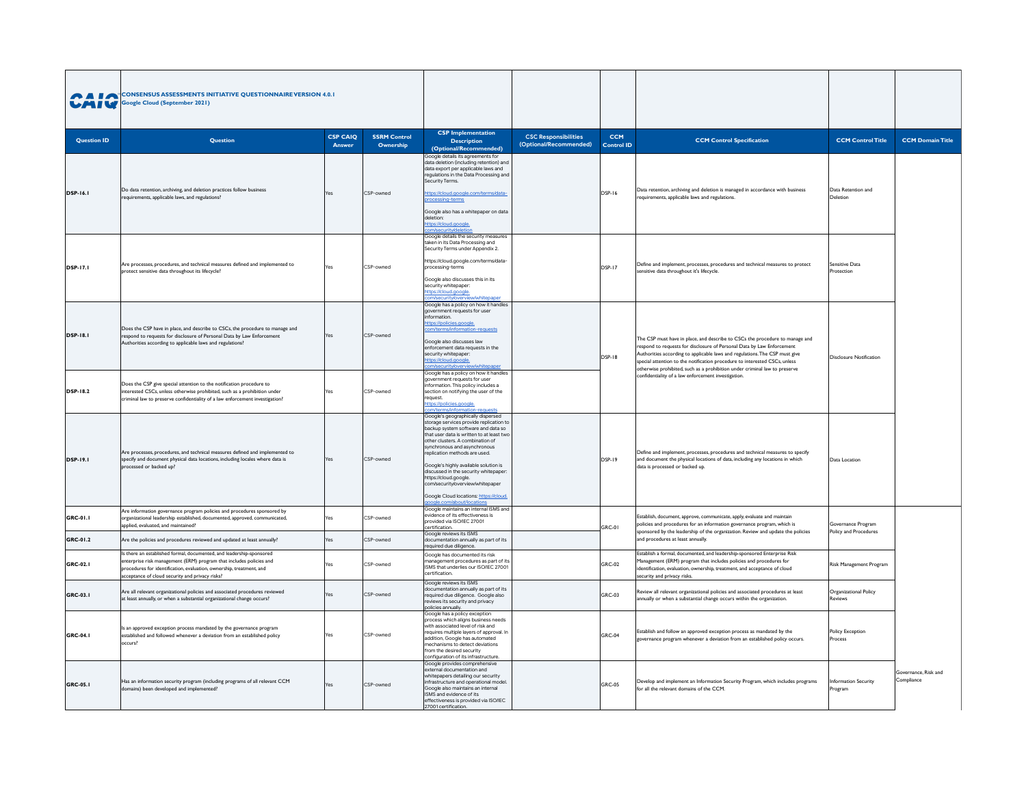|                    | <b>A I A CONSENSUS ASSESSMENTS INITIATIVE QUESTIONNAIRE VERSION 4.0.1</b><br>Google Cloud (September 2021)<br><b>CSP CAIQ</b><br><b>SSRM Control</b>                                                                                                                   |        |           |                                                                                                                                                                                                                                                                                                                                                                                                                                                            |                                                       |                                 |                                                                                                                                                                                                                                                                                                                                                                                                   |                                             |                                    |
|--------------------|------------------------------------------------------------------------------------------------------------------------------------------------------------------------------------------------------------------------------------------------------------------------|--------|-----------|------------------------------------------------------------------------------------------------------------------------------------------------------------------------------------------------------------------------------------------------------------------------------------------------------------------------------------------------------------------------------------------------------------------------------------------------------------|-------------------------------------------------------|---------------------------------|---------------------------------------------------------------------------------------------------------------------------------------------------------------------------------------------------------------------------------------------------------------------------------------------------------------------------------------------------------------------------------------------------|---------------------------------------------|------------------------------------|
| <b>Question ID</b> | Question                                                                                                                                                                                                                                                               | Answer | Ownership | <b>CSP</b> Implementation<br><b>Description</b><br>(Optional/Recommended)                                                                                                                                                                                                                                                                                                                                                                                  | <b>CSC Responsibilities</b><br>(Optional/Recommended) | <b>CCM</b><br><b>Control ID</b> | <b>CCM Control Specification</b>                                                                                                                                                                                                                                                                                                                                                                  | <b>CCM Control Title</b>                    | <b>CCM Domain Title</b>            |
| <b>DSP-16.1</b>    | Do data retention, archiving, and deletion practices follow business<br>requirements, applicable laws, and regulations?                                                                                                                                                | Yes    | CSP-owned | Google details its agreements for<br>data deletion (including retention) and<br>data export per applicable laws and<br>regulations in the Data Processing and<br>Security Terms.<br>https://cloud.google.com/terms/data-<br>processing-terms<br>Google also has a whitepaper on data<br>deletion:<br>https://cloud.google<br>m/security/delet                                                                                                              |                                                       | <b>DSP-16</b>                   | Data retention, archiving and deletion is managed in accordance with business<br>requirements, applicable laws and regulations.                                                                                                                                                                                                                                                                   | Data Retention and<br>Deletion              |                                    |
| DSP-17.1           | Are processes, procedures, and technical measures defined and implemented to<br>protect sensitive data throughout its lifecycle?                                                                                                                                       | Yes    | CSP-owned | Google details the security measures<br>taken in its Data Processing and<br>Security Terms under Appendix 2.<br>https://cloud.google.com/terms/data-<br>processing-terms<br>Google also discusses this in its<br>security whitepaper:<br>ttps://cloud.google<br>m/security/overvie                                                                                                                                                                         |                                                       | <b>DSP-17</b>                   | Define and implement, processes, procedures and technical measures to protect<br>sensitive data throughout it's lifecycle.                                                                                                                                                                                                                                                                        | Sensitive Data<br>Protection                |                                    |
| <b>DSP-18.1</b>    | Does the CSP have in place, and describe to CSCs, the procedure to manage and<br>respond to requests for disclosure of Personal Data by Law Enforcement<br>Authorities according to applicable laws and regulations?                                                   | Yes    | CSP-owned | Google has a policy on how it handles<br>government requests for user<br>information.<br>ttps://policies.google.<br>om/terms/information-requests<br>Google also discusses law<br>enforcement data requests in the<br>security whitepaper:<br>ttps://cloud.google.<br>m/security/overvier                                                                                                                                                                  |                                                       | <b>DSP-18</b>                   | The CSP must have in place, and describe to CSCs the procedure to manage and<br>respond to requests for disclosure of Personal Data by Law Enforcement<br>Authorities according to applicable laws and regulations. The CSP must give<br>special attention to the notification procedure to interested CSCs, unless<br>otherwise prohibited, such as a prohibition under criminal law to preserve | Disclosure Notification                     |                                    |
| <b>DSP-18.2</b>    | Does the CSP give special attention to the notification procedure to<br>interested CSCs, unless otherwise prohibited, such as a prohibition under<br>criminal law to preserve confidentiality of a law enforcement investigation?                                      | Yes    | CSP-owned | Google has a policy on how it handles<br>government requests for user<br>information. This policy includes a<br>section on notifying the user of the<br>request.<br>ttps://policies.google.<br>m/terms/information-rec                                                                                                                                                                                                                                     |                                                       |                                 | confidentiality of a law enforcement investigation.                                                                                                                                                                                                                                                                                                                                               |                                             |                                    |
| DSP-19.1           | Are processes, procedures, and technical measures defined and implemented to<br>specify and document physical data locations, including locales where data is<br>rocessed or backed up?                                                                                | Yes    | CSP-owned | Google's geographically dispersed<br>storage services provide replication to<br>backup system software and data so<br>that user data is written to at least two<br>other clusters. A combination of<br>synchronous and asynchronous<br>eplication methods are used.<br>Google's highly available solution is<br>discussed in the security whitepaper<br>https://cloud.google.<br>com/security/overview/whitepaper<br>Google Cloud locations: https://cloud |                                                       | <b>DSP-19</b>                   | Define and implement, processes, procedures and technical measures to specify<br>and document the physical locations of data, including any locations in which<br>data is processed or backed up.                                                                                                                                                                                                 | Data Location                               |                                    |
| GRC-01.1           | Are information governance program policies and procedures sponsored by<br>organizational leadership established, documented, approved, communicated,<br>applied, evaluated, and maintained?                                                                           | Yes    | CSP-owned | Google maintains an internal ISMS and<br>evidence of its effectiveness is<br>provided via ISO/IEC 27001<br>certification.<br>Google reviews its ISMS                                                                                                                                                                                                                                                                                                       |                                                       | GRC-01                          | Establish, document, approve, communicate, apply, evaluate and maintain<br>policies and procedures for an information governance program, which is<br>sponsored by the leadership of the organization. Review and update the policies                                                                                                                                                             | Governance Program<br>Policy and Procedures |                                    |
| GRC-01.2           | Are the policies and procedures reviewed and updated at least annually?                                                                                                                                                                                                | Yes    | CSP-owned | documentation annually as part of its<br>required due diligence.                                                                                                                                                                                                                                                                                                                                                                                           |                                                       |                                 | and procedures at least annually.                                                                                                                                                                                                                                                                                                                                                                 |                                             |                                    |
| GRC-02.1           | Is there an established formal, documented, and leadership-sponsored<br>enterprise risk management (ERM) program that includes policies and<br>procedures for identification, evaluation, ownership, treatment, and<br>acceptance of cloud security and privacy risks? | Yes    | CSP-owned | Google has documented its risk<br>management procedures as part of its<br>ISMS that underlies our ISO/IEC 27001<br>certification                                                                                                                                                                                                                                                                                                                           |                                                       | GRC-02                          | Establish a formal, documented, and leadership-sponsored Enterprise Risk<br>Management (ERM) program that includes policies and procedures for<br>identification, evaluation, ownership, treatment, and acceptance of cloud<br>security and privacy risks.                                                                                                                                        | Risk Management Program                     |                                    |
| GRC-03.1           | Are all relevant organizational policies and associated procedures reviewed<br>at least annually, or when a substantial organizational change occurs?                                                                                                                  | Yes    | CSP-owned | Google reviews its ISMS<br>documentation annually as part of its<br>required due diligence. Google also<br>reviews its security and privacy<br>policies annually.                                                                                                                                                                                                                                                                                          |                                                       | GRC-03                          | Review all relevant organizational policies and associated procedures at least<br>annually or when a substantial change occurs within the organization.                                                                                                                                                                                                                                           | Organizational Policy<br>eviews             |                                    |
| GRC-04.1           | Is an approved exception process mandated by the governance program<br>established and followed whenever a deviation from an established policy<br>occurs?                                                                                                             | Yes    | CSP-owned | Google has a policy exception<br>process which aligns business needs<br>with associated level of risk and<br>requires multiple lavers of approval, In<br>addition. Google has automated<br>mechanisms to detect deviations<br>from the desired security<br>configuration of its infrastructure.                                                                                                                                                            |                                                       | GRC-04                          | Establish and follow an approved exception process as mandated by the<br>governance program whenever a deviation from an established policy occurs.                                                                                                                                                                                                                                               | <b>Policy Exception</b><br>Process          |                                    |
| GRC-05.1           | Has an information security program (including programs of all relevant CCM<br>lomains) been developed and implemented?                                                                                                                                                |        | CSP-owned | Google provides comprehensive<br>external documentation and<br>whitepapers detailing our security<br>infrastructure and operational model<br>Google also maintains an internal<br>ISMS and evidence of its<br>effectiveness is provided via ISO/IEC<br>27001 certification.                                                                                                                                                                                |                                                       | GRC-05                          | Develop and implement an Information Security Program, which includes programs<br>for all the relevant domains of the CCM.                                                                                                                                                                                                                                                                        | <b>Information Security</b><br>Program      | Governance, Risk and<br>Compliance |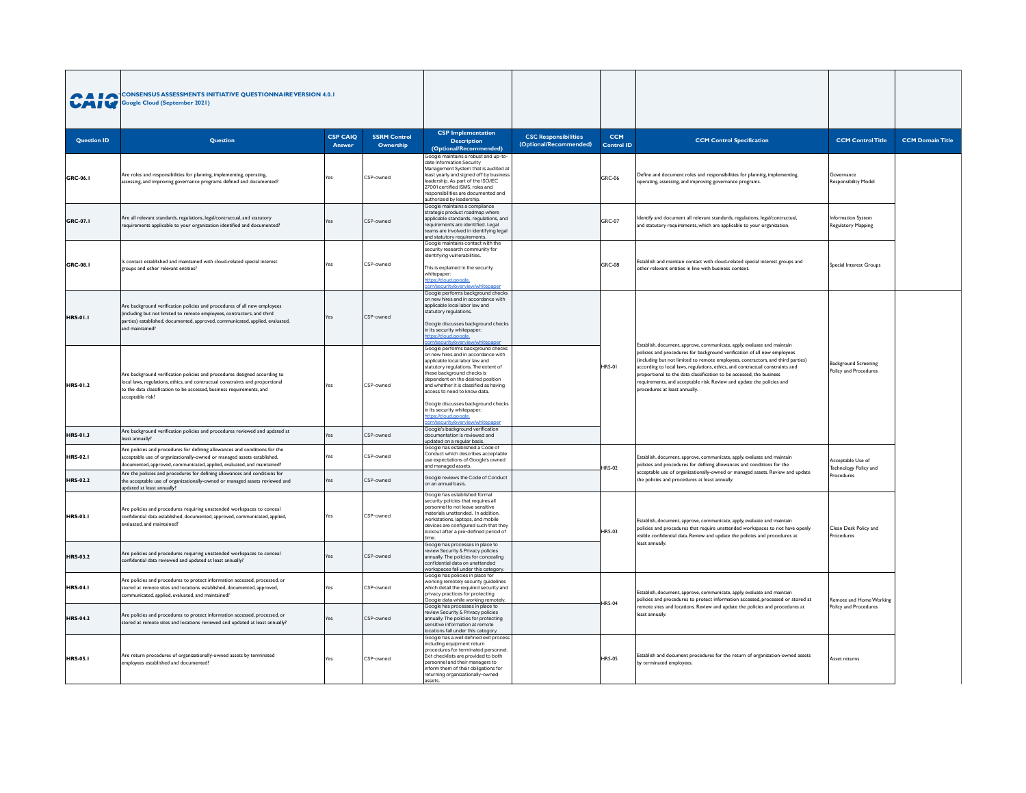|                    | <b>A LA CONSENSUS ASSESSMENTS INITIATIVE QUESTIONNAIRE VERSION 4.0.1</b><br>Google Cloud (September 2021)<br><b>CSP CAIQ</b><br><b>SSRM Control</b><br>Question                                                                                         |        |           |                                                                                                                                                                                                                                                                                                                                                                                               |                                                       |                                 |                                                                                                                                                                                                                                                                                                                                                                                                                                                                                                           |                                                      |                         |
|--------------------|---------------------------------------------------------------------------------------------------------------------------------------------------------------------------------------------------------------------------------------------------------|--------|-----------|-----------------------------------------------------------------------------------------------------------------------------------------------------------------------------------------------------------------------------------------------------------------------------------------------------------------------------------------------------------------------------------------------|-------------------------------------------------------|---------------------------------|-----------------------------------------------------------------------------------------------------------------------------------------------------------------------------------------------------------------------------------------------------------------------------------------------------------------------------------------------------------------------------------------------------------------------------------------------------------------------------------------------------------|------------------------------------------------------|-------------------------|
| <b>Question ID</b> |                                                                                                                                                                                                                                                         | Answer | Ownership | <b>CSP</b> Implementation<br><b>Description</b><br>(Optional/Recommended)                                                                                                                                                                                                                                                                                                                     | <b>CSC Responsibilities</b><br>(Optional/Recommended) | <b>CCM</b><br><b>Control ID</b> | <b>CCM Control Specification</b>                                                                                                                                                                                                                                                                                                                                                                                                                                                                          | <b>CCM Control Title</b>                             | <b>CCM Domain Title</b> |
| GRC-06.1           | Are roles and responsibilities for planning, implementing, operating,<br>assessing, and improving governance programs defined and documented?                                                                                                           | íes    | CSP-owned | Google maintains a robust and up-to-<br>date Information Security<br>Management System that is audited at<br>least yearly and signed off by busines<br>leadership. As part of the ISO/IEC<br>27001 certified ISMS, roles and<br>responsibilities are documented and<br>authorized by leadership.                                                                                              |                                                       | GRC-06                          | Define and document roles and responsibilities for planning, implementing,<br>operating, assessing, and improving governance programs.                                                                                                                                                                                                                                                                                                                                                                    | Governance<br><b>Responsibility Model</b>            |                         |
| GRC-07.1           | Are all relevant standards, regulations, legal/contractual, and statutory<br>requirements applicable to your organization identified and documented?                                                                                                    |        | CSP-owned | Google maintains a compliance<br>strategic product roadmap where<br>applicable standards, regulations, and<br>requirements are identified. Legal<br>teams are involved in identifying legal<br>and statutory requirements.                                                                                                                                                                    |                                                       | <b>GRC-07</b>                   | dentify and document all relevant standards, regulations, legal/contractual,<br>and statutory requirements, which are applicable to your organization.                                                                                                                                                                                                                                                                                                                                                    | Information System<br>Regulatory Mapping             |                         |
| GRC-08.1           | Is contact established and maintained with cloud-related special interest<br>groups and other relevant entities?                                                                                                                                        |        | CSP-owned | Google maintains contact with the<br>security research community for<br>identifying vulnerabilities.<br>This is explained in the security<br>whitepaper:<br>ttps://cloud.google                                                                                                                                                                                                               |                                                       | GRC-08                          | Establish and maintain contact with cloud-related special interest groups and<br>other relevant entities in line with business context.                                                                                                                                                                                                                                                                                                                                                                   | Special Interest Groups                              |                         |
| <b>HRS-01.1</b>    | Are background verification policies and procedures of all new employees<br>(including but not limited to remote employees, contractors, and third<br>parties) established, documented, approved, communicated, applied, evaluated,<br>and maintained?  |        | CSP-owned | Google performs background checks<br>on new hires and in accordance with<br>applicable local labor law and<br>statutory regulations.<br>Google discusses background checks<br>in its security whitepaper:                                                                                                                                                                                     |                                                       |                                 |                                                                                                                                                                                                                                                                                                                                                                                                                                                                                                           |                                                      |                         |
| HRS-01.2           | Are background verification policies and procedures designed according to<br>local laws, regulations, ethics, and contractual constraints and proportional<br>to the data classification to be accessed, business requirements, and<br>accentable risk? |        | CSP-owned | Google performs background checks<br>on new hires and in accordance with<br>applicable local labor law and<br>statutory regulations. The extent of<br>these background checks is<br>dependent on the desired position<br>and whether it is classified as having<br>access to need to know data.<br>Google discusses background checks<br>in its security whitepaper:<br>https://cloud.google. |                                                       | <b>HRS-01</b>                   | Establish, document, approve, communicate, apply, evaluate and maintain<br>policies and procedures for background verification of all new employees<br>(including but not limited to remote employees, contractors, and third parties)<br>according to local laws, regulations, ethics, and contractual constraints and<br>proportional to the data classification to be accessed, the business<br>requirements, and acceptable risk. Review and update the policies and<br>procedures at least annually. | <b>Background Screening</b><br>Policy and Procedures |                         |
| HRS-01.3           | Are background verification policies and procedures reviewed and updated at<br>least annually?                                                                                                                                                          |        | CSP-owned | Google's background verification<br>documentation is reviewed and<br>updated on a regular basis.                                                                                                                                                                                                                                                                                              |                                                       |                                 |                                                                                                                                                                                                                                                                                                                                                                                                                                                                                                           |                                                      |                         |
| HRS-02.1           | Are policies and procedures for defining allowances and conditions for the<br>acceptable use of organizationally-owned or managed assets established,<br>documented, approved, communicated, applied, evaluated, and maintained?                        |        | CSP-owned | Google has established a Code of<br>Conduct which describes acceptable<br>use expectations of Google's owned<br>and managed assets.                                                                                                                                                                                                                                                           |                                                       | <b>HRS-02</b>                   | Establish, document, approve, communicate, apply, evaluate and maintain<br>policies and procedures for defining allowances and conditions for the                                                                                                                                                                                                                                                                                                                                                         | Acceptable Use of<br>Technology Policy and           |                         |
| <b>HRS-02.2</b>    | Are the policies and procedures for defining allowances and conditions for<br>the acceptable use of organizationally-owned or managed assets reviewed and<br>odated at least annually?                                                                  |        | CSP-owned | Google reviews the Code of Conduct<br>on an annual basis.                                                                                                                                                                                                                                                                                                                                     |                                                       |                                 | acceptable use of organizationally-owned or managed assets. Review and update<br>the policies and procedures at least annually.                                                                                                                                                                                                                                                                                                                                                                           | Procedures                                           |                         |
| HRS-03.1           | Are policies and procedures requiring unattended workspaces to conceal<br>confidential data established, documented, approved, communicated, applied,<br>syaluated, and maintained?                                                                     |        | CSP-owned | Google has established formal<br>security policies that requires all<br>personnel to not leave sensitive<br>materials unattended. In addition.<br>workstations, laptops, and mobile<br>devices are configured such that they<br>lockout after a pre-defined period of<br>time.                                                                                                                |                                                       | <b>HRS-03</b>                   | Establish, document, approve, communicate, apply, evaluate and maintain<br>policies and procedures that require unattended workspaces to not have openly<br>visible confidential data. Review and update the policies and procedures at                                                                                                                                                                                                                                                                   | Clean Desk Policy and<br>Procedures                  |                         |
| <b>HRS-03.2</b>    | Are policies and procedures requiring unattended workspaces to conceal<br>confidential data reviewed and updated at least annually?                                                                                                                     |        | CSP-owned | Google has processes in place to<br>review Security & Privacy policies<br>annually. The policies for concealing<br>confidential data on unattended<br>workspaces fall under this category.                                                                                                                                                                                                    |                                                       |                                 | least annually                                                                                                                                                                                                                                                                                                                                                                                                                                                                                            |                                                      |                         |
| <b>HRS-04.1</b>    | Are policies and procedures to protect information accessed, processed, or<br>stored at remote sites and locations established, documented, approved,<br>communicated, applied, evaluated, and maintained?                                              | Yes    | CSP-owned | Google has policies in place for<br>working remotely security guidelines<br>which detail the required security and<br>privacy practices for protecting<br>Google data while working remotely                                                                                                                                                                                                  |                                                       | <b>HRS-04</b>                   | Establish, document, approve, communicate, apply, evaluate and maintain<br>policies and procedures to protect information accessed, processed or stored at                                                                                                                                                                                                                                                                                                                                                | Remote and Home Working                              |                         |
| <b>HRS-04.2</b>    | Are policies and procedures to protect information accessed, processed, or<br>stored at remote sites and locations reviewed and updated at least annually?                                                                                              |        | CSP-owned | Google has processes in place to<br>review Security & Privacy policies<br>annually. The policies for protecting<br>sensitive information at remote<br>locations fall under this category.                                                                                                                                                                                                     |                                                       |                                 | emote sites and locations. Review and update the policies and procedures at<br>least annually                                                                                                                                                                                                                                                                                                                                                                                                             | Policy and Procedures                                |                         |
| <b>HRS-05.1</b>    | Are return procedures of organizationally-owned assets by terminated<br>mployees established and documented?                                                                                                                                            |        | CSP-owned | Google has a well defined exit process<br>including equipment return<br>procedures for terminated personnel<br>Exit checklists are provided to both<br>personnel and their managers to<br>inform them of their obligations for<br>returning organizationally-owned<br>assets.                                                                                                                 |                                                       | <b>HRS-05</b>                   | Establish and document procedures for the return of organization-owned assets<br>by terminated employees.                                                                                                                                                                                                                                                                                                                                                                                                 | Asset returns                                        |                         |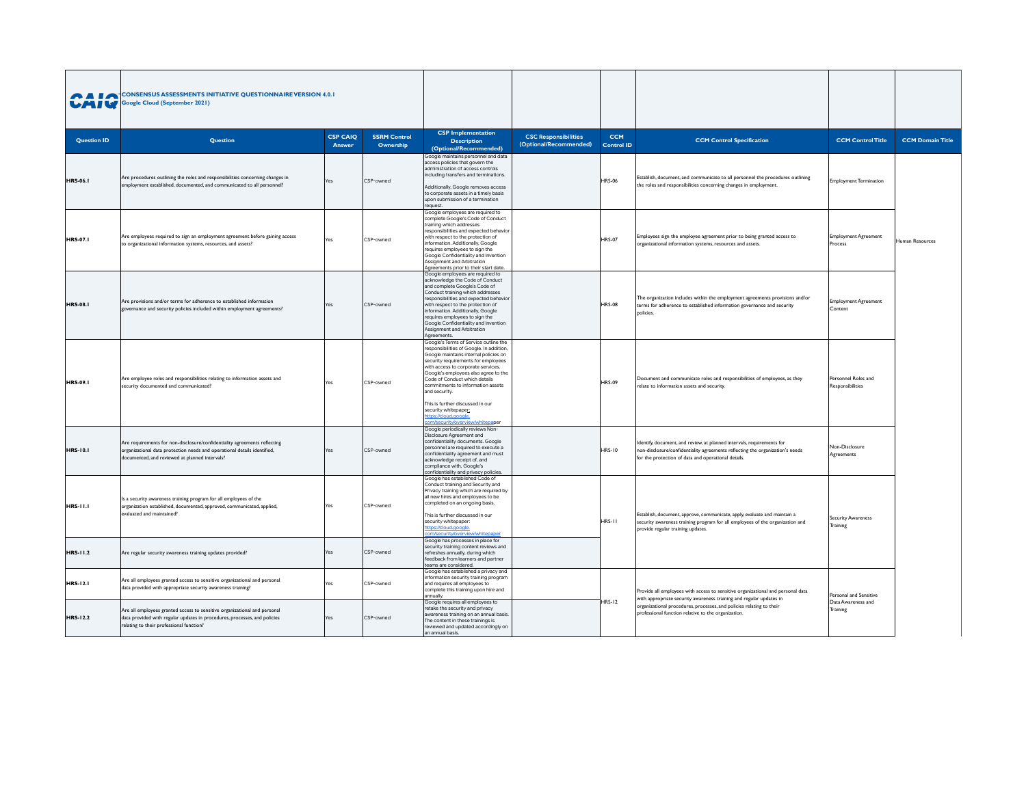|                    | CONSENSUS ASSESSMENTS INITIATIVE QUESTIONNAIRE VERSION 4.0.1<br>Google Cloud (September 2021)                                                                                                           |                           |                                  |                                                                                                                                                                                                                                                                                                                                                                                                                                                              |                                                       |                                 |                                                                                                                                                                                                                |                                         |                         |
|--------------------|---------------------------------------------------------------------------------------------------------------------------------------------------------------------------------------------------------|---------------------------|----------------------------------|--------------------------------------------------------------------------------------------------------------------------------------------------------------------------------------------------------------------------------------------------------------------------------------------------------------------------------------------------------------------------------------------------------------------------------------------------------------|-------------------------------------------------------|---------------------------------|----------------------------------------------------------------------------------------------------------------------------------------------------------------------------------------------------------------|-----------------------------------------|-------------------------|
| <b>Question ID</b> | Question                                                                                                                                                                                                | <b>CSP CAIQ</b><br>Answer | <b>SSRM Control</b><br>Ownership | <b>CSP</b> Implementation<br><b>Description</b><br>(Optional/Recommended)                                                                                                                                                                                                                                                                                                                                                                                    | <b>CSC Responsibilities</b><br>(Optional/Recommended) | <b>CCM</b><br><b>Control ID</b> | <b>CCM Control Specification</b>                                                                                                                                                                               | <b>CCM Control Title</b>                | <b>CCM Domain Title</b> |
| <b>HRS-06.1</b>    | Are procedures outlining the roles and responsibilities concerning changes in<br>employment established, documented, and communicated to all personnel?                                                 | Yes                       | CSP-owned                        | Google maintains personnel and data<br>access policies that govern the<br>administration of access controls<br>including transfers and terminations.<br>Additionally, Google removes access<br>to corporate assets in a timely basis<br>upon submission of a termination<br>request.                                                                                                                                                                         |                                                       | <b>HRS-06</b>                   | Establish, document, and communicate to all personnel the procedures outlining<br>the roles and responsibilities concerning changes in employment.                                                             | <b>Employment Termination</b>           |                         |
| <b>HRS-07.1</b>    | Are employees required to sign an employment agreement before gaining access<br>to organizational information systems, resources, and assets?                                                           |                           | CSP-owned                        | Google employees are required to<br>complete Google's Code of Conduct<br>training which addresses<br>responsibilities and expected behavior<br>with respect to the protection of<br>information. Additionally, Google<br>requires employees to sign the<br>Google Confidentiality and Invention<br>Assignment and Arbitration<br>Agreements prior to their start date.                                                                                       |                                                       | <b>HRS-07</b>                   | Employees sign the employee agreement prior to being granted access to<br>organizational information systems, resources and assets.                                                                            | <b>Employment Agreement</b><br>Process  | Human Resources         |
| <b>HRS-08.1</b>    | Are provisions and/or terms for adherence to established information<br>governance and security policies included within employment agreements?                                                         | Yes                       | CSP-owned                        | Google employees are required to<br>acknowledge the Code of Conduct<br>and complete Google's Code of<br>Conduct training which addresses<br>responsibilities and expected behavior<br>with respect to the protection of<br>information. Additionally, Google<br>requires employees to sign the<br>Google Confidentiality and Invention<br>Assignment and Arbitration<br>Agreements.                                                                          |                                                       | <b>HRS-08</b>                   | The organization includes within the employment agreements provisions and/or<br>terms for adherence to established information governance and security<br>policies.                                            | <b>Employment Agreement</b><br>Content  |                         |
| <b>HRS-09.1</b>    | Are employee roles and responsibilities relating to information assets and<br>security documented and communicated?                                                                                     | Yes                       | CSP-owned                        | Google's Terms of Service outline the<br>responsibilities of Google. In addition,<br>Google maintains internal policies on<br>security requirements for employees<br>with access to corporate services.<br>Google's employees also agree to the<br>Code of Conduct which details<br>commitments to information assets<br>and security.<br>This is further discussed in our<br>security whitepaper:<br>ttps://cloud.google.<br>n/security/overview/whitepaper |                                                       | <b>HRS-09</b>                   | Document and communicate roles and responsibilities of employees, as they<br>relate to information assets and security.                                                                                        | Personnel Roles and<br>Responsibilities |                         |
| <b>HRS-10.1</b>    | Are requirements for non-disclosure/confidentiality agreements reflecting<br>organizational data protection needs and operational details identified,<br>documented, and reviewed at planned intervals? | Yes                       | CSP-owned                        | Google periodically reviews Non-<br>Disclosure Agreement and<br>confidentiality documents. Google<br>personnel are required to execute a<br>confidentiality agreement and must<br>acknowledge receipt of, and<br>compliance with, Google's<br>confidentiality and privacy policies.                                                                                                                                                                          |                                                       | <b>HRS-10</b>                   | Identify, document, and review, at planned intervals, requirements for<br>non-disclosure/confidentiality agreements reflecting the organization's needs<br>for the protection of data and operational details. | Non-Disclosure<br>Agreements            |                         |
| <b>HRS-11.1</b>    | Is a security awareness training program for all employees of the<br>organization established, documented, approved, communicated, applied,<br>evaluated and maintained?                                |                           | CSP-owned                        | Google has established Code of<br>Conduct training and Security and<br>Privacy training which are required by<br>all new hires and employees to be<br>completed on an ongoing basis.<br>This is further discussed in our<br>security whitepaper:<br>ps://cloud.google                                                                                                                                                                                        |                                                       | <b>HRS-11</b>                   | Establish, document, approve, communicate, apply, evaluate and maintain a<br>security awareness training program for all employees of the organization and<br>provide regular training updates.                | <b>Security Awareness</b><br>Training   |                         |
| <b>HRS-11.2</b>    | Are regular security awareness training updates provided?                                                                                                                                               | Yes                       | CSP-owned                        | Google has processes in place for<br>security training content reviews and<br>refreshes annually, during which<br>feedback from learners and partner<br>teams are considered.                                                                                                                                                                                                                                                                                |                                                       |                                 |                                                                                                                                                                                                                |                                         |                         |
| <b>HRS-12.1</b>    | Are all employees granted access to sensitive organizational and personal<br>data provided with appropriate security awareness training?                                                                | Yes                       | CSP-owned                        | Google has established a privacy and<br>information security training program<br>and requires all employees to<br>complete this training upon hire and<br>annually.                                                                                                                                                                                                                                                                                          |                                                       |                                 | Provide all employees with access to sensitive organizational and personal data<br>with appropriate security awareness training and regular updates in                                                         | Personal and Sensitive                  |                         |
| <b>HRS-12.2</b>    | Are all employees granted access to sensitive organizational and personal<br>data provided with regular updates in procedures, processes, and policies<br>relating to their professional function?      | Yes                       | CSP-owned                        | Google requires all employees to<br>retake the security and privacy<br>awareness training on an annual basis<br>The content in these trainings is<br>reviewed and updated accordingly on<br>an annual basis.                                                                                                                                                                                                                                                 |                                                       | <b>HRS-12</b>                   | organizational procedures, processes, and policies relating to their<br>professional function relative to the organization.                                                                                    | Data Awareness and<br>Training          |                         |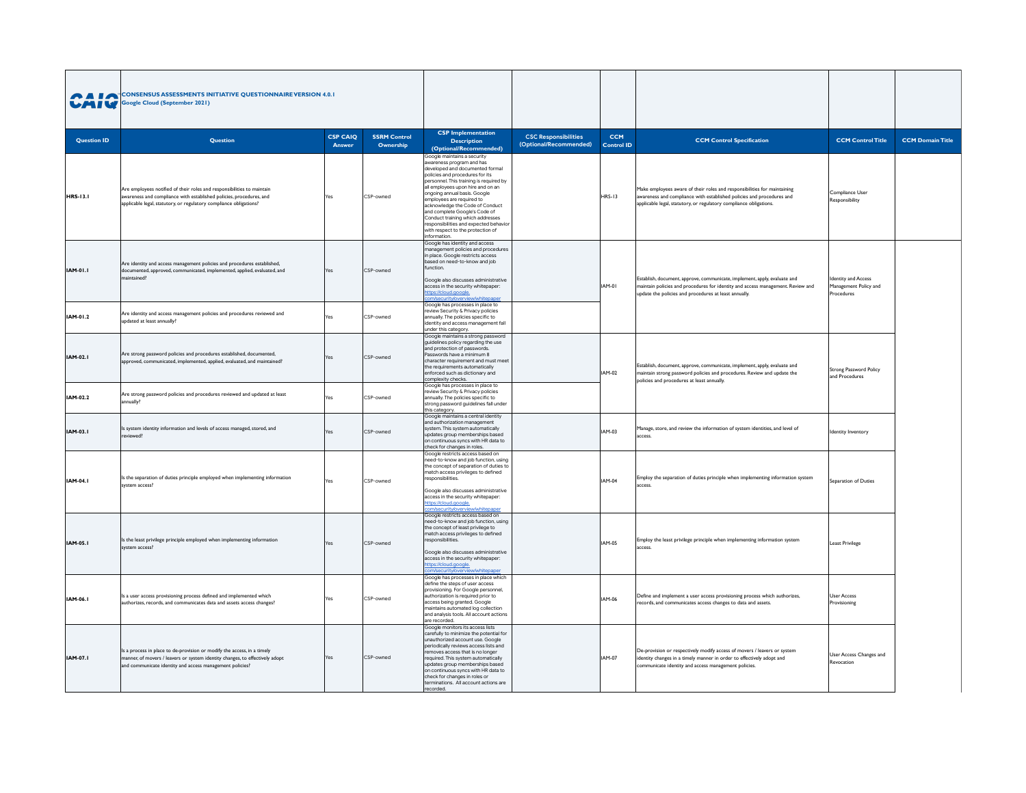|                    | <b>A I A CONSENSUS ASSESSMENTS INITIATIVE QUESTIONNAIRE VERSION 4.0.1</b><br>Google Cloud (September 2021)<br><b>CSP CAIO</b><br><b>SSRM Control</b>                                                                |        |           |                                                                                                                                                                                                                                                                                                                                                                                                                                                                                    |                                                       |                                 |                                                                                                                                                                                                                         |                                                           |                         |
|--------------------|---------------------------------------------------------------------------------------------------------------------------------------------------------------------------------------------------------------------|--------|-----------|------------------------------------------------------------------------------------------------------------------------------------------------------------------------------------------------------------------------------------------------------------------------------------------------------------------------------------------------------------------------------------------------------------------------------------------------------------------------------------|-------------------------------------------------------|---------------------------------|-------------------------------------------------------------------------------------------------------------------------------------------------------------------------------------------------------------------------|-----------------------------------------------------------|-------------------------|
| <b>Question ID</b> | Question                                                                                                                                                                                                            | Answer | Ownership | <b>CSP</b> Implementation<br><b>Description</b><br>(Optional/Recommended)                                                                                                                                                                                                                                                                                                                                                                                                          | <b>CSC Responsibilities</b><br>(Optional/Recommended) | <b>CCM</b><br><b>Control ID</b> | <b>CCM Control Specification</b>                                                                                                                                                                                        | <b>CCM Control Title</b>                                  | <b>CCM Domain Title</b> |
| <b>HRS-13.1</b>    | Are employees notified of their roles and responsibilities to maintain<br>awareness and compliance with established policies, procedures, and<br>applicable legal, statutory, or regulatory compliance obligations? | Yes    | CSP-owned | Google maintains a security<br>awareness program and has<br>developed and documented formal<br>policies and procedures for its<br>personnel. This training is required by<br>all employees upon hire and on an<br>ongoing annual basis. Google<br>employees are required to<br>acknowledge the Code of Conduct<br>and complete Google's Code of<br>Conduct training which addresses<br>responsibilities and expected behavior<br>with respect to the protection of<br>information. |                                                       | <b>HRS-13</b>                   | Make employees aware of their roles and responsibilities for maintaining<br>awareness and compliance with established policies and procedures and<br>applicable legal, statutory, or regulatory compliance obligations. | Compliance User<br>Responsibility                         |                         |
| IAM-01.1           | Are identity and access management policies and procedures established,<br>documented, approved, communicated, implemented, applied, evaluated, and<br>maintained?                                                  | Yes    | CSP-owned | Google has identity and access<br>management policies and procedures<br>in place. Google restricts access<br>based on need-to-know and job<br>function.<br>Google also discusses administrative<br>access in the security whitepaper:<br>ttps://cloud.google.                                                                                                                                                                                                                      |                                                       | IAM-01                          | Establish, document, approve, communicate, implement, apply, evaluate and<br>maintain policies and procedures for identity and access management. Review and<br>update the policies and procedures at least annually.   | dentity and Access<br>Management Policy and<br>Procedures |                         |
| IAM-01.2           | Are identity and access management policies and procedures reviewed and<br>updated at least annually?                                                                                                               | Yes    | CSP-owned | Google has processes in place to<br>review Security & Privacy policies<br>annually. The policies specific to<br>identity and access management fall<br>under this category.                                                                                                                                                                                                                                                                                                        |                                                       |                                 |                                                                                                                                                                                                                         |                                                           |                         |
| <b>IAM-02.1</b>    | Are strong password policies and procedures established, documented,<br>approved, communicated, implemented, applied, evaluated, and maintained?                                                                    | Yes    | CSP-owned | Google maintains a strong password<br>quidelines policy regarding the use<br>and protection of passwords.<br>Passwords have a minimum 8<br>character requirement and must mee<br>the requirements automatically<br>enforced such as dictionary and<br>complexity checks.                                                                                                                                                                                                           |                                                       | IAM-02                          | Establish, document, approve, communicate, implement, apply, evaluate and<br>maintain strong password policies and procedures. Review and update the<br>policies and procedures at least annually.                      | Strong Password Policy<br>and Procedures                  |                         |
| IAM-02.2           | Are strong password policies and procedures reviewed and updated at least<br>nnually?                                                                                                                               | Yes    | CSP-owned | Google has processes in place to<br>review Security & Privacy policies<br>annually. The policies specific to<br>strong password guidelines fall under<br>this category.                                                                                                                                                                                                                                                                                                            |                                                       |                                 |                                                                                                                                                                                                                         |                                                           |                         |
| <b>IAM-03.1</b>    | Is system identity information and levels of access managed, stored, and<br>eviewed?                                                                                                                                | Yes    | CSP-owned | Google maintains a central identity<br>and authorization management<br>system. This system automatically<br>updates group memberships based<br>on continuous syncs with HR data to<br>check for changes in roles.                                                                                                                                                                                                                                                                  |                                                       | IAM-03                          | Manage, store, and review the information of system identities, and level of<br>access.                                                                                                                                 | Identity Inventory                                        |                         |
| IAM-04.1           | Is the separation of duties principle employed when implementing information<br>system access?                                                                                                                      | Yes    | CSP-owned | Google restricts access based on<br>need-to-know and job function, using<br>the concept of separation of duties to<br>match access privileges to defined<br>responsibilities.<br>Google also discusses administrative<br>access in the security whitepaper:<br>ttps://cloud.google.<br>m/security/overvie                                                                                                                                                                          |                                                       | <b>IAM-04</b>                   | Employ the separation of duties principle when implementing information system<br>access.                                                                                                                               | Separation of Duties                                      |                         |
| <b>IAM-05.1</b>    | Is the least privilege principle employed when implementing information<br>system access?                                                                                                                           | Yes    | CSP-owned | Google restricts access based on<br>need-to-know and job function, using<br>the concept of least privilege to<br>match access privileges to defined<br>responsibilities.<br>Google also discusses administrative<br>access in the security whitepaper:                                                                                                                                                                                                                             |                                                       | <b>IAM-05</b>                   | Employ the least privilege principle when implementing information system<br>access.                                                                                                                                    | <b>Least Privilege</b>                                    |                         |
| IAM-06.1           | Is a user access provisioning process defined and implemented which<br>authorizes, records, and communicates data and assets access changes?                                                                        | Yes    | CSP-owned | Google has processes in place which<br>define the stens of user access.<br>provisioning. For Google personnel.<br>authorization is required prior to<br>access being granted, Google<br>maintains automated log collection<br>and analysis tools. All account actions<br>are recorded.                                                                                                                                                                                             |                                                       | <b>IAM-06</b>                   | Define and implement a user access provisioning process which authorizes,<br>records, and communicates access changes to data and assets.                                                                               | <b>User Access</b><br>Provisioning                        |                         |
| IAM-07.I           | Is a process in place to de-provision or modify the access, in a timely<br>manner, of movers / leavers or system identity changes, to effectively adopt<br>and communicate identity and access management policies? | Yes    | CSP-owned | Google monitors its access lists<br>carefully to minimize the potential for<br>unauthorized account use. Google<br>periodically reviews access lists and<br>removes access that is no longer<br>required. This system automatically<br>updates group memberships based<br>on continuous syncs with HR data to<br>check for changes in roles or<br>terminations. All account actions are<br>recorded.                                                                               |                                                       | IAM-07                          | De-provision or respectively modify access of movers / leavers or system<br>identity changes in a timely manner in order to effectively adopt and<br>communicate identity and access management policies.               | User Access Changes and<br>Revocation                     |                         |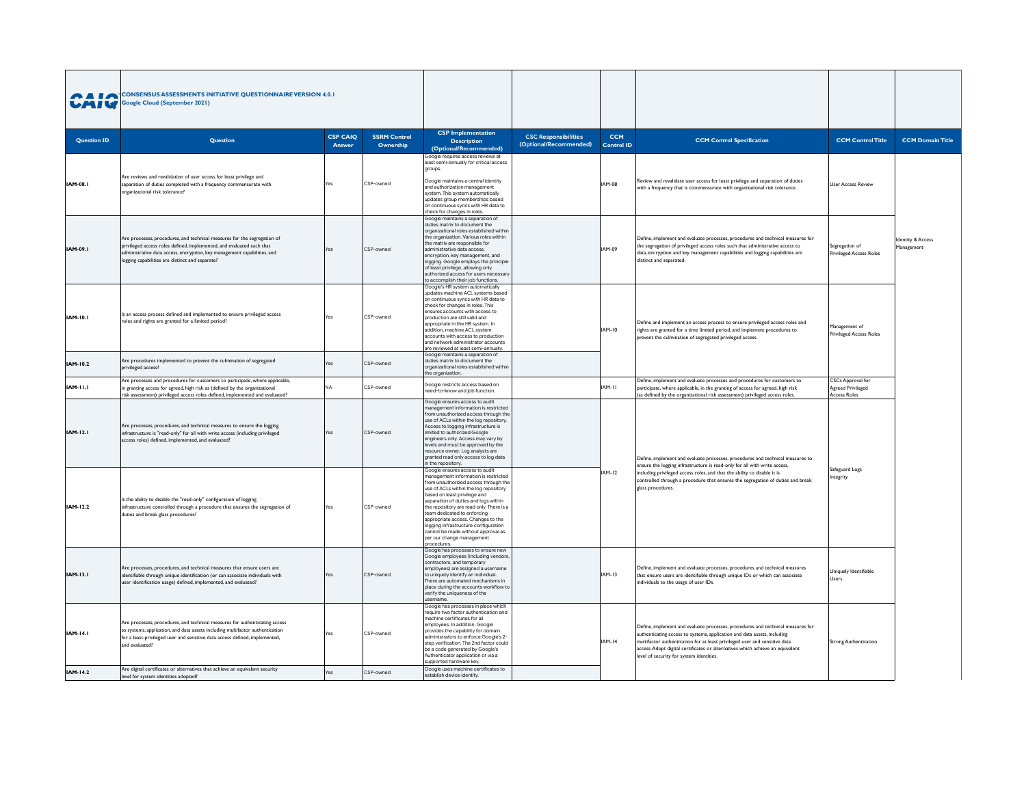|                    | <b>A I A</b> CONSENSUS ASSESSMENTS INITIATIVE QUESTIONNAIRE VERSION 4.0.1<br>Google Cloud (September 2021)<br><b>CSP CAIO</b><br><b>SSRM Control</b>                                                                                                                             |        |           |                                                                                                                                                                                                                                                                                                                                                                                                                                                                            |                                                       |                                 |                                                                                                                                                                                                                                                                                                                                                                         |                                                                      |                              |
|--------------------|----------------------------------------------------------------------------------------------------------------------------------------------------------------------------------------------------------------------------------------------------------------------------------|--------|-----------|----------------------------------------------------------------------------------------------------------------------------------------------------------------------------------------------------------------------------------------------------------------------------------------------------------------------------------------------------------------------------------------------------------------------------------------------------------------------------|-------------------------------------------------------|---------------------------------|-------------------------------------------------------------------------------------------------------------------------------------------------------------------------------------------------------------------------------------------------------------------------------------------------------------------------------------------------------------------------|----------------------------------------------------------------------|------------------------------|
| <b>Question ID</b> | Question                                                                                                                                                                                                                                                                         | Answer | Ownership | <b>CSP</b> Implementation<br><b>Description</b><br>(Optional/Recommended)                                                                                                                                                                                                                                                                                                                                                                                                  | <b>CSC Responsibilities</b><br>(Optional/Recommended) | <b>CCM</b><br><b>Control ID</b> | <b>CCM Control Specification</b>                                                                                                                                                                                                                                                                                                                                        | <b>CCM Control Title</b>                                             | <b>CCM Domain Title</b>      |
| IAM-08.1           | Are reviews and revalidation of user access for least privilege and<br>separation of duties completed with a frequency commensurate with<br>organizational risk tolerance?                                                                                                       | Yes    | CSP-owned | Google requires access reviews at<br>least semi-annually for critical access<br>groups.<br>Google maintains a central identity<br>and authorization management<br>system. This system automatically<br>updates group memberships based<br>on continuous syncs with HR data to<br>check for changes in roles.                                                                                                                                                               |                                                       | IAM-08                          | Review and revalidate user access for least privilege and separation of duties<br>with a frequency that is commensurate with organizational risk tolerance.                                                                                                                                                                                                             | <b>User Access Review</b>                                            |                              |
| IAM-09.1           | Are processes, procedures, and technical measures for the segregation of<br>privileged access roles defined, implemented, and evaluated such that<br>administrative data access, encryption, key management capabilities, and<br>logging capabilities are distinct and separate? |        | CSP-owned | Google maintains a separation of<br>duties matrix to document the<br>organizational roles established withir<br>the organization. Various roles within<br>the matrix are responsible for<br>administrative data access.<br>encryption, key management, and<br>logging. Google employs the principle<br>of least privilege, allowing only<br>authorized access for users necessar<br>to accomplish their job functions.                                                     |                                                       | IAM-09                          | Define, implement and evaluate processes, procedures and technical measures for<br>the segregation of privileged access roles such that administrative access to<br>data, encryption and key management capabilities and logging capabilities are<br>distinct and separated.                                                                                            | Segregation of<br><b>Privileged Access Roles</b>                     | entity & Access<br>anagement |
| IAM-10.1           | Is an access process defined and implemented to ensure privileged access<br>roles and rights are granted for a limited period?                                                                                                                                                   |        | CSP-owned | Google's HR system automatically<br>updates machine ACL systems based<br>on continuous syncs with HR data to<br>check for changes in roles. This<br>ensures accounts with access to<br>production are still valid and<br>appropriate in the HR system. In<br>addition, machine ACL system<br>accounts with access to production<br>and network administrator accounts<br>are reviewed at least semi-annually.                                                              |                                                       | IAM-10                          | Define and implement an access process to ensure privileged access roles and<br>rights are granted for a time limited period, and implement procedures to<br>prevent the culmination of segregated privileged access.                                                                                                                                                   | Management of<br><b>Privileged Access Roles</b>                      |                              |
| IAM-10.2           | Are procedures implemented to prevent the culmination of segregated<br>privileged access?                                                                                                                                                                                        | es     | CSP-owned | Google maintains a separation of<br>duties matrix to document the<br>organizational roles established withir<br>the organization.                                                                                                                                                                                                                                                                                                                                          |                                                       |                                 |                                                                                                                                                                                                                                                                                                                                                                         |                                                                      |                              |
| <b>IAM-11.1</b>    | Are processes and procedures for customers to participate, where applicable,<br>in granting access for agreed, high risk as (defined by the organizational<br>risk assessment) privileged access roles defined, implemented and evaluated?                                       | NА     | CSP-owned | Google restricts access based on<br>need-to-know and job function.                                                                                                                                                                                                                                                                                                                                                                                                         |                                                       | IAM-II                          | Define, implement and evaluate processes and procedures for customers to<br>participate, where applicable, in the granting of access for agreed, high risk<br>(as defined by the organizational risk assessment) privileged access roles.                                                                                                                               | CSCs Approval for<br><b>Agreed Privileged</b><br><b>Access Roles</b> |                              |
| <b>IAM-12.1</b>    | Are processes, procedures, and technical measures to ensure the logging<br>infrastructure is "read-only" for all with write access (including privileged<br>access roles) defined, implemented, and evaluated?                                                                   | Yes    | CSP-owned | Google ensures access to audit<br>management information is restricted<br>from unauthorized access through the<br>use of ACLs within the log repository.<br>Access to logging infrastructure is<br>limited to authorized Google<br>engineers only. Access may vary by<br>levels and must be approved by the<br>resource owner. Log analysts are<br>granted read only access to log data<br>n the repository.                                                               |                                                       |                                 | Define, implement and evaluate processes, procedures and technical measures to<br>ensure the logging infrastructure is read-only for all with write access,                                                                                                                                                                                                             |                                                                      |                              |
| IAM-12.2           | Is the ability to disable the "read-only" configuration of logging<br>infrastructure controlled through a procedure that ensures the segregation of<br>duties and break glass procedures?                                                                                        |        | CSP-owned | Google ensures access to audit<br>management information is restricted<br>from unauthorized access through the<br>use of ACLs within the log repository<br>based on least privilege and<br>separation of duties and logs within<br>the repository are read only. There is a<br>team dedicated to enforcing<br>appropriate access. Changes to the<br>logging infrastructure configuration<br>cannot be made without approval as<br>per our change management<br>procedures. |                                                       | <b>IAM-12</b>                   | including privileged access roles, and that the ability to disable it is<br>controlled through a procedure that ensures the segregation of duties and break<br>glass procedures.                                                                                                                                                                                        | Safeguard Logs<br>Integrity                                          |                              |
| IAM-13.1           | Are processes, procedures, and technical measures that ensure users are<br>identifiable through unique identification (or can associate individuals with<br>user identification usage) defined, implemented, and evaluated?                                                      | íes    | CSP-owned | Google has processes to ensure new<br>Google employees (including vendors<br>contractors, and temporary<br>employees) are assigned a username<br>to uniquely identify an individual.<br>There are automated mechanisms in<br>place during the accounts workflow to<br>verify the uniqueness of the<br>username.                                                                                                                                                            |                                                       | <b>IAM-13</b>                   | Define, implement and evaluate processes, procedures and technical measures<br>that ensure users are identifiable through unique IDs or which can associate<br>individuals to the usage of user IDs.                                                                                                                                                                    | Uniquely Identifiable<br>Users                                       |                              |
| IAM-14.1           | Are processes, procedures, and technical measures for authenticating access<br>to systems, application, and data assets including multifactor authentication<br>for a least-privileged user and sensitive data access defined, implemented,<br>and evaluated?                    | Yes    | CSP-owned | Google has processes in place which<br>require two factor authentication and<br>machine certificates for all<br>employees. In addition, Google<br>provides the capability for domain<br>administrators to enforce Google's 2-<br>step verification. The 2nd factor could<br>be a code generated by Google's<br>Authenticator application or via a<br>supported hardware key.                                                                                               |                                                       | <b>IAM-14</b>                   | Define, implement and evaluate processes, procedures and technical measures for<br>authenticating access to systems, application and data assets, including<br>multifactor authentication for at least privileged user and sensitive data<br>access. Adopt digital certificates or alternatives which achieve an equivalent<br>level of security for system identities. | <b>Strong Authentication</b>                                         |                              |
| IAM-14.2           | Are digital certificates or alternatives that achieve an equivalent security<br>level for system identities adopted?                                                                                                                                                             |        | CSP-owned | Google uses machine certificates to<br>establish device identity                                                                                                                                                                                                                                                                                                                                                                                                           |                                                       |                                 |                                                                                                                                                                                                                                                                                                                                                                         |                                                                      |                              |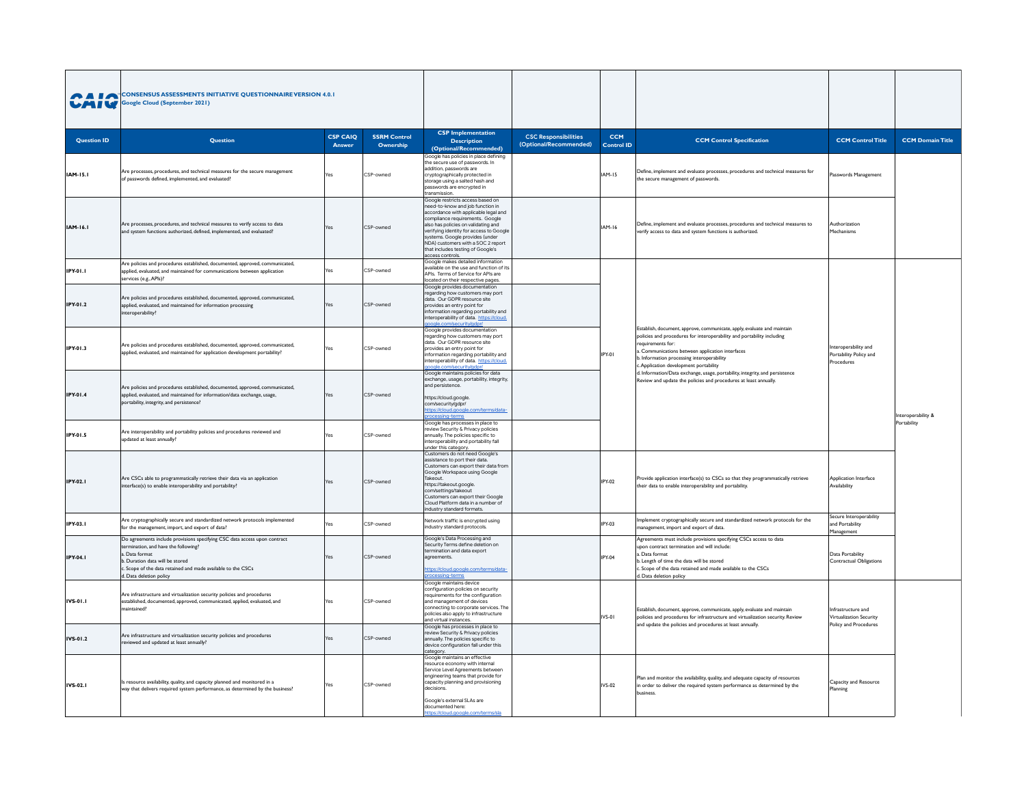|                    | <b>A A</b> CONSENSUS ASSESSMENTS INITIATIVE QUESTIONNAIRE VERSION 4.0.1<br>Google Cloud (September 2021)<br><b>CSP CAIQ</b><br><b>SSRM Control</b><br>Question                                                                                                    |        |           |                                                                                                                                                                                                                                                                                                                                                                     |                                                       |                                 |                                                                                                                                                                                                                                                                                                                 |                                                                        |                         |
|--------------------|-------------------------------------------------------------------------------------------------------------------------------------------------------------------------------------------------------------------------------------------------------------------|--------|-----------|---------------------------------------------------------------------------------------------------------------------------------------------------------------------------------------------------------------------------------------------------------------------------------------------------------------------------------------------------------------------|-------------------------------------------------------|---------------------------------|-----------------------------------------------------------------------------------------------------------------------------------------------------------------------------------------------------------------------------------------------------------------------------------------------------------------|------------------------------------------------------------------------|-------------------------|
| <b>Question ID</b> |                                                                                                                                                                                                                                                                   | Answer | Ownership | <b>CSP</b> Implementation<br><b>Description</b><br>(Optional/Recommended)                                                                                                                                                                                                                                                                                           | <b>CSC Responsibilities</b><br>(Optional/Recommended) | <b>CCM</b><br><b>Control ID</b> | <b>CCM Control Specification</b>                                                                                                                                                                                                                                                                                | <b>CCM Control Title</b>                                               | <b>CCM Domain Title</b> |
| IAM-15.1           | Are processes, procedures, and technical measures for the secure management<br>of passwords defined, implemented, and evaluated?                                                                                                                                  |        | CSP-owned | Google has policies in place defining<br>the secure use of passwords. In<br>addition, passwords are<br>cryptographically protected in<br>storage using a salted hash and<br>passwords are encrypted in<br>ransmission.                                                                                                                                              |                                                       | <b>IAM-15</b>                   | Define, implement and evaluate processes, procedures and technical measures for<br>the secure management of passwords.                                                                                                                                                                                          | Passwords Management                                                   |                         |
| IAM-16.1           | Are processes, procedures, and technical measures to verify access to data<br>and system functions authorized, defined, implemented, and evaluated?                                                                                                               |        | CSP-owned | Google restricts access based on<br>need-to-know and job function in<br>accordance with applicable legal and<br>compliance requirements. Google<br>also has policies on validating and<br>verifying identity for access to Google<br>systems. Google provides (under<br>NDA) customers with a SOC 2 report<br>that includes testing of Google's<br>access controls. |                                                       | IAM-16                          | Define, implement and evaluate processes, procedures and technical measures to<br>verify access to data and system functions is authorized.                                                                                                                                                                     | Authorization<br>Mechanisms                                            |                         |
| <b>IPY-01.1</b>    | Are policies and procedures established, documented, approved, communicated,<br>applied, evaluated, and maintained for communications between application<br>services (e.g., APIs)?                                                                               |        | CSP-owned | Google makes detailed information<br>available on the use and function of its<br>APIs. Terms of Service for APIs are<br>located on their respective pages.                                                                                                                                                                                                          |                                                       |                                 |                                                                                                                                                                                                                                                                                                                 |                                                                        |                         |
| IPY-01.2           | Are policies and procedures established, documented, approved, communicated,<br>applied, evaluated, and maintained for information processing<br>interoperability?                                                                                                |        | CSP-owned | Google provides documentation<br>regarding how customers may port<br>data. Our GDPR resource site<br>provides an entry point for<br>information regarding portability and<br>nteroperability of data. http                                                                                                                                                          |                                                       |                                 |                                                                                                                                                                                                                                                                                                                 |                                                                        |                         |
| IPY-01.3           | Are policies and procedures established, documented, approved, communicated,<br>applied, evaluated, and maintained for application development portability?                                                                                                       |        | CSP-owned | Google provides documentation<br>egarding how customers may port<br>data. Our GDPR resource site<br>provides an entry point for<br>information regarding portability and<br>nteroperability of data. http:                                                                                                                                                          |                                                       | IPY-01                          | Establish, document, approve, communicate, apply, evaluate and maintain<br>policies and procedures for interoperability and portability including<br>requirements for:<br>a. Communications between application interfaces<br>. Information processing interoperability<br>.Application development portability | Interoperability and<br>Portability Policy and<br>Procedures           |                         |
| IPY-01.4           | Are policies and procedures established, documented, approved, communicated,<br>applied, evaluated, and maintained for information/data exchange, usage,<br>portability, integrity, and persistence?                                                              |        | CSP-owned | Google maintains policies for data<br>exchange, usage, portability, integrity,<br>and persistence.<br>https://cloud.google.<br>com/security/gdpr/<br>ps://cloud.go                                                                                                                                                                                                  |                                                       |                                 | d. Information/Data exchange, usage, portability, integrity, and persistence<br>Review and update the policies and procedures at least annually.                                                                                                                                                                |                                                                        | nteroperability &       |
| IPY-01.5           | Are interoperability and portability policies and procedures reviewed and<br>updated at least annually?                                                                                                                                                           |        | CSP-owned | Google has processes in place to<br>review Security & Privacy policies<br>annually. The policies specific to<br>interoperability and portability fall<br>under this category.<br>Customers do not need Google's                                                                                                                                                     |                                                       |                                 |                                                                                                                                                                                                                                                                                                                 |                                                                        | Portability             |
| IPY-02.1           | Are CSCs able to programmatically retrieve their data via an application<br>interface(s) to enable interoperability and portability?                                                                                                                              |        | CSP-owned | assistance to port their data.<br>Customers can export their data from<br>Google Workspace using Google<br>Takeout<br>https://takeout.google.<br>com/settings/takeout<br>Customers can export their Google<br>Cloud Platform data in a number of<br>ndustry standard formats.                                                                                       |                                                       | <b>IPY-02</b>                   | Provide application interface(s) to CSCs so that they programmatically retrieve<br>their data to enable interoperability and portability.                                                                                                                                                                       | Application Interface<br>Availability                                  |                         |
| IPY-03.1           | Are cryptographically secure and standardized network protocols implemented<br>for the management, import, and export of data?                                                                                                                                    |        | CSP-owned | Network traffic is encrypted using<br>ndustry standard protocol                                                                                                                                                                                                                                                                                                     |                                                       | PY-03                           | Implement cryptographically secure and standardized network protocols for the<br>management, import and export of data.                                                                                                                                                                                         | Secure Interoperability<br>and Portability<br>Management               |                         |
| IPY-04.1           | Do agreements include provisions specifying CSC data access upon contract<br>termination, and have the following?<br>a. Data format<br>b. Duration data will be stored<br>c. Scope of the data retained and made available to the CSCs<br>d. Data deletion policy |        | CSP-owned | Google's Data Processing and<br>Security Terms define deletion on<br>termination and data export<br>agreements.<br>ttps://cloud.google.com/terms/data<br><u>rocessing-terms</u>                                                                                                                                                                                     |                                                       | IPY-04                          | Agreements must include provisions specifying CSCs access to data<br>upon contract termination and will include:<br>a. Data format<br>b. Length of time the data will be stored<br>. Scope of the data retained and made available to the CSCs<br>d. Data deletion policy                                       | Data Portability<br>Contractual Obligations                            |                         |
| IVS-01.1           | Are infrastructure and virtualization security policies and procedures<br>established, documented, approved, communicated, applied, evaluated, and<br>maintained?                                                                                                 |        | CSP-owned | Google maintains device<br>configuration policies on security<br>requirements for the configuration<br>and management of devices<br>connecting to corporate services. The<br>policies also apply to infrastructure<br>and virtual instances.                                                                                                                        |                                                       | $IVS-01$                        | Establish, document, approve, communicate, apply, evaluate and maintain<br>policies and procedures for infrastructure and virtualization security. Review<br>and update the policies and procedures at least annually.                                                                                          | Infrastructure and<br>Virtualization Security<br>Policy and Procedures |                         |
| IVS-01.2           | Are infrastructure and virtualization security policies and procedures<br>reviewed and updated at least annually?                                                                                                                                                 |        | CSP-owned | Google has processes in place to<br>review Security & Privacy policies<br>annually. The policies specific to<br>device configuration fall under this<br>category.                                                                                                                                                                                                   |                                                       |                                 |                                                                                                                                                                                                                                                                                                                 |                                                                        |                         |
| IVS-02.1           | Is resource availability, quality, and capacity planned and monitored in a<br>way that delivers required system performance, as determined by the business?                                                                                                       | Yes    | CSP-owned | Google maintains an effective<br>resource economy with internal<br>Service Level Agreements between<br>engineering teams that provide for<br>capacity planning and provisioning<br>lecisions<br>Google's external SLAs are<br>focumented here:                                                                                                                      |                                                       | IVS-02                          | Plan and monitor the availability, quality, and adequate capacity of resources<br>in order to deliver the required system performance as determined by the<br>business.                                                                                                                                         | Capacity and Resource<br>Planning                                      |                         |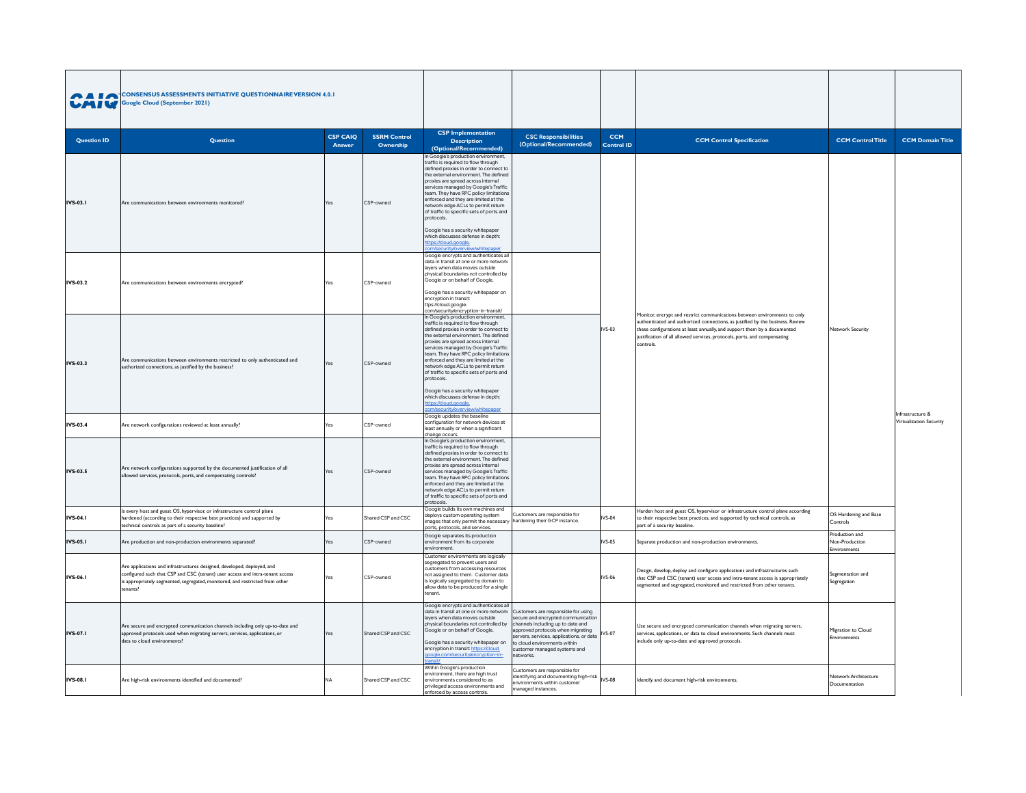| <b>VAIV</b>        | CONSENSUS ASSESSMENTS INITIATIVE QUESTIONNAIRE VERSION 4.0.1<br><b>Google Cloud (September 2021)</b><br><b>CSP CAIQ</b><br><b>SSRM Control</b><br>Question                                                                                           |        |                    |                                                                                                                                                                                                                                                                                                                                                                                                                                                                                                                                                      |                                                                                                                                                                                                                                                                             |                                 |                                                                                                                                                                                                                                                                                                                                   |                                                  |                                             |
|--------------------|------------------------------------------------------------------------------------------------------------------------------------------------------------------------------------------------------------------------------------------------------|--------|--------------------|------------------------------------------------------------------------------------------------------------------------------------------------------------------------------------------------------------------------------------------------------------------------------------------------------------------------------------------------------------------------------------------------------------------------------------------------------------------------------------------------------------------------------------------------------|-----------------------------------------------------------------------------------------------------------------------------------------------------------------------------------------------------------------------------------------------------------------------------|---------------------------------|-----------------------------------------------------------------------------------------------------------------------------------------------------------------------------------------------------------------------------------------------------------------------------------------------------------------------------------|--------------------------------------------------|---------------------------------------------|
| <b>Question ID</b> |                                                                                                                                                                                                                                                      | Answer | Ownership          | <b>CSP</b> Implementation<br><b>Description</b><br>(Optional/Recommended)                                                                                                                                                                                                                                                                                                                                                                                                                                                                            | <b>CSC Responsibilities</b><br>(Optional/Recommended)                                                                                                                                                                                                                       | <b>CCM</b><br><b>Control ID</b> | <b>CCM Control Specification</b>                                                                                                                                                                                                                                                                                                  | <b>CCM Control Title</b>                         | <b>CCM Domain Title</b>                     |
| IVS-03.1           | Are communications between environments monitored?                                                                                                                                                                                                   | Yes    | CSP-owned          | In Google's production environment,<br>traffic is required to flow through<br>defined proxies in order to connect to<br>the external environment. The defined<br>proxies are spread across internal<br>services managed by Google's Traffic<br>team. They have RPC policy limitations<br>enforced and they are limited at the<br>network edge ACLs to permit return<br>of traffic to specific sets of ports and<br>arotocols<br>Google has a security whitepaper<br>which discusses defense in depth:<br>ttps://cloud.google.<br>n/security/overy    |                                                                                                                                                                                                                                                                             |                                 |                                                                                                                                                                                                                                                                                                                                   |                                                  |                                             |
| IVS-03.2           | Are communications between environments encrypted?                                                                                                                                                                                                   | Yes    | CSP-owned          | Google encrypts and authenticates all<br>data in transit at one or more network<br>lavers when data moves outside<br>physical boundaries not controlled by<br>Google or on behalf of Google.<br>Google has a security whitepaper on<br>encryption in transit:<br>ttps://cloud.google.<br>com/security/encryption-in-transit/                                                                                                                                                                                                                         |                                                                                                                                                                                                                                                                             |                                 |                                                                                                                                                                                                                                                                                                                                   |                                                  |                                             |
| IVS-03.3           | Are communications between environments restricted to only authenticated and<br>authorized connections, as justified by the business?                                                                                                                | Yes    | CSP-owned          | In Google's production environment,<br>traffic is required to flow through<br>defined proxies in order to connect to<br>the external environment. The defined<br>proxies are spread across internal<br>services managed by Google's Traffic<br>team. They have RPC policy limitations<br>enforced and they are limited at the<br>network edge ACLs to permit return<br>of traffic to specific sets of ports and<br>protocols.<br>Google has a security whitepaper<br>which discusses defense in depth:<br>ttps://cloud.google.<br>n/security/overvie |                                                                                                                                                                                                                                                                             | IVS-03                          | Monitor, encrypt and restrict communications between environments to only<br>authenticated and authorized connections, as justified by the business. Review<br>these configurations at least annually, and support them by a documented<br>justification of all allowed services, protocols, ports, and compensating<br>controls. | Network Security                                 |                                             |
| IVS-03.4           | Are network configurations reviewed at least annually?                                                                                                                                                                                               | Yes    | CSP-owned          | Google updates the baseline<br>configuration for network devices at<br>east annually or when a significant<br>change occurs.                                                                                                                                                                                                                                                                                                                                                                                                                         |                                                                                                                                                                                                                                                                             |                                 |                                                                                                                                                                                                                                                                                                                                   |                                                  | Infrastructure &<br>Virtualization Security |
| IVS-03.5           | Are network configurations supported by the documented justification of all<br>allowed services, protocols, ports, and compensating controls?                                                                                                        | Yes    | CSP-owned          | n Google's production environment,<br>traffic is required to flow through<br>defined proxies in order to connect to<br>the external environment. The defined<br>proxies are spread across internal<br>services managed by Google's Traffic<br>team. They have RPC policy limitation<br>enforced and they are limited at the<br>network edge ACLs to permit return<br>of traffic to specific sets of ports and<br>protocols.                                                                                                                          |                                                                                                                                                                                                                                                                             |                                 |                                                                                                                                                                                                                                                                                                                                   |                                                  |                                             |
| IVS-04.1           | s every host and guest OS, hypervisor, or infrastructure control plane<br>hardened (according to their respective best practices) and supported by<br>technical controls as part of a security baseline?                                             | Yes    | Shared CSP and CSC | Google builds its own machines and<br>deploys custom operating system<br>images that only permit the necessary<br>ports, protocols, and services.                                                                                                                                                                                                                                                                                                                                                                                                    | Customers are responsible for<br>hardening their GCP instance.                                                                                                                                                                                                              | IVS-04                          | Harden host and guest OS, hypervisor or infrastructure control plane according<br>to their respective best practices, and supported by technical controls, as<br>part of a security baseline.                                                                                                                                     | OS Hardening and Base<br>Controls                |                                             |
| IVS-05.1           | Are production and non-production environments separated?                                                                                                                                                                                            | fes    | CSP-owned          | Google separates its production<br>environment from its corporate<br>environment.                                                                                                                                                                                                                                                                                                                                                                                                                                                                    |                                                                                                                                                                                                                                                                             | IVS-05                          | Separate production and non-production environments.                                                                                                                                                                                                                                                                              | Production and<br>Non-Production<br>Environments |                                             |
| IVS-06.1           | Are applications and infrastructures designed, developed, deployed, and<br>configured such that CSP and CSC (tenant) user access and intra-tenant access<br>is appropriately segmented, segregated, monitored, and restricted from other<br>tenants? | Yes    | CSP-owned          | Customer environments are logically<br>segregated to prevent users and<br>customers from accessing resources<br>not assigned to them. Customer data<br>is logically segregated by domain to<br>allow data to be produced for a single<br>tenant.                                                                                                                                                                                                                                                                                                     |                                                                                                                                                                                                                                                                             | IVS-06                          | Design, develop, deploy and configure applications and infrastructures such<br>that CSP and CSC (tenant) user access and intra-tenant access is appropriately<br>segmented and segregated, monitored and restricted from other tenants.                                                                                           | Segmentation and<br>Segregation                  |                                             |
| IVS-07.1           | Are secure and encrypted communication channels including only up-to-date and<br>approved protocols used when migrating servers, services, applications, or<br>data to cloud environments?                                                           | Yes    | Shared CSP and CSC | Google encrypts and authenticates all<br>data in transit at one or more network<br>lavers when data moves outside<br>physical boundaries not controlled by<br>Google or on behalf of Google.<br>Google has a security whitepaper on<br>encryption in transit: https://cloud.<br>oogle.com/security/encryption-in-                                                                                                                                                                                                                                    | Customers are responsible for using<br>secure and encrypted communication<br>channels including up to date and<br>approved protocols when migrating<br>ervers, services, applications, or data<br>to cloud environments within<br>customer managed systems and<br>networks. | IVS-07                          | Use secure and encrypted communication channels when migrating servers,<br>services, applications, or data to cloud environments. Such channels must<br>include only up-to-date and approved protocols.                                                                                                                           | Migration to Cloud<br><b>Environments</b>        |                                             |
| IVS-08.1           | Are high-risk environments identified and documented?                                                                                                                                                                                                | NA     | Shared CSP and CSC | Vithin Google's production<br>environment, there are high trust<br>environments considered to as<br>privileged access environments and<br>enforced by access controls.                                                                                                                                                                                                                                                                                                                                                                               | Customers are responsible for<br>dentifying and documenting high-risk<br>environments within customer<br>managed instances.                                                                                                                                                 | <b>IVS-08</b>                   | Identify and document high-risk environments.                                                                                                                                                                                                                                                                                     | <b>Vetwork Architecture</b><br>Documentation     |                                             |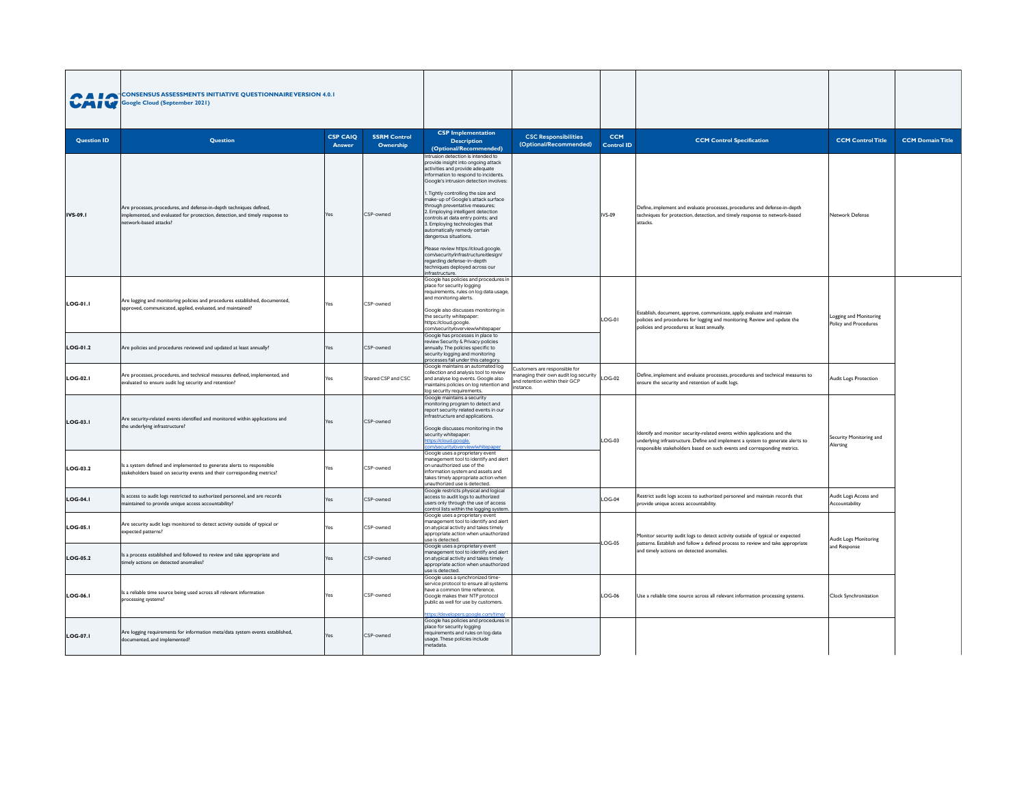|                    | <b>A I A CONSENSUS ASSESSMENTS INITIATIVE QUESTIONNAIRE VERSION 4.0.1</b><br>Google Cloud (September 2021)                                                                    |                                  |                                  |                                                                                                                                                                                                                                                                                                                                                                                                                                                                                                                                                                                                                                                       |                                                                                                                       |                                 |                                                                                                                                                                                                                                      |                                                 |                         |
|--------------------|-------------------------------------------------------------------------------------------------------------------------------------------------------------------------------|----------------------------------|----------------------------------|-------------------------------------------------------------------------------------------------------------------------------------------------------------------------------------------------------------------------------------------------------------------------------------------------------------------------------------------------------------------------------------------------------------------------------------------------------------------------------------------------------------------------------------------------------------------------------------------------------------------------------------------------------|-----------------------------------------------------------------------------------------------------------------------|---------------------------------|--------------------------------------------------------------------------------------------------------------------------------------------------------------------------------------------------------------------------------------|-------------------------------------------------|-------------------------|
| <b>Question ID</b> | Question                                                                                                                                                                      | <b>CSP CAIO</b><br><b>Answer</b> | <b>SSRM Control</b><br>Ownership | <b>CSP</b> Implementation<br><b>Description</b><br>(Optional/Recommended)                                                                                                                                                                                                                                                                                                                                                                                                                                                                                                                                                                             | <b>CSC Responsibilities</b><br>(Optional/Recommended)                                                                 | <b>CCM</b><br><b>Control ID</b> | <b>CCM Control Specification</b>                                                                                                                                                                                                     | <b>CCM Control Title</b>                        | <b>CCM Domain Title</b> |
| IVS-09.1           | Are processes, procedures, and defense-in-depth techniques defined,<br>implemented, and evaluated for protection, detection, and timely response to<br>network-based attacks? | Yes                              | CSP-owned                        | Intrusion detection is intended to<br>provide insight into ongoing attack<br>activities and provide adequate<br>information to respond to incidents.<br>Google's intrusion detection involves:<br>1. Tightly controlling the size and<br>make-up of Google's attack surface<br>through preventative measures;<br>2. Employing intelligent detection<br>controls at data entry points; and<br>3. Employing technologies that<br>automatically remedy certain<br>dangerous situations.<br>Please review https://cloud.google.<br>com/security/infrastructure/design/<br>regarding defense-in-depth<br>techniques deployed across our<br>infrastructure. |                                                                                                                       | IVS-09                          | Define, implement and evaluate processes, procedures and defense-in-depth<br>techniques for protection, detection, and timely response to network-based<br>attacks.                                                                  | Network Defense                                 |                         |
| LOG-01.1           | Are logging and monitoring policies and procedures established, documented,<br>approved, communicated, applied, evaluated, and maintained?                                    | Yes                              | CSP-owned                        | Google has policies and procedures in<br>place for security logging<br>requirements, rules on log data usage,<br>and monitoring alerts.<br>Google also discusses monitoring in<br>the security whitepaper:<br>https://cloud.google.<br>com/security/overview/whitepaper                                                                                                                                                                                                                                                                                                                                                                               |                                                                                                                       | $LOG-01$                        | Establish, document, approve, communicate, apply, evaluate and maintain<br>policies and procedures for logging and monitoring. Review and update the<br>policies and procedures at least annually.                                   | Logging and Monitoring<br>Policy and Procedures |                         |
| LOG-01.2           | Are policies and procedures reviewed and updated at least annually?                                                                                                           | Yes                              | CSP-owned                        | Google has processes in place to<br>review Security & Privacy policies<br>annually. The policies specific to<br>security logging and monitoring<br>processes fall under this category.                                                                                                                                                                                                                                                                                                                                                                                                                                                                |                                                                                                                       |                                 |                                                                                                                                                                                                                                      |                                                 |                         |
| LOG-02.1           | Are processes, procedures, and technical measures defined, implemented, and<br>evaluated to ensure audit log security and retention?                                          | Yes                              | Shared CSP and CSC               | Google maintains an automated log<br>collection and analysis tool to review<br>and analyse log events. Google also<br>maintains policies on log retention and<br>log security requirements.                                                                                                                                                                                                                                                                                                                                                                                                                                                           | Customers are responsible for<br>managing their own audit log security<br>and retention within their GCP<br>instance. | LOG-02                          | Define, implement and evaluate processes, procedures and technical measures to<br>ensure the security and retention of audit logs.                                                                                                   | Audit Logs Protection                           |                         |
| LOG-03.1           | Are security-related events identified and monitored within applications and<br>the underlying infrastructure?                                                                | Yes                              | CSP-owned                        | Google maintains a security<br>monitoring program to detect and<br>report security related events in our<br>infrastructure and applications.<br>Google discusses monitoring in the<br>security whitepaper:<br>ttps://cloud.google                                                                                                                                                                                                                                                                                                                                                                                                                     |                                                                                                                       | $LOG-03$                        | dentify and monitor security-related events within applications and the<br>underlying infrastructure. Define and implement a system to generate alerts to<br>esponsible stakeholders based on such events and corresponding metrics. | Security Monitoring and<br>Alerting             |                         |
| LOG-03.2           | Is a system defined and implemented to generate alerts to responsible<br>stakeholders based on security events and their corresponding metrics?                               | Yes                              | CSP-owned                        | Google uses a proprietary event<br>management tool to identify and alert<br>on unauthorized use of the<br>information system and assets and<br>takes timely appropriate action when<br>unauthorized use is detected.                                                                                                                                                                                                                                                                                                                                                                                                                                  |                                                                                                                       |                                 |                                                                                                                                                                                                                                      |                                                 |                         |
| <b>LOG-04.1</b>    | Is access to audit logs restricted to authorized personnel, and are records<br>maintained to provide unique access accountability?                                            | Yes                              | CSP-owned                        | Google restricts physical and logical<br>access to audit logs to authorized<br>users only through the use of access<br>control lists within the logging system                                                                                                                                                                                                                                                                                                                                                                                                                                                                                        |                                                                                                                       | $LOG-04$                        | Restrict audit logs access to authorized personnel and maintain records that<br>provide unique access accountability.                                                                                                                | Audit Logs Access and<br>Accountability         |                         |
| LOG-05.1           | Are security audit logs monitored to detect activity outside of typical or<br>expected patterns?                                                                              | Yes                              | CSP-owned                        | Google uses a proprietary event<br>management tool to identify and alert<br>on atypical activity and takes timely<br>appropriate action when unauthorized<br>use is detected.                                                                                                                                                                                                                                                                                                                                                                                                                                                                         |                                                                                                                       | $LOG-05$                        | Monitor security audit logs to detect activity outside of typical or expected<br>patterns. Establish and follow a defined process to review and take appropriate                                                                     | Audit Logs Monitoring                           |                         |
| LOG-05.2           | Is a process established and followed to review and take appropriate and<br>timely actions on detected anomalies?                                                             | Yes                              | CSP-owned                        | Google uses a proprietary event<br>management tool to identify and alert<br>on atypical activity and takes timely<br>appropriate action when unauthorized<br>use is detected.                                                                                                                                                                                                                                                                                                                                                                                                                                                                         |                                                                                                                       |                                 | and timely actions on detected anomalies.                                                                                                                                                                                            | and Response                                    |                         |
| LOG-06.1           | Is a reliable time source being used across all relevant information<br>processing systems?                                                                                   | Yes                              | CSP-owned                        | Google uses a synchronized time-<br>service protocol to ensure all systems<br>have a common time reference.<br>Google makes their NTP protocol<br>public as well for use by customers.                                                                                                                                                                                                                                                                                                                                                                                                                                                                |                                                                                                                       | $LOG-06$                        | Use a reliable time source across all relevant information processing systems.                                                                                                                                                       | Clock Synchronization                           |                         |
| LOG-07.1           | Are logging requirements for information meta/data system events established,<br>documented, and implemented?                                                                 | Yes                              | CSP-owned                        | Google has policies and procedures in<br>place for security logging<br>requirements and rules on log data<br>usage. These policies include<br>metadata.                                                                                                                                                                                                                                                                                                                                                                                                                                                                                               |                                                                                                                       |                                 |                                                                                                                                                                                                                                      |                                                 |                         |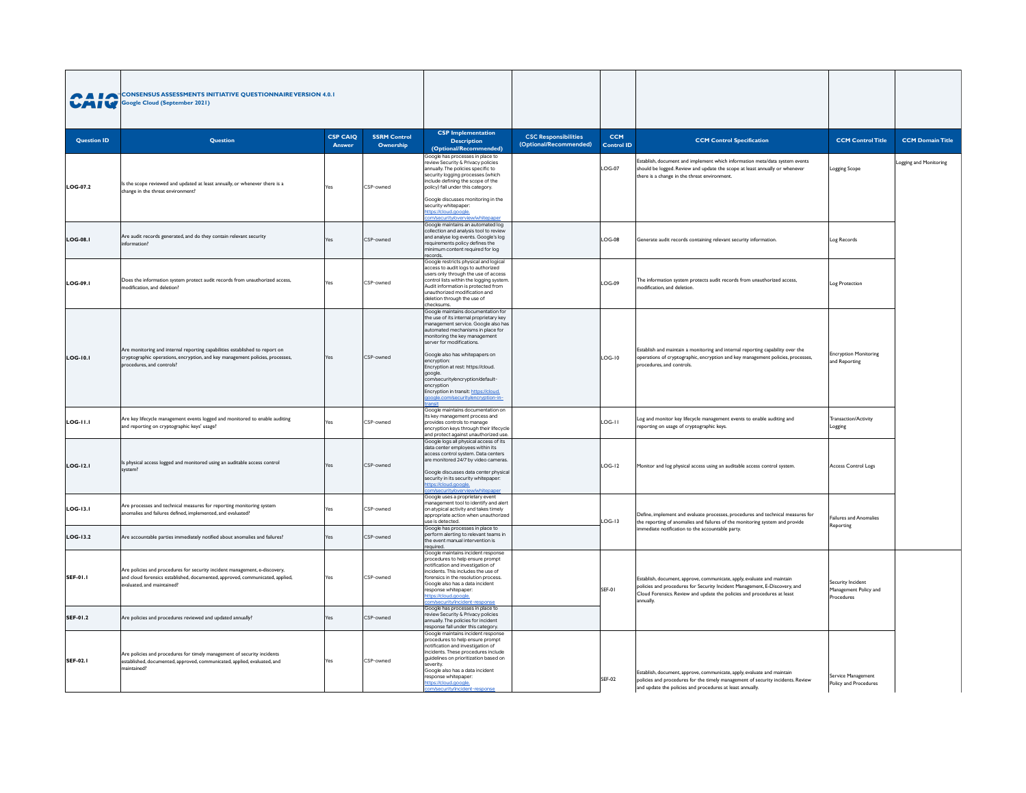|                    | <b>A I A</b> CONSENSUS ASSESSMENTS INITIATIVE QUESTIONNAIRE VERSION 4.0.1<br>Google Cloud (September 2021)<br><b>CSP CAIO</b><br><b>SSRM Control</b>                                      |        |           |                                                                                                                                                                                                                                                                                                                                                                                                                                                            |                                                       |                                 |                                                                                                                                                                                                                                               |                                                          |                         |
|--------------------|-------------------------------------------------------------------------------------------------------------------------------------------------------------------------------------------|--------|-----------|------------------------------------------------------------------------------------------------------------------------------------------------------------------------------------------------------------------------------------------------------------------------------------------------------------------------------------------------------------------------------------------------------------------------------------------------------------|-------------------------------------------------------|---------------------------------|-----------------------------------------------------------------------------------------------------------------------------------------------------------------------------------------------------------------------------------------------|----------------------------------------------------------|-------------------------|
| <b>Question ID</b> | Question                                                                                                                                                                                  | Answer | Ownership | <b>CSP</b> Implementation<br><b>Description</b><br>(Optional/Recommended)                                                                                                                                                                                                                                                                                                                                                                                  | <b>CSC Responsibilities</b><br>(Optional/Recommended) | <b>CCM</b><br><b>Control ID</b> | <b>CCM Control Specification</b>                                                                                                                                                                                                              | <b>CCM Control Title</b>                                 | <b>CCM Domain Title</b> |
| LOG-07.2           | s the scope reviewed and updated at least annually, or whenever there is a<br>change in the threat environment?                                                                           |        | CSP-owned | Google has processes in place to<br>eview Security & Privacy policies<br>annually. The policies specific to<br>security logging processes (which<br>include defining the scope of the<br>policy) fall under this category.<br>Google discusses monitoring in the<br>security whitepaper:<br>ttps://cloud.google                                                                                                                                            |                                                       | $LOG-07$                        | Establish, document and implement which information meta/data system events<br>should be logged. Review and update the scope at least annually or whenever<br>there is a change in the threat environment.                                    | Logging Scope                                            | ogging and Monitoring   |
| <b>LOG-08.1</b>    | Are audit records generated, and do they contain relevant security<br>information?                                                                                                        | Yes    | CSP-owned | Google maintains an automated log<br>collection and analysis tool to review<br>and analyse log events. Google's log<br>requirements policy defines the<br>minimum content required for log<br>records.                                                                                                                                                                                                                                                     |                                                       | $LOG-08$                        | Generate audit records containing relevant security information.                                                                                                                                                                              | Log Records                                              |                         |
| LOG-09.1           | Does the information system protect audit records from unauthorized access,<br>odification and deletion <sup>1</sup>                                                                      |        | CSP-owned | Google restricts physical and logical<br>access to audit logs to authorized<br>users only through the use of access<br>control lists within the logging system<br>Audit information is protected from<br>unauthorized modification and<br>deletion through the use of<br>checksums.                                                                                                                                                                        |                                                       | $LOG-09$                        | The information system protects audit records from unauthorized access,<br>modification, and deletion.                                                                                                                                        | Log Protection                                           |                         |
| LOG-10.1           | Are monitoring and internal reporting capabilities established to report on<br>cryptographic operations, encryption, and key management policies, processes,<br>procedures, and controls? |        | CSP-owned | Google maintains documentation for<br>the use of its internal proprietary key<br>management service. Google also has<br>automated mechanisms in place for<br>monitoring the key management<br>server for modifications.<br>Google also has whitepapers on<br>encryption:<br>Encryption at rest: https://cloud.<br>google.<br>com/security/encryption/default-<br>encryption<br>Encryption in transit: https://cloud.<br>loogle.com/security/encryption-in- |                                                       | LOG-10                          | Establish and maintain a monitoring and internal reporting capability over the<br>operations of cryptographic, encryption and key management policies, processes,<br>procedures, and controls.                                                | <b>Encryption Monitoring</b><br>and Reporting            |                         |
| LOG-11.1           | Are key lifecycle management events logged and monitored to enable auditing<br>and reporting on cryptographic keys' usage?                                                                |        | CSP-owned | Google maintains documentation on<br>its key management process and<br>provides controls to manage<br>encryption keys through their lifecycle<br>and protect against unauthorized use.                                                                                                                                                                                                                                                                     |                                                       | LOG-II                          | Log and monitor key lifecycle management events to enable auditing and<br>reporting on usage of cryptographic keys.                                                                                                                           | Transaction/Activity<br>Logging                          |                         |
| LOG-12.1           | Is physical access logged and monitored using an auditable access control<br>system?                                                                                                      | Yes    | CSP-owned | Google logs all physical access of its<br>data center employees within its<br>access control system. Data centers<br>are monitored 24/7 by video cameras.<br>Google discusses data center physica<br>security in its security whitepaper:<br>ttps://cloud.google                                                                                                                                                                                           |                                                       | $LOG-12$                        | Monitor and log physical access using an auditable access control system.                                                                                                                                                                     | Access Control Logs                                      |                         |
| LOG-13.1           | Are processes and technical measures for reporting monitoring system<br>nomalies and failures defined, implemented, and evaluated?                                                        |        | CSP-owned | Google uses a proprietary event<br>management tool to identify and alert<br>on atypical activity and takes timely<br>appropriate action when unauthorized<br>ise is detected.<br>Google has processes in place to                                                                                                                                                                                                                                          |                                                       | $LOG-13$                        | Define, implement and evaluate processes, procedures and technical measures for<br>the reporting of anomalies and failures of the monitoring system and provide<br>mmediate notification to the accountable party.                            | Failures and Anomalies<br>Reporting                      |                         |
| <b>LOG-13.2</b>    | Are accountable parties immediately notified about anomalies and failures?                                                                                                                | Yes    | CSP-owned | perform alerting to relevant teams in<br>the event manual intervention is<br>required.                                                                                                                                                                                                                                                                                                                                                                     |                                                       |                                 |                                                                                                                                                                                                                                               |                                                          |                         |
| SEF-01.1           | Are policies and procedures for security incident management, e-discovery,<br>and cloud forensics established, documented, approved, communicated, applied,<br>evaluated, and maintained? | Yes    | CSP-owned | Google maintains incident response<br>procedures to help ensure prompt<br>notification and investigation of<br>incidents. This includes the use of<br>forensics in the resolution process.<br>Google also has a data incident<br>response whitepaper:<br>ttps://cloud.google.<br>m/security/incident-respon                                                                                                                                                |                                                       | SEF-01                          | Establish, document, approve, communicate, apply, evaluate and maintain<br>policies and procedures for Security Incident Management, E-Discovery, and<br>Cloud Forensics. Review and update the policies and procedures at least<br>annually. | Security Incident<br>Management Policy and<br>Procedures |                         |
| SEF-01.2           | Are policies and procedures reviewed and updated annually?                                                                                                                                |        | CSP-owned | Google has processes in place to<br>review Security & Privacy policies<br>annually. The policies for incident<br>esponse fall under this category.                                                                                                                                                                                                                                                                                                         |                                                       |                                 |                                                                                                                                                                                                                                               |                                                          |                         |
| <b>SEF-02.1</b>    | Are policies and procedures for timely management of security incidents<br>established, documented, approved, communicated, applied, evaluated, and<br>maintained?                        | Yes    | CSP-owned | Google maintains incident response<br>procedures to help ensure prompt<br>notification and investigation of<br>incidents. These procedures include<br>quidelines on prioritization based on<br>severity.<br>Google also has a data incident<br>response whitepaper:<br>https://cloud.google.<br>com/security/incident-respons                                                                                                                              |                                                       | <b>SEF-02</b>                   | Establish, document, approve, communicate, apply, evaluate and maintain<br>policies and procedures for the timely management of security incidents. Review<br>and update the policies and procedures at least annually.                       | Service Management<br>Policy and Procedures              |                         |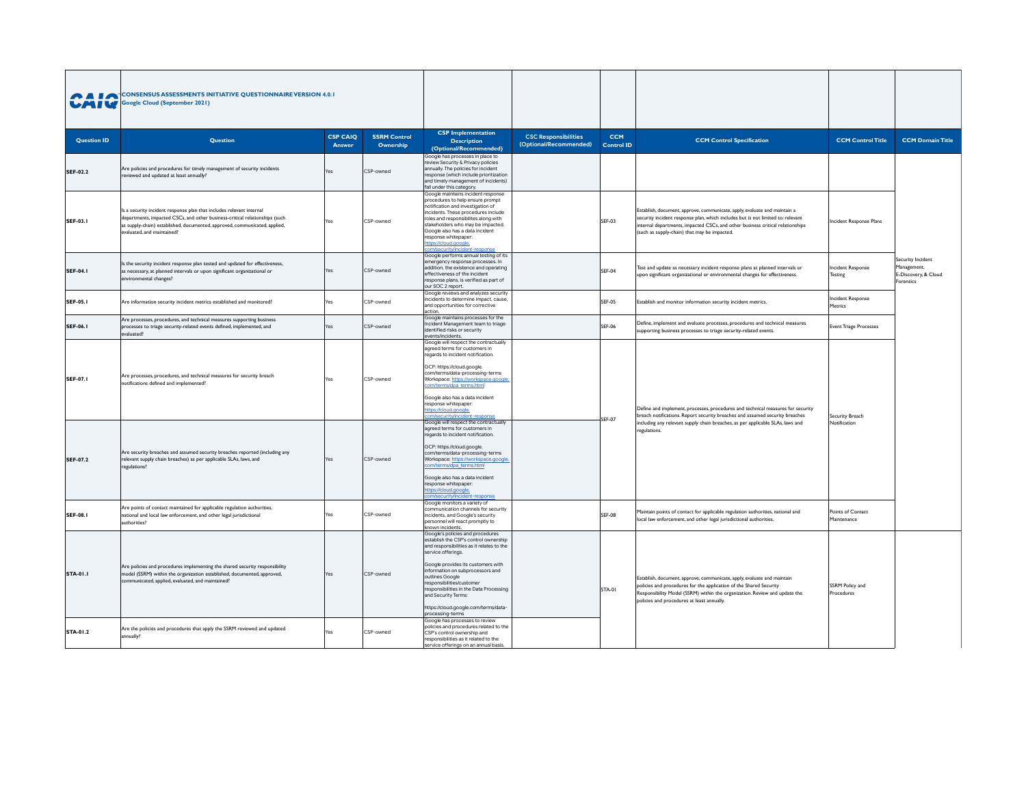|                    | <b>A I A CONSENSUS ASSESSMENTS INITIATIVE QUESTIONNAIRE VERSION 4.0.1</b><br>Google Cloud (September 2021)<br><b>CSP CAIO</b><br><b>SSRM Control</b>                                                                                                            |        |           |                                                                                                                                                                                                                                                                                                                                                                                                     |                                                       |                                 |                                                                                                                                                                                                                                                                                                |                                     |                                                                       |
|--------------------|-----------------------------------------------------------------------------------------------------------------------------------------------------------------------------------------------------------------------------------------------------------------|--------|-----------|-----------------------------------------------------------------------------------------------------------------------------------------------------------------------------------------------------------------------------------------------------------------------------------------------------------------------------------------------------------------------------------------------------|-------------------------------------------------------|---------------------------------|------------------------------------------------------------------------------------------------------------------------------------------------------------------------------------------------------------------------------------------------------------------------------------------------|-------------------------------------|-----------------------------------------------------------------------|
| <b>Question ID</b> | <b>Ouestion</b>                                                                                                                                                                                                                                                 | Answer | Ownership | <b>CSP</b> Implementation<br><b>Description</b><br>(Optional/Recommended)                                                                                                                                                                                                                                                                                                                           | <b>CSC Responsibilities</b><br>(Optional/Recommended) | <b>CCM</b><br><b>Control ID</b> | <b>CCM Control Specification</b>                                                                                                                                                                                                                                                               | <b>CCM Control Title</b>            | <b>CCM Domain Title</b>                                               |
| <b>SEF-02.2</b>    | Are policies and procedures for timely management of security incidents<br>eviewed and updated at least annually?                                                                                                                                               | Yes    | CSP-owned | Google has processes in place to<br>review Security & Privacy policies<br>annually. The policies for incident<br>response (which include prioritization<br>and timely management of incidents)<br>fall under this category.                                                                                                                                                                         |                                                       |                                 |                                                                                                                                                                                                                                                                                                |                                     |                                                                       |
| SEF-03.1           | Is a security incident response plan that includes relevant internal<br>departments, impacted CSCs, and other business-critical relationships (such<br>as supply-chain) established, documented, approved, communicated, applied,<br>evaluated, and maintained? | Yes    | CSP-owned | Google maintains incident response<br>procedures to help ensure prompt<br>notification and investigation of<br>incidents. These procedures include<br>roles and responsibilites along with<br>stakeholders who may be impacted.<br>Google also has a data incident<br>response whitepaper:<br>ttps://cloud.google.<br>m/security/incident-re                                                        |                                                       | <b>SEF-03</b>                   | Establish, document, approve, communicate, apply, evaluate and maintain a<br>security incident response plan, which includes but is not limited to: relevant<br>internal departments, impacted CSCs, and other business critical relationships<br>(such as supply-chain) that may be impacted. | Incident Response Plans             |                                                                       |
| <b>SEF-04.1</b>    | Is the security incident response plan tested and updated for effectiveness,<br>as necessary, at planned intervals or upon significant organizational or<br>environmental changes?                                                                              | Yes    | CSP-owned | Google performs annual testing of its<br>mergency response processes. In<br>addition, the existence and operating<br>effectiveness of the incident<br>response plans, is verified as part of<br>our SOC 2 report.                                                                                                                                                                                   |                                                       | <b>SEF-04</b>                   | Test and update as necessary incident response plans at planned intervals or<br>upon significant organizational or environmental changes for effectiveness.                                                                                                                                    | <b>Incident Response</b><br>Testing | Security Incident<br>Management,<br>E-Discovery, & Cloud<br>Forensics |
| <b>SEF-05.1</b>    | Are information security incident metrics established and monitored?                                                                                                                                                                                            | Yes    | CSP-owned | Google reviews and analyzes security<br>incidents to determine impact, cause,<br>and opportunities for corrective<br>action.                                                                                                                                                                                                                                                                        |                                                       | <b>SEF-05</b>                   | Establish and monitor information security incident metrics.                                                                                                                                                                                                                                   | <b>Incident Response</b><br>Metrics |                                                                       |
| SEF-06.1           | Are processes, procedures, and technical measures supporting business<br>processes to triage security-related events defined, implemented, and<br>evaluated?                                                                                                    | Yes    | CSP-owned | Google maintains processes for the<br>Incident Management team to triage<br>identified risks or security<br>events/incidents.                                                                                                                                                                                                                                                                       |                                                       | <b>SEF-06</b>                   | Define, implement and evaluate processes, procedures and technical measures<br>supporting business processes to triage security-related events.                                                                                                                                                | <b>Event Triage Processes</b>       |                                                                       |
| SEF-07.1           | Are processes, procedures, and technical measures for security breach<br>notifications defined and implemented?                                                                                                                                                 | Yes    | CSP-owned | Google will respect the contractually<br>agreed terms for customers in<br>regards to incident notification.<br>GCP: https://cloud.google.<br>com/terms/data-processing-terms<br>Workspace: https://workspace.google<br>om/terms/dna_terms.html<br>Google also has a data incident<br>response whitepaper:<br>ttps://cloud.google.<br>m/security/incident-response                                   |                                                       | <b>SEF-07</b>                   | Define and implement, processes, procedures and technical measures for security<br>breach notifications. Report security breaches and assumed security breaches                                                                                                                                | Security Breach                     |                                                                       |
| <b>SEF-07.2</b>    | Are security breaches and assumed security breaches reported (including any<br>relevant supply chain breaches) as per applicable SLAs, laws, and<br>regulations?                                                                                                |        | CSP-owned | Google will respect the contractually<br>agreed terms for customers in<br>regards to incident notification.<br>GCP: https://cloud.google.<br>com/terms/data-processing-terms<br>Workspace: https://workspace.google<br>om/terms/dpa_terms.html<br>Google also has a data incident<br>response whitepaper:<br>ttps://cloud.google.<br>m/security/incident-respon                                     |                                                       |                                 | including any relevant supply chain breaches, as per applicable SLAs, laws and<br>regulations.                                                                                                                                                                                                 | Notification                        |                                                                       |
| SEF-08.1           | Are points of contact maintained for applicable regulation authorities,<br>national and local law enforcement, and other legal jurisdictional<br>authorities?                                                                                                   |        | CSP-owned | Google monitors a variety of<br>communication channels for security<br>incidents, and Google's security<br>personnel will react promptly to<br>known incidents.                                                                                                                                                                                                                                     |                                                       | <b>SEF-08</b>                   | Maintain points of contact for applicable regulation authorities, national and<br>local law enforcement, and other legal jurisdictional authorities.                                                                                                                                           | Points of Contact<br>Maintenance    |                                                                       |
| <b>STA-01.1</b>    | Are policies and procedures implementing the shared security responsibility<br>model (SSRM) within the organization established, documented, approved,<br>communicated, applied, evaluated, and maintained?                                                     | Yes    | CSP-owned | Google's policies and procedures<br>establish the CSP's control ownership<br>and responsibilities as it relates to the<br>service offerings.<br>Google provides its customers with<br>information on subprocessors and<br>outlines Google<br>responsibilities/customer<br>responsibilities in the Data Processing<br>and Security Terms<br>https://cloud.google.com/terms/data-<br>processing-terms |                                                       | <b>STA-01</b>                   | Establish, document, approve, communicate, apply, evaluate and maintain<br>policies and procedures for the application of the Shared Security<br>Responsibility Model (SSRM) within the organization. Review and update the<br>policies and procedures at least annually.                      | SSRM Policy and<br>Procedures       |                                                                       |
| STA-01.2           | Are the policies and procedures that apply the SSRM reviewed and updated<br>annually?                                                                                                                                                                           |        | CSP-owned | Google has processes to review<br>policies and procedures related to the<br>CSP's control ownership and<br>responsibilities as it related to the<br>service offerings on an annual basis.                                                                                                                                                                                                           |                                                       |                                 |                                                                                                                                                                                                                                                                                                |                                     |                                                                       |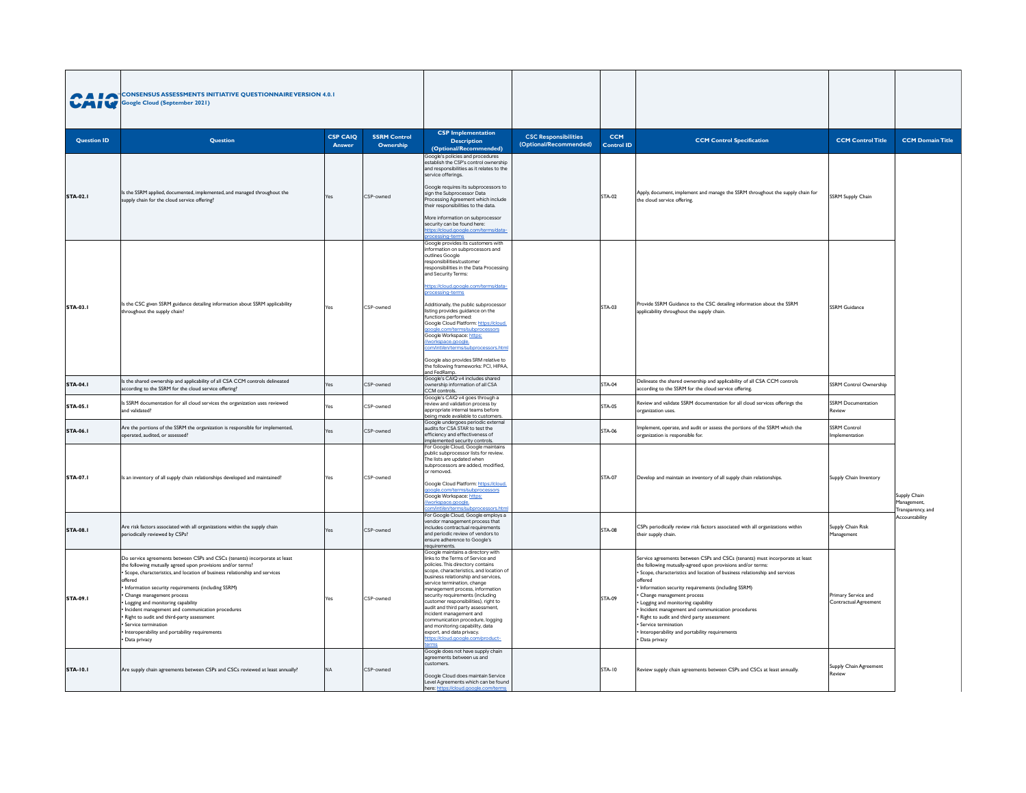| <b>UAIV</b>        | <b>A LO CONSENSUS ASSESSMENTS INITIATIVE QUESTIONNAIRE VERSION 4.0.1</b><br><b>Google Cloud (September 2021)</b><br><b>CSP CAIO</b><br><b>SSRM Control</b>                                                                                                                                                                                                                                                                                                                                                                                                    |        |           |                                                                                                                                                                                                                                                                                                                                                                                                                                                                                                                                                                                                             |                                                       |                                 |                                                                                                                                                                                                                                                                                                                                                                                                                                                                                                                                                            |                                              |                                                  |
|--------------------|---------------------------------------------------------------------------------------------------------------------------------------------------------------------------------------------------------------------------------------------------------------------------------------------------------------------------------------------------------------------------------------------------------------------------------------------------------------------------------------------------------------------------------------------------------------|--------|-----------|-------------------------------------------------------------------------------------------------------------------------------------------------------------------------------------------------------------------------------------------------------------------------------------------------------------------------------------------------------------------------------------------------------------------------------------------------------------------------------------------------------------------------------------------------------------------------------------------------------------|-------------------------------------------------------|---------------------------------|------------------------------------------------------------------------------------------------------------------------------------------------------------------------------------------------------------------------------------------------------------------------------------------------------------------------------------------------------------------------------------------------------------------------------------------------------------------------------------------------------------------------------------------------------------|----------------------------------------------|--------------------------------------------------|
| <b>Question ID</b> | Question                                                                                                                                                                                                                                                                                                                                                                                                                                                                                                                                                      | Answer | Ownership | <b>CSP</b> Implementation<br><b>Description</b><br>(Optional/Recommended)                                                                                                                                                                                                                                                                                                                                                                                                                                                                                                                                   | <b>CSC Responsibilities</b><br>(Optional/Recommended) | <b>CCM</b><br><b>Control ID</b> | <b>CCM Control Specification</b>                                                                                                                                                                                                                                                                                                                                                                                                                                                                                                                           | <b>CCM Control Title</b>                     | <b>CCM Domain Title</b>                          |
| <b>STA-02.1</b>    | Is the SSRM applied, documented, implemented, and managed throughout the<br>supply chain for the cloud service offering?                                                                                                                                                                                                                                                                                                                                                                                                                                      | Yes    | CSP-owned | Google's policies and procedures<br>establish the CSP's control ownership<br>and responsibilities as it relates to the<br>service offerings.<br>Google requires its subprocessors to<br>sign the Subprocessor Data<br>rocessing Agreement which include<br>heir responsibilities to the data.<br>More information on subprocessor<br>security can be found here:<br>ttps://cloud.google.com/t<br>cessing-terms                                                                                                                                                                                              |                                                       | STA-02                          | Apply, document, implement and manage the SSRM throughout the supply chain for<br>the cloud service offering.                                                                                                                                                                                                                                                                                                                                                                                                                                              | SSRM Supply Chain                            |                                                  |
| <b>STA-03.I</b>    | Is the CSC given SSRM guidance detailing information about SSRM applicability<br>throughout the supply chain?                                                                                                                                                                                                                                                                                                                                                                                                                                                 | Yes    | CSP-owned | Google provides its customers with<br>information on subprocessors and<br>outlines Google<br>responsibilities/customer<br>responsibilities in the Data Processing<br>and Security Terms:<br>https://cloud.google.com/terms/data-<br>ncessing-terms<br>Additionally, the public subprocessor<br>listing provides guidance on the<br>functions performed:<br>Google Cloud Platform: https://cloud.<br>poale.com/terms/subprocessors<br>Google Workspace: https:<br>workspace.google.<br>om/intl/en/terms/subpi<br>Google also provides SRM relative to<br>the following frameworks: PCI, HIPAA<br>and FedRamp |                                                       | STA-03                          | Provide SSRM Guidance to the CSC detailing information about the SSRM<br>applicability throughout the supply chain.                                                                                                                                                                                                                                                                                                                                                                                                                                        | SSRM Guidance                                |                                                  |
| STA-04.1           | Is the shared ownership and applicability of all CSA CCM controls delineated<br>according to the SSRM for the cloud service offering?                                                                                                                                                                                                                                                                                                                                                                                                                         | Yes    | CSP-owned | Google's CAIQ v4 includes shared<br>wnership information of all CSA<br>CM controls.<br>Google's CAIQ v4 goes through a                                                                                                                                                                                                                                                                                                                                                                                                                                                                                      |                                                       | <b>STA-04</b>                   | Delineate the shared ownership and applicability of all CSA CCM controls<br>according to the SSRM for the cloud service offering.                                                                                                                                                                                                                                                                                                                                                                                                                          | SSRM Control Ownership                       |                                                  |
| <b>STA-05.1</b>    | Is SSRM documentation for all cloud services the organization uses reviewed<br>and validated?                                                                                                                                                                                                                                                                                                                                                                                                                                                                 | Yes    | CSP-owned | review and validation process by<br>appropriate internal teams before<br>being made available to customers.                                                                                                                                                                                                                                                                                                                                                                                                                                                                                                 |                                                       | <b>STA-05</b>                   | Review and validate SSRM documentation for all cloud services offerings the<br>organization uses.                                                                                                                                                                                                                                                                                                                                                                                                                                                          | <b>SSRM Documentation</b><br>Review          |                                                  |
| <b>STA-06.1</b>    | Are the portions of the SSRM the organization is responsible for implemented,<br>operated, audited, or assessed?                                                                                                                                                                                                                                                                                                                                                                                                                                              | Yes    | CSP-owned | Google undergoes periodic external<br>audits for CSA STAR to test the<br>efficiency and effectiveness of<br>implemented security controls.                                                                                                                                                                                                                                                                                                                                                                                                                                                                  |                                                       | <b>STA-06</b>                   | mplement, operate, and audit or assess the portions of the SSRM which the<br>preanization is responsible for.                                                                                                                                                                                                                                                                                                                                                                                                                                              | SSRM Control<br>Implementation               |                                                  |
| <b>STA-07.1</b>    | Is an inventory of all supply chain relationships developed and maintained?                                                                                                                                                                                                                                                                                                                                                                                                                                                                                   | Yes    | CSP-owned | For Google Cloud, Google maintains<br>public subprocessor lists for review.<br>The lists are updated when<br>subprocessors are added, modified,<br>or removed.<br>Google Cloud Platform: https://cloud.<br>joogle.com/terms/subprocessors<br>Google Workspace: https:<br>workspace.google<br>sors.htm<br>m/intl/en/terms/subr                                                                                                                                                                                                                                                                               |                                                       | <b>STA-07</b>                   | Develop and maintain an inventory of all supply chain relationships.                                                                                                                                                                                                                                                                                                                                                                                                                                                                                       | Supply Chain Inventory                       | Supply Chain<br>Management.<br>Transparency, and |
| <b>STA-08.1</b>    | Are risk factors associated with all organizations within the supply chain<br>periodically reviewed by CSPs?                                                                                                                                                                                                                                                                                                                                                                                                                                                  | Yes    | CSP-owned | For Google Cloud, Google employs a<br>vendor management process that<br>includes contractual requirements<br>and periodic review of vendors to<br>ensure adherence to Google's<br>reauirements.                                                                                                                                                                                                                                                                                                                                                                                                             |                                                       | <b>STA-08</b>                   | CSPs periodically review risk factors associated with all organizations within<br>their supply chain.                                                                                                                                                                                                                                                                                                                                                                                                                                                      | Supply Chain Risk<br>Management              | Accountability                                   |
| <b>STA-09.1</b>    | Do service agreements between CSPs and CSCs (tenants) incorporate at least<br>the following mutually agreed upon provisions and/or terms?<br>· Scope, characteristics, and location of business relationship and services<br>offered<br>· Information security requirements (including SSRM)<br>· Change management process<br>Logging and monitoring capability<br>Incident management and communication procedures<br>Right to audit and third-party assessment<br>· Service termination<br>Interoperability and portability requirements<br>· Data privacy | Yes    | CSP-owned | Google maintains a directory with<br>links to the Terms of Service and<br>policies. This directory contains<br>scope, characteristics, and location of<br>business relationship and services,<br>service termination, change<br>management process, information<br>security requirements (including<br>customer responsibilities), right to<br>audit and third party assessment,<br>incident management and<br>communication procedure, logging<br>and monitoring capability, data<br>export, and data privacy.<br>tps://cloud.google.com/                                                                  |                                                       | STA-09                          | Service agreements between CSPs and CSCs (tenants) must incorporate at least<br>the following mutually-agreed upon provisions and/or terms:<br>Scope, characteristics and location of business relationship and services<br>offered<br>· Information security requirements (including SSRM)<br>· Change management process<br>• Logging and monitoring capability<br>Incident management and communication procedures<br>Right to audit and third party assessment<br>Service termination<br>Interoperability and portability requirements<br>Data privacy | Primary Service and<br>Contractual Agreement |                                                  |
| <b>STA-10.1</b>    | Are supply chain agreements between CSPs and CSCs reviewed at least annually?                                                                                                                                                                                                                                                                                                                                                                                                                                                                                 | NΔ     | CSP-owned | Google does not have supply chain<br>agreements between us and<br>stomars<br>Google Cloud does maintain Service<br>Level Agreements which can be found<br>terer hi<br>e lleloud anoale c                                                                                                                                                                                                                                                                                                                                                                                                                    |                                                       | <b>STA-10</b>                   | Review supply chain agreements between CSPs and CSCs at least annually.                                                                                                                                                                                                                                                                                                                                                                                                                                                                                    | Supply Chain Agreement<br>Review             |                                                  |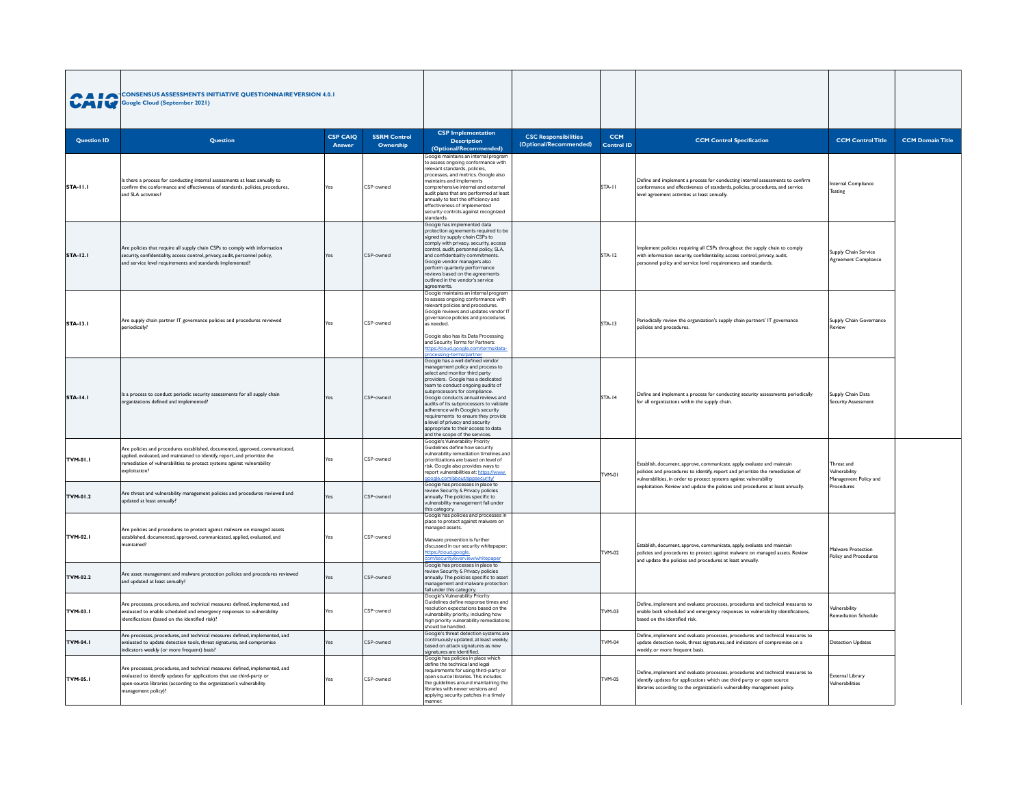| WAIW               | <b>CONSENSUS ASSESSMENTS INITIATIVE QUESTIONNAIRE VERSION 4.0.1</b><br><b>Google Cloud (September 2021)</b><br><b>CSP CAIQ</b><br><b>SSRM Control</b><br>Question                                                                                     |            |           |                                                                                                                                                                                                                                                                                                                                                                                                                                                                                           |                                                       |                                 |                                                                                                                                                                                                                                        |                                                      |                         |
|--------------------|-------------------------------------------------------------------------------------------------------------------------------------------------------------------------------------------------------------------------------------------------------|------------|-----------|-------------------------------------------------------------------------------------------------------------------------------------------------------------------------------------------------------------------------------------------------------------------------------------------------------------------------------------------------------------------------------------------------------------------------------------------------------------------------------------------|-------------------------------------------------------|---------------------------------|----------------------------------------------------------------------------------------------------------------------------------------------------------------------------------------------------------------------------------------|------------------------------------------------------|-------------------------|
| <b>Question ID</b> |                                                                                                                                                                                                                                                       | Answer     | Ownership | <b>CSP</b> Implementation<br><b>Description</b><br>(Optional/Recommended)                                                                                                                                                                                                                                                                                                                                                                                                                 | <b>CSC Responsibilities</b><br>(Optional/Recommended) | <b>CCM</b><br><b>Control ID</b> | <b>CCM Control Specification</b>                                                                                                                                                                                                       | <b>CCM Control Title</b>                             | <b>CCM Domain Title</b> |
| <b>STA-11.1</b>    | s there a process for conducting internal assessments at least annually to<br>onfirm the conformance and effectiveness of standards, policies, procedures,<br>and SLA activities?                                                                     | Yes        | CSP-owned | Google maintains an internal program<br>to assess ongoing conformance with<br>relevant standards, policies,<br>processes, and metrics. Google also<br>maintains and implements<br>comprehensive internal and external<br>audit plans that are performed at least<br>annually to test the efficiency and<br>effectiveness of implemented<br>security controls against recognized<br>standards.                                                                                             |                                                       | STA-11                          | Define and implement a process for conducting internal assessments to confirm<br>conformance and effectiveness of standards, policies, procedures, and service<br>evel agreement activities at least annually.                         | Internal Compliance<br><b>Testing</b>                |                         |
| <b>STA-12.1</b>    | Are policies that require all supply chain CSPs to comply with information<br>security, confidentiality, access control, privacy, audit, personnel policy,<br>and service level requirements and standards implemented?                               |            | CSP-owned | Google has implemented data<br>protection agreements required to be<br>signed by supply chain CSPs to<br>comply with privacy, security, access<br>control, audit, personnel policy, SLA,<br>and confidentiality commitments.<br>Google vendor managers also<br>perform quarterly performance<br>reviews based on the agreements<br>outlined in the vendor's service<br>agreements.                                                                                                        |                                                       | STA-12                          | Implement policies requiring all CSPs throughout the supply chain to comply<br>with information security, confidentiality, access control, privacy, audit,<br>bersonnel policy and service level requirements and standards.           | Supply Chain Service<br>Agreement Compliance         |                         |
| <b>STA-13.1</b>    | Are supply chain partner IT governance policies and procedures reviewed<br>eriodically                                                                                                                                                                | Yes        | CSP-owned | Google maintains an internal program<br>to assess ongoing conformance with<br>relevant policies and procedures.<br>Google reviews and updates vendor IT<br>governance policies and procedures<br>.<br>as needed<br>Google also has its Data Processing<br>and Security Terms for Partners:<br>ttps://cloud.google.com/terms/data<br>ocessing-terms/partne                                                                                                                                 |                                                       | <b>STA-13</b>                   | Periodically review the organization's supply chain partners' IT governance<br>policies and procedures.                                                                                                                                | Supply Chain Governance<br>eview                     |                         |
| <b>STA-14.1</b>    | Is a process to conduct periodic security assessments for all supply chain<br>organizations defined and implemented?                                                                                                                                  | Yes        | CSP-owned | Google has a well defined vendor<br>management policy and process to<br>select and monitor third party<br>providers. Google has a dedicated<br>team to conduct ongoing audits of<br>subprocessors for compliance.<br>Google conducts annual reviews and<br>audits of its subprocessors to validate<br>adherence with Google's security<br>requirements to ensure they provide<br>a level of privacy and security<br>appropriate to their access to data<br>and the scope of the services. |                                                       | <b>STA-14</b>                   | Define and implement a process for conducting security assessments periodically<br>for all organizations within the supply chain.                                                                                                      | Supply Chain Data<br><b>Security Assessment</b>      |                         |
| TVM-01.1           | Are policies and procedures established, documented, approved, communicated,<br>applied, evaluated, and maintained to identify, report, and prioritize the<br>emediation of vulnerabilities to protect systems against vulnerability<br>exploitation? | Yes        | CSP-owned | Google's Vulnerability Priority<br>Guidelines define how security<br>vulnerability remediation timelines and<br>prioritizations are based on level of<br>risk. Google also provides ways to<br>report vulnerabilities at: https://www                                                                                                                                                                                                                                                     |                                                       | TVM-01                          | Establish, document, approve, communicate, apply, evaluate and maintain<br>policies and procedures to identify, report and prioritize the remediation of<br>vulnerabilities, in order to protect systems against vulnerability         | Threat and<br>Vulnerability<br>Management Policy and |                         |
| TVM-01.2           | Are threat and vulnerability management policies and procedures reviewed and<br>indated at least annually?                                                                                                                                            | <b>res</b> | CSP-owned | Google has processes in place to<br>eview Security & Privacy policies<br>annually. The policies specific to<br>vulnerability management fall under<br>this category.                                                                                                                                                                                                                                                                                                                      |                                                       |                                 | exploitation. Review and update the policies and procedures at least annually.                                                                                                                                                         | Procedures                                           |                         |
| TVM-02.1           | Are policies and procedures to protect against malware on managed assets<br>established, documented, approved, communicated, applied, evaluated, and<br>maintained?                                                                                   | Yes        | CSP-owned | Google has policies and processes in<br>place to protect against malware on<br>managed assets.<br>Malware prevention is further<br>discussed in our security whitepaper<br>ttps://cloud.google<br>n/security/overvie                                                                                                                                                                                                                                                                      |                                                       | TVM-02                          | Establish, document, approve, communicate, apply, evaluate and maintain<br>policies and procedures to protect against malware on managed assets. Review<br>and update the policies and procedures at least annually                    | Malware Protection<br>Policy and Procedures          |                         |
| TVM-02.2           | Are asset management and malware protection policies and procedures reviewed<br>and updated at least annually?                                                                                                                                        |            | CSP-owned | Google has processes in place to<br>review Security & Privacy policies<br>annually. The policies specific to asset<br>management and malware protection<br>fall under this category.                                                                                                                                                                                                                                                                                                      |                                                       |                                 |                                                                                                                                                                                                                                        |                                                      |                         |
| TVM-03.1           | Are processes, procedures, and technical measures defined, implemented, and<br>valuated to enable scheduled and emergency responses to vulnerability<br>dentifications (based on the identified risk)?                                                |            | CSP-owned | Google's Vulnerability Priority<br>Guidelines define response times and<br>resolution expectations based on the<br>vulnerability priority, including how<br>high priority vulnerability remediation<br>should be handled.                                                                                                                                                                                                                                                                 |                                                       | TVM-03                          | Define, implement and evaluate processes, procedures and technical measures to<br>enable both scheduled and emergency responses to vulnerability identifications,<br>based on the identified risk.                                     | Vulnerability<br>Remediation Schedule                |                         |
| TVM-04.1           | Are processes, procedures, and technical measures defined, implemented, and<br>valuated to update detection tools, threat signatures, and compromise<br>ndicators weekly (or more frequent) basis?                                                    | Yes        | CSP-owned | Google's threat detection systems are<br>continuously updated, at least weekly<br>based on attack signatures as new<br>signatures are identified.                                                                                                                                                                                                                                                                                                                                         |                                                       | <b>TVM-04</b>                   | Define, implement and evaluate processes, procedures and technical measures to<br>update detection tools, threat signatures, and indicators of compromise on a<br>weekly, or more frequent basis.                                      | <b>Detection Updates</b>                             |                         |
| TVM-05.1           | Are processes, procedures, and technical measures defined, implemented, and<br>evaluated to identify updates for applications that use third-party or<br>open-source libraries (according to the organization's vulnerability<br>management policy)?  | Yes        | CSP-owned | Google has policies in place which<br>define the technical and legal<br>requirements for using third-party or<br>open source libraries. This includes<br>the guidelines around maintaining the<br>libraries with newer versions and<br>applying security patches in a timely                                                                                                                                                                                                              |                                                       | <b>TVM-05</b>                   | Define, implement and evaluate processes, procedures and technical measures to<br>identify updates for applications which use third party or open source<br>libraries according to the organization's vulnerability management policy. | External Library<br>Vulnerabilities                  |                         |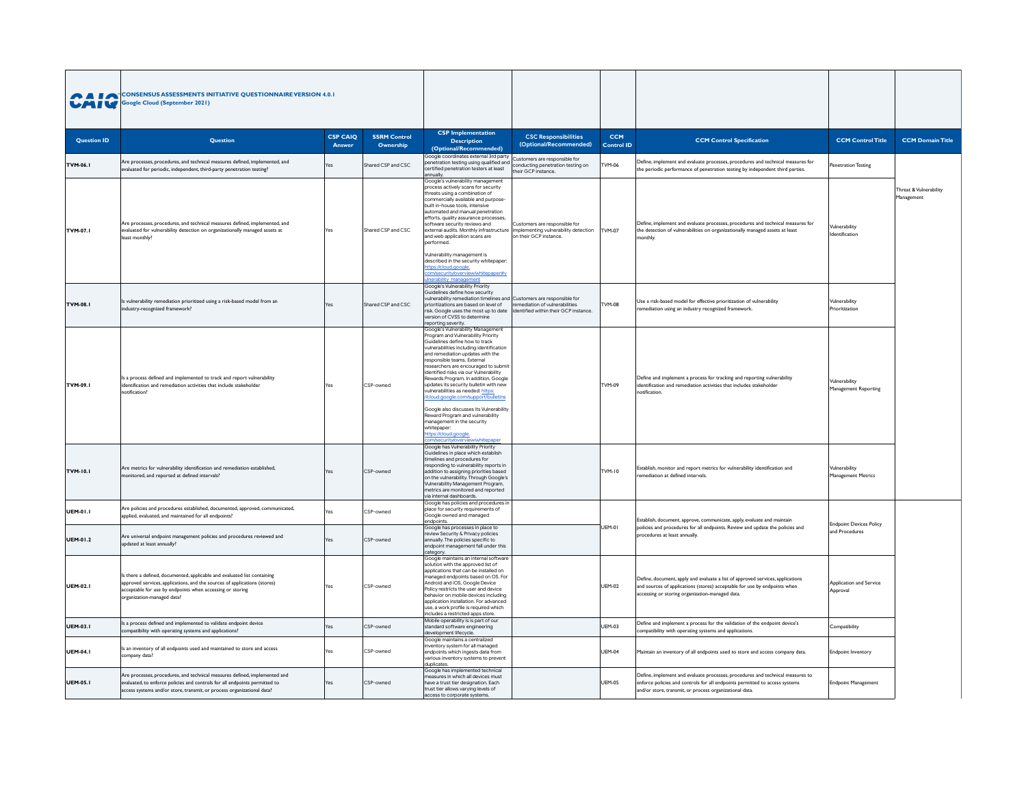| <b>PAIA</b><br>WAIW | <b>CONSENSUS ASSESSMENTS INITIATIVE QUESTIONNAIRE VERSION 4.0.1</b><br><b>Google Cloud (September 2021)</b><br><b>CSP CAIQ</b><br><b>SSRM Control</b>                                                                                          |        |                    |                                                                                                                                                                                                                                                                                                                                                                                                                                                                                                                                                                                                                                                    |                                                                                                 |                                 |                                                                                                                                                                                                                          |                                                  |                                      |
|---------------------|------------------------------------------------------------------------------------------------------------------------------------------------------------------------------------------------------------------------------------------------|--------|--------------------|----------------------------------------------------------------------------------------------------------------------------------------------------------------------------------------------------------------------------------------------------------------------------------------------------------------------------------------------------------------------------------------------------------------------------------------------------------------------------------------------------------------------------------------------------------------------------------------------------------------------------------------------------|-------------------------------------------------------------------------------------------------|---------------------------------|--------------------------------------------------------------------------------------------------------------------------------------------------------------------------------------------------------------------------|--------------------------------------------------|--------------------------------------|
| <b>Question ID</b>  | <b>Ouestion</b>                                                                                                                                                                                                                                | Answer | Ownership          | <b>CSP</b> Implementation<br><b>Description</b><br>(Optional/Recommended)                                                                                                                                                                                                                                                                                                                                                                                                                                                                                                                                                                          | <b>CSC Responsibilities</b><br>(Optional/Recommended)                                           | <b>CCM</b><br><b>Control ID</b> | <b>CCM Control Specification</b>                                                                                                                                                                                         | <b>CCM Control Title</b>                         | <b>CCM Domain Title</b>              |
| TVM-06.1            | Are processes, procedures, and technical measures defined, implemented, and<br>valuated for periodic, independent, third-party penetration testing?                                                                                            | Yes    | Shared CSP and CSC | Google coordinates external 3rd party<br>penetration testing using qualified and<br>certified penetration testers at least<br>annually.                                                                                                                                                                                                                                                                                                                                                                                                                                                                                                            | Customers are responsible for<br>conducting penetration testing on<br>eir GCP instance.         | TVM-06                          | Define, implement and evaluate processes, procedures and technical measures for<br>the periodic performance of penetration testing by independent third parties.                                                         | enetration Testing                               |                                      |
| TVM-07.1            | Are processes, procedures, and technical measures defined, implemented, and<br>evaluated for vulnerability detection on organizationally managed assets at<br>least monthly?                                                                   | Yes    | Shared CSP and CSC | Google's vulnerability management<br>process actively scans for security<br>threats using a combination of<br>commercially available and purpose-<br>built in-house tools, intensive<br>automated and manual penetration<br>efforts, quality assurance processes,<br>software security reviews and<br>external audits. Monthly infrastructure<br>and web application scans are<br>performed<br>Vulnerability management is<br>described in the security whitepaper:<br>ttps://cloud.google<br>om/security/overview/whitepaper#v<br>nerability_management                                                                                           | Customers are responsible for<br>implementing vulnerability detection<br>on their GCP instance. | <b>TVM-07</b>                   | Define, implement and evaluate processes, procedures and technical measures for<br>the detection of vulnerabilities on organizationally managed assets at least<br>monthly.                                              | Vulnerability<br>Identification                  | Threat & Vulnerability<br>1anagement |
| TVM-08.1            | s vulnerability remediation prioritized using a risk-based model from an<br>ndustry-recognized framework?                                                                                                                                      | Yes    | Shared CSP and CSC | Google's Vulnerability Priority<br>Guidelines define how security<br>vulnerability remediation timelines and Customers are responsible for<br>prioritizations are based on level of<br>risk. Google uses the most up to date<br>version of CVSS to determine<br>reporting severity.                                                                                                                                                                                                                                                                                                                                                                | remediation of vulnerabilities<br>identified within their GCP instance.                         | TVM-08                          | Use a risk-based model for effective prioritization of vulnerability<br>remediation using an industry recognized framework.                                                                                              | Vulnerability<br>Prioritization                  |                                      |
| TVM-09.1            | s a process defined and implemented to track and report vulnerability<br>dentification and remediation activities that include stakeholder<br>otification?                                                                                     | Yes    | CSP-owned          | Google's Vulnerability Management<br>Program and Vulnerability Priority<br>Guidelines define how to track<br>vulnerabilities including identification<br>and remediation updates with the<br>responsible teams. External<br>researchers are encouraged to submit<br>identified risks via our Vulnerability<br>Rewards Program, In addition, Google<br>undates its security bulletin with new<br>vulnerabilities as needed: https:<br>cloud google com/support/bulletins<br>Google also discusses its Vulnerability<br>Reward Program and vulnerability<br>management in the security<br>whitepaper:<br>ttps://cloud.google.<br>m/security/overview |                                                                                                 | TVM-09                          | Define and implement a process for tracking and reporting vulnerability<br>identification and remediation activities that includes stakeholder<br>notification.                                                          | Vulnerability<br>Management Reporting            |                                      |
| TVM-10.1            | Are metrics for vulnerability identification and remediation established,<br>onitored, and reported at defined intervals?                                                                                                                      | Yes    | CSP-owned          | Google has Vulnerability Priority<br>Guidelines in place which establish<br>timelines and procedures for<br>responding to vulnerability reports in<br>addition to assigning priorities based<br>on the vulnerability. Through Google's<br>Vulnerability Management Program,<br>metrics are monitored and reported<br>via internal dashboards.                                                                                                                                                                                                                                                                                                      |                                                                                                 | TVM-10                          | Establish, monitor and report metrics for vulnerability identification and<br>emediation at defined intervals                                                                                                            | Vulnerability<br><b>Management Metrics</b>       |                                      |
| <b>UEM-01.1</b>     | Are policies and procedures established, documented, approved, communicated,<br>applied, evaluated, and maintained for all endpoints?                                                                                                          | Yes    | CSP-owned          | Google has policies and procedures in<br>place for security requirements of<br>Google owned and managed<br>endpoints.                                                                                                                                                                                                                                                                                                                                                                                                                                                                                                                              |                                                                                                 |                                 | Establish, document, approve, communicate, apply, evaluate and maintain                                                                                                                                                  |                                                  |                                      |
| UEM-01.2            | Are universal endpoint management policies and procedures reviewed and<br>pdated at least annually?                                                                                                                                            | Yes    | CSP-owned          | Google has processes in place to<br>review Security & Privacy policies<br>annually. The policies specific to<br>endpoint management fall under this<br>category.                                                                                                                                                                                                                                                                                                                                                                                                                                                                                   |                                                                                                 | <b>UEM-01</b>                   | policies and procedures for all endpoints. Review and update the policies and<br>procedures at least annually.                                                                                                           | <b>Endpoint Devices Policy</b><br>and Procedures |                                      |
| <b>UEM-02.1</b>     | Is there a defined, documented, applicable and evaluated list containing<br>approved services, applications, and the sources of applications (stores)<br>cceptable for use by endpoints when accessing or storing<br>rganization-managed data? | Yes    | CSP-owned          | Google maintains an internal software<br>solution with the approved list of<br>applications that can be installed on<br>managed endpoints based on OS. For<br>Android and iOS, Google Device<br>Policy restricts the user and device<br>behavior on mobile devices including<br>application installation. For advanced<br>use, a work profile is required which<br>includes a restricted apps store.                                                                                                                                                                                                                                               |                                                                                                 | <b>UEM-02</b>                   | Define, document, apply and evaluate a list of approved services, applications<br>and sources of applications (stores) acceptable for use by endpoints when<br>accessing or storing organization-managed data.           | Application and Service<br>Approval              |                                      |
| <b>UEM-03.1</b>     | s a process defined and implemented to validate endpoint device<br>ompatibility with operating systems and applications?                                                                                                                       | Yes    | CSP-owned          | Mobile operability is is part of our<br>standard software engineering<br>development lifecycle.                                                                                                                                                                                                                                                                                                                                                                                                                                                                                                                                                    |                                                                                                 | <b>UEM-03</b>                   | Define and implement a process for the validation of the endpoint device's<br>compatibility with operating systems and applications.                                                                                     | Compatibility                                    |                                      |
| <b>UEM-04.1</b>     | Is an inventory of all endpoints used and maintained to store and access<br>company data?                                                                                                                                                      | Yes    | CSP-owned          | Google maintains a centralized<br>inventory system for all managed<br>endpoints which ingests data from<br>various inventory systems to prevent<br>duplicates.                                                                                                                                                                                                                                                                                                                                                                                                                                                                                     |                                                                                                 | <b>UEM-04</b>                   | Maintain an inventory of all endpoints used to store and access company data.                                                                                                                                            | <b>Endpoint Inventory</b>                        |                                      |
| <b>UEM-05.1</b>     | Are processes, procedures, and technical measures defined, implemented and<br>valuated, to enforce policies and controls for all endpoints permitted to<br>access systems and/or store, transmit, or process organizational data?              | Yes    | CSP-owned          | Google has implemented technical<br>neasures in which all devices must<br>have a trust tier designation. Each<br>trust tier allows varying levels of<br>access to corporate systems.                                                                                                                                                                                                                                                                                                                                                                                                                                                               |                                                                                                 | <b>UEM-05</b>                   | Define, implement and evaluate processes, procedures and technical measures to<br>enforce policies and controls for all endpoints permitted to access systems<br>and/or store, transmit, or process organizational data. | <b>Endpoint Management</b>                       |                                      |